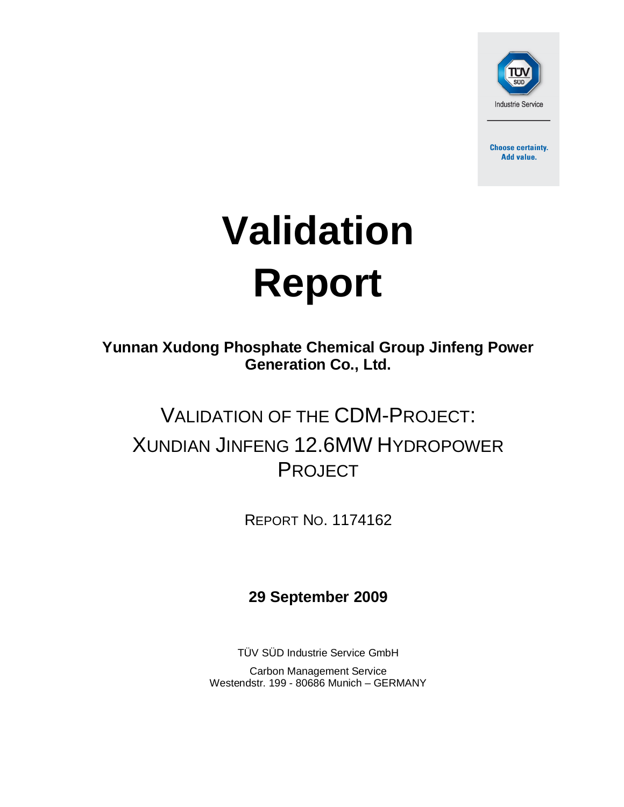

**Choose certainty.** Add value.

# **Validation Report**

**Yunnan Xudong Phosphate Chemical Group Jinfeng Power Generation Co., Ltd.**

## VALIDATION OF THE CDM-PROJECT: XUNDIAN JINFENG 12.6MW HYDROPOWER PROJECT

REPORT NO. 1174162

**29 September 2009**

TÜV SÜD Industrie Service GmbH Carbon Management Service Westendstr. 199 - 80686 Munich – GERMANY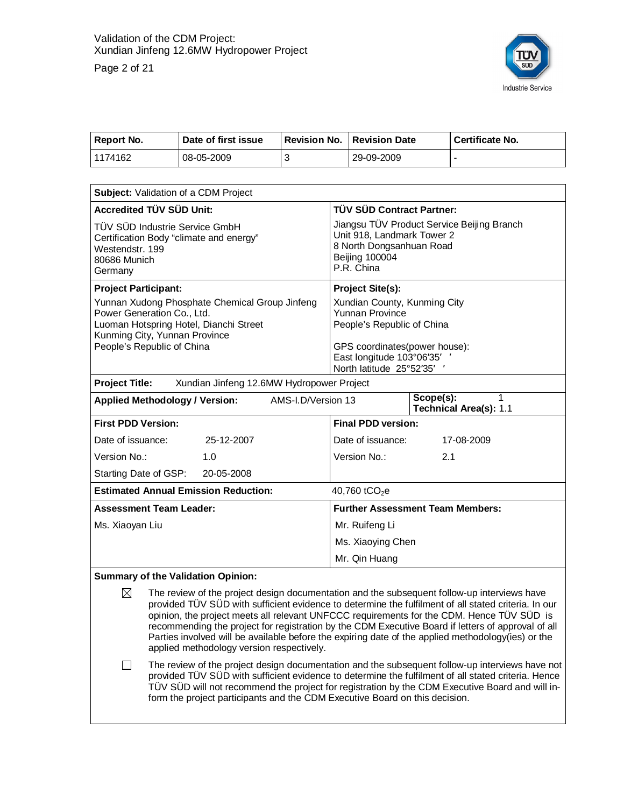Page 2 of 21



| Report No. | Date of first issue | <b>Revision No.</b> | <b>Revision Date</b> | Certificate No. |
|------------|---------------------|---------------------|----------------------|-----------------|
| 1174162    | 08-05-2009          |                     | 29-09-2009           |                 |

| Subject: Validation of a CDM Project                                                                                                                                                  |                                                                                                                                                                                |  |
|---------------------------------------------------------------------------------------------------------------------------------------------------------------------------------------|--------------------------------------------------------------------------------------------------------------------------------------------------------------------------------|--|
| <b>Accredited TÜV SÜD Unit:</b>                                                                                                                                                       | <b>TÜV SÜD Contract Partner:</b>                                                                                                                                               |  |
| TÜV SÜD Industrie Service GmbH<br>Certification Body "climate and energy"<br>Westendstr, 199<br>80686 Munich<br>Germany                                                               | Jiangsu TÜV Product Service Beijing Branch<br>Unit 918, Landmark Tower 2<br>8 North Dongsanhuan Road<br><b>Beijing 100004</b><br>P.R. China                                    |  |
| <b>Project Participant:</b>                                                                                                                                                           | <b>Project Site(s):</b>                                                                                                                                                        |  |
| Yunnan Xudong Phosphate Chemical Group Jinfeng<br>Power Generation Co., Ltd.<br>Luoman Hotspring Hotel, Dianchi Street<br>Kunming City, Yunnan Province<br>People's Republic of China | Xundian County, Kunming City<br><b>Yunnan Province</b><br>People's Republic of China<br>GPS coordinates(power house):<br>East longitude 103°06'35'<br>North latitude 25°52'35' |  |
| <b>Project Title:</b><br>Xundian Jinfeng 12.6MW Hydropower Project                                                                                                                    |                                                                                                                                                                                |  |
| AMS-I.D/Version 13<br><b>Applied Methodology / Version:</b>                                                                                                                           | Scope(s):<br>Technical Area(s): 1.1                                                                                                                                            |  |
| <b>First PDD Version:</b>                                                                                                                                                             | <b>Final PDD version:</b>                                                                                                                                                      |  |
| 25-12-2007<br>Date of issuance:                                                                                                                                                       | Date of issuance:<br>17-08-2009                                                                                                                                                |  |
| Version No.:<br>1.0                                                                                                                                                                   | Version No.:<br>2.1                                                                                                                                                            |  |
| Starting Date of GSP:<br>20-05-2008                                                                                                                                                   |                                                                                                                                                                                |  |
| <b>Estimated Annual Emission Reduction:</b>                                                                                                                                           | 40,760 tCO <sub>2</sub> e                                                                                                                                                      |  |
| <b>Assessment Team Leader:</b>                                                                                                                                                        | <b>Further Assessment Team Members:</b>                                                                                                                                        |  |
| Ms. Xiaoyan Liu                                                                                                                                                                       | Mr. Ruifeng Li                                                                                                                                                                 |  |
|                                                                                                                                                                                       | Ms. Xiaoying Chen                                                                                                                                                              |  |
|                                                                                                                                                                                       | Mr. Qin Huang                                                                                                                                                                  |  |
|                                                                                                                                                                                       |                                                                                                                                                                                |  |

#### **Summary of the Validation Opinion:**

 $\boxtimes$  The review of the project design documentation and the subsequent follow-up interviews have provided TÜV SÜD with sufficient evidence to determine the fulfilment of all stated criteria. In our opinion, the project meets all relevant UNFCCC requirements for the CDM. Hence TÜV SÜD is recommending the project for registration by the CDM Executive Board if letters of approval of all Parties involved will be available before the expiring date of the applied methodology(ies) or the applied methodology version respectively.

 $\Box$  The review of the project design documentation and the subsequent follow-up interviews have not provided TÜV SÜD with sufficient evidence to determine the fulfilment of all stated criteria. Hence TÜV SÜD will not recommend the project for registration by the CDM Executive Board and will inform the project participants and the CDM Executive Board on this decision.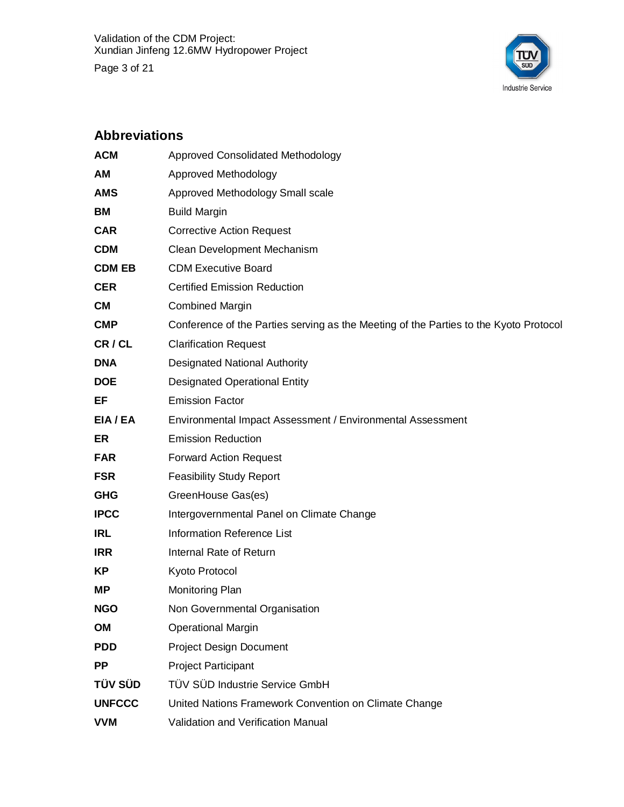

#### **Abbreviations**

| <b>ACM</b>     | <b>Approved Consolidated Methodology</b>                                              |
|----------------|---------------------------------------------------------------------------------------|
| АM             | Approved Methodology                                                                  |
| <b>AMS</b>     | Approved Methodology Small scale                                                      |
| ВM             | <b>Build Margin</b>                                                                   |
| <b>CAR</b>     | <b>Corrective Action Request</b>                                                      |
| <b>CDM</b>     | Clean Development Mechanism                                                           |
| <b>CDM EB</b>  | <b>CDM Executive Board</b>                                                            |
| <b>CER</b>     | <b>Certified Emission Reduction</b>                                                   |
| CМ             | <b>Combined Margin</b>                                                                |
| <b>CMP</b>     | Conference of the Parties serving as the Meeting of the Parties to the Kyoto Protocol |
| CR/CL          | <b>Clarification Request</b>                                                          |
| <b>DNA</b>     | <b>Designated National Authority</b>                                                  |
| <b>DOE</b>     | <b>Designated Operational Entity</b>                                                  |
| EF             | <b>Emission Factor</b>                                                                |
| EIA/EA         | Environmental Impact Assessment / Environmental Assessment                            |
| ER             | <b>Emission Reduction</b>                                                             |
| <b>FAR</b>     | <b>Forward Action Request</b>                                                         |
| <b>FSR</b>     | <b>Feasibility Study Report</b>                                                       |
| <b>GHG</b>     | GreenHouse Gas(es)                                                                    |
| <b>IPCC</b>    | Intergovernmental Panel on Climate Change                                             |
| IRL            | <b>Information Reference List</b>                                                     |
| <b>IRR</b>     | Internal Rate of Return                                                               |
| KP             | Kyoto Protocol                                                                        |
| <b>MP</b>      | Monitoring Plan                                                                       |
| <b>NGO</b>     | Non Governmental Organisation                                                         |
| OM             | <b>Operational Margin</b>                                                             |
| <b>PDD</b>     | <b>Project Design Document</b>                                                        |
| <b>PP</b>      | <b>Project Participant</b>                                                            |
| <b>TÜV SÜD</b> | TÜV SÜD Industrie Service GmbH                                                        |
| <b>UNFCCC</b>  | United Nations Framework Convention on Climate Change                                 |
| <b>VVM</b>     | Validation and Verification Manual                                                    |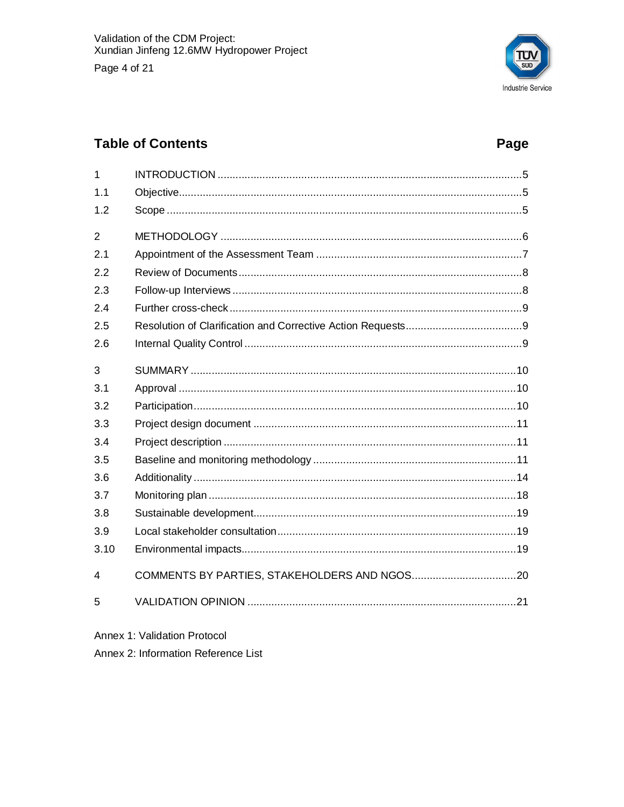

## **Table of Contents**

## Page

| 1              |  |
|----------------|--|
| 1.1            |  |
| 1.2            |  |
| $\overline{2}$ |  |
| 2.1            |  |
| 2.2            |  |
| 2.3            |  |
| 2.4            |  |
| 2.5            |  |
| 2.6            |  |
| 3              |  |
| 3.1            |  |
| 3.2            |  |
| 3.3            |  |
| 3.4            |  |
| 3.5            |  |
| 3.6            |  |
| 3.7            |  |
| 3.8            |  |
| 3.9            |  |
| 3.10           |  |
| 4              |  |
| 5              |  |
|                |  |

Annex 1: Validation Protocol

Annex 2: Information Reference List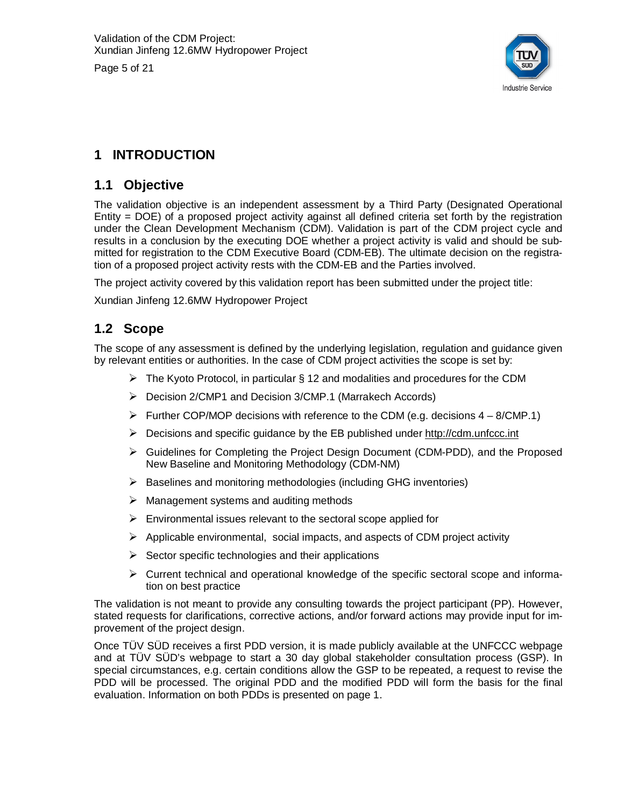Page 5 of 21



## **1 INTRODUCTION**

#### **1.1 Objective**

The validation objective is an independent assessment by a Third Party (Designated Operational Entity = DOE) of a proposed project activity against all defined criteria set forth by the registration under the Clean Development Mechanism (CDM). Validation is part of the CDM project cycle and results in a conclusion by the executing DOE whether a project activity is valid and should be submitted for registration to the CDM Executive Board (CDM-EB). The ultimate decision on the registration of a proposed project activity rests with the CDM-EB and the Parties involved.

The project activity covered by this validation report has been submitted under the project title:

Xundian Jinfeng 12.6MW Hydropower Project

#### **1.2 Scope**

The scope of any assessment is defined by the underlying legislation, regulation and guidance given by relevant entities or authorities. In the case of CDM project activities the scope is set by:

- $\triangleright$  The Kyoto Protocol, in particular § 12 and modalities and procedures for the CDM
- ¾ Decision 2/CMP1 and Decision 3/CMP.1 (Marrakech Accords)
- $\triangleright$  Further COP/MOP decisions with reference to the CDM (e.g. decisions  $4 8$ /CMP.1)
- $\triangleright$  Decisions and specific guidance by the EB published under<http://cdm.unfccc.int>
- ¾ Guidelines for Completing the Project Design Document (CDM-PDD), and the Proposed New Baseline and Monitoring Methodology (CDM-NM)
- $\triangleright$  Baselines and monitoring methodologies (including GHG inventories)
- $\triangleright$  Management systems and auditing methods
- $\triangleright$  Environmental issues relevant to the sectoral scope applied for
- $\triangleright$  Applicable environmental, social impacts, and aspects of CDM project activity
- $\triangleright$  Sector specific technologies and their applications
- $\triangleright$  Current technical and operational knowledge of the specific sectoral scope and information on best practice

The validation is not meant to provide any consulting towards the project participant (PP). However, stated requests for clarifications, corrective actions, and/or forward actions may provide input for improvement of the project design.

Once TÜV SÜD receives a first PDD version, it is made publicly available at the UNFCCC webpage and at TÜV SÜD's webpage to start a 30 day global stakeholder consultation process (GSP). In special circumstances, e.g. certain conditions allow the GSP to be repeated, a request to revise the PDD will be processed. The original PDD and the modified PDD will form the basis for the final evaluation. Information on both PDDs is presented on page 1.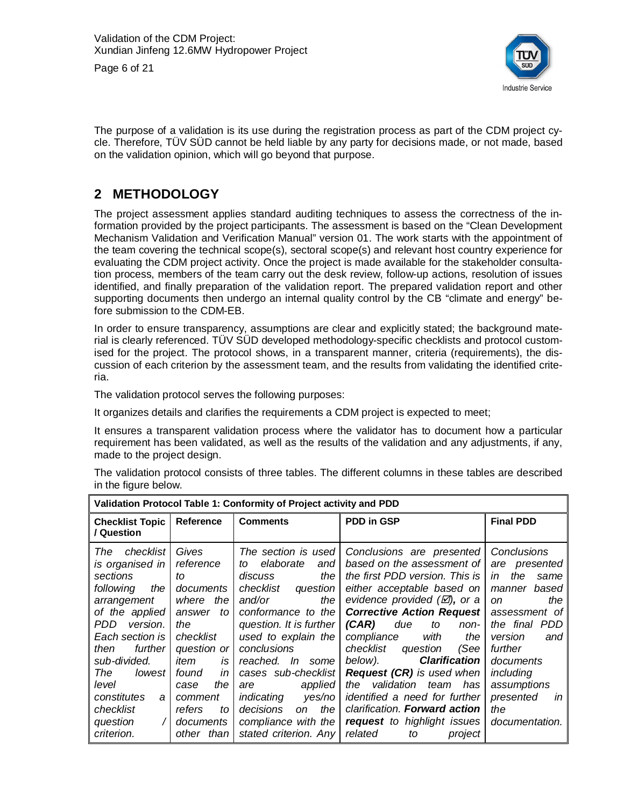



The purpose of a validation is its use during the registration process as part of the CDM project cycle. Therefore, TÜV SÜD cannot be held liable by any party for decisions made, or not made, based on the validation opinion, which will go beyond that purpose.

#### **2 METHODOLOGY**

The project assessment applies standard auditing techniques to assess the correctness of the information provided by the project participants. The assessment is based on the "Clean Development Mechanism Validation and Verification Manual" version 01. The work starts with the appointment of the team covering the technical scope(s), sectoral scope(s) and relevant host country experience for evaluating the CDM project activity. Once the project is made available for the stakeholder consultation process, members of the team carry out the desk review, follow-up actions, resolution of issues identified, and finally preparation of the validation report. The prepared validation report and other supporting documents then undergo an internal quality control by the CB "climate and energy" before submission to the CDM-EB.

In order to ensure transparency, assumptions are clear and explicitly stated; the background material is clearly referenced. TÜV SÜD developed methodology-specific checklists and protocol customised for the project. The protocol shows, in a transparent manner, criteria (requirements), the discussion of each criterion by the assessment team, and the results from validating the identified criteria.

The validation protocol serves the following purposes:

It organizes details and clarifies the requirements a CDM project is expected to meet;

It ensures a transparent validation process where the validator has to document how a particular requirement has been validated, as well as the results of the validation and any adjustments, if any, made to the project design.

The validation protocol consists of three tables. The different columns in these tables are described in the figure below.

|                                                                                                                                                                                                                                                                         | Validation Protocol Table 1: Conformity of Project activity and PDD                                                                                                                                       |                                                                                                                                                                                                                                                                                                                                                                            |                                                                                                                                                                                                                                                                                                                                                                                                                                                                                                                                       |                                                                                                                                                                                                                                                         |  |  |
|-------------------------------------------------------------------------------------------------------------------------------------------------------------------------------------------------------------------------------------------------------------------------|-----------------------------------------------------------------------------------------------------------------------------------------------------------------------------------------------------------|----------------------------------------------------------------------------------------------------------------------------------------------------------------------------------------------------------------------------------------------------------------------------------------------------------------------------------------------------------------------------|---------------------------------------------------------------------------------------------------------------------------------------------------------------------------------------------------------------------------------------------------------------------------------------------------------------------------------------------------------------------------------------------------------------------------------------------------------------------------------------------------------------------------------------|---------------------------------------------------------------------------------------------------------------------------------------------------------------------------------------------------------------------------------------------------------|--|--|
| <b>Checklist Topic</b><br>/ Question                                                                                                                                                                                                                                    | Reference                                                                                                                                                                                                 | <b>Comments</b>                                                                                                                                                                                                                                                                                                                                                            | PDD in GSP                                                                                                                                                                                                                                                                                                                                                                                                                                                                                                                            | <b>Final PDD</b>                                                                                                                                                                                                                                        |  |  |
| checklist<br>The<br>is organised in<br>sections<br>following<br>the<br>arrangement<br>of the applied<br>version.<br>PDD.<br>Each section is<br>further I<br>then<br>sub-divided.<br>The<br>lowest I<br>level<br>constitutes<br>a<br>checklist<br>question<br>criterion. | Gives<br>reference<br>to<br>documents<br>where the<br>answer<br>to<br>the<br>checklist<br>question or<br>item<br>is<br>found<br>in<br>the<br>case<br>comment<br>refers<br>to<br>documents<br>other than I | The section is used<br>elaborate<br>and<br>to<br>discuss<br>the<br>checklist<br>question<br>the<br>and/or<br>conformance to the<br>question. It is further<br>used to explain the<br>conclusions<br>reached. In some<br>cases sub-checklist<br>applied<br>are<br>yes/no<br>indicating<br>decisions<br>the<br><sub>on</sub><br>compliance with the<br>stated criterion. Any | Conclusions are presented<br>based on the assessment of<br>the first PDD version. This is<br>either acceptable based on<br>evidence provided $(\varnothing)$ , or a<br><b>Corrective Action Request</b><br>(CAR)<br>due<br>to<br>non-<br>compliance<br>with<br>the<br>checklist question<br>(See<br><b>Clarification</b><br>below).<br><b>Request (CR)</b> is used when<br>validation team<br>the<br>has<br>identified a need for further<br>clarification. Forward action<br>request to highlight issues<br>related<br>to<br>project | Conclusions<br>are <i>presented</i><br>the<br>in<br>same<br>based<br>manner<br>the<br><sub>on</sub><br>assessment of<br>the final PDD<br>version<br>and<br>further<br>documents<br>including<br>assumptions<br>presented<br>in<br>the<br>documentation. |  |  |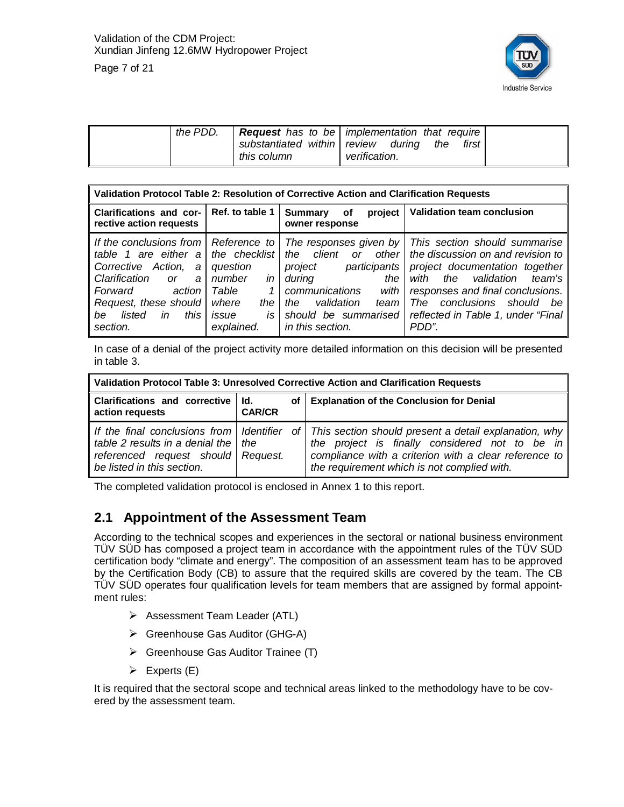

| Page 7 of 21 |  |  |  |
|--------------|--|--|--|
|--------------|--|--|--|

|  | the PDD. | substantiated within review<br>this column | <b>Request</b> has to be   implementation that require<br>durina<br>the<br>first<br>verification. |  |
|--|----------|--------------------------------------------|---------------------------------------------------------------------------------------------------|--|
|--|----------|--------------------------------------------|---------------------------------------------------------------------------------------------------|--|

|                                                                                                                                                                                                                   | Validation Protocol Table 2: Resolution of Corrective Action and Clarification Requests              |                                                                                                                                                                                                                |                                                                                                                                                                                                                                                             |  |  |  |  |
|-------------------------------------------------------------------------------------------------------------------------------------------------------------------------------------------------------------------|------------------------------------------------------------------------------------------------------|----------------------------------------------------------------------------------------------------------------------------------------------------------------------------------------------------------------|-------------------------------------------------------------------------------------------------------------------------------------------------------------------------------------------------------------------------------------------------------------|--|--|--|--|
| Ref. to table 1<br><b>Clarifications and cor-</b><br>rective action requests                                                                                                                                      |                                                                                                      | project<br>Summary<br>of<br>owner response                                                                                                                                                                     | <b>Validation team conclusion</b>                                                                                                                                                                                                                           |  |  |  |  |
| If the conclusions from   Reference to<br>table 1 are either $a \mid$<br>Corrective Action, a<br>Clarification<br>a<br>or<br>Forward<br>action<br>Request, these should<br>this<br>in<br>be<br>listed<br>section. | the checklist<br>question<br>in<br>number<br>Table<br>1<br>where<br>the<br>is<br>issue<br>explained. | The responses given by<br>other<br>client<br><b>or</b><br>the<br>project<br>participants  <br>during<br>the<br>communications<br>with<br>validation<br>the<br>team<br>should be summarised<br>in this section. | This section should summarise<br>the discussion on and revision to<br>project documentation together<br>team's<br>the validation<br>with<br>responses and final conclusions.<br>The conclusions should<br>be<br>reflected in Table 1, under "Final<br>PDD". |  |  |  |  |

In case of a denial of the project activity more detailed information on this decision will be presented in table 3.

| Validation Protocol Table 3: Unresolved Corrective Action and Clarification Requests                        |  |  |                                                                                                                                                                                                                                                                 |  |
|-------------------------------------------------------------------------------------------------------------|--|--|-----------------------------------------------------------------------------------------------------------------------------------------------------------------------------------------------------------------------------------------------------------------|--|
| Clarifications and corrective   Id.<br>action requests<br><b>CAR/CR</b>                                     |  |  | of   Explanation of the Conclusion for Denial                                                                                                                                                                                                                   |  |
| table 2 results in a denial the $ $ the<br>referenced request should Request.<br>be listed in this section. |  |  | If the final conclusions from   Identifier of   This section should present a detail explanation, why<br>the project is finally considered not to be in<br>compliance with a criterion with a clear reference to<br>the requirement which is not complied with. |  |

The completed validation protocol is enclosed in Annex 1 to this report.

#### **2.1 Appointment of the Assessment Team**

According to the technical scopes and experiences in the sectoral or national business environment TÜV SÜD has composed a project team in accordance with the appointment rules of the TÜV SÜD certification body "climate and energy". The composition of an assessment team has to be approved by the Certification Body (CB) to assure that the required skills are covered by the team. The CB TÜV SÜD operates four qualification levels for team members that are assigned by formal appointment rules:

- ¾ Assessment Team Leader (ATL)
- ¾ Greenhouse Gas Auditor (GHG-A)
- $\triangleright$  Greenhouse Gas Auditor Trainee (T)
- $\triangleright$  Experts (E)

It is required that the sectoral scope and technical areas linked to the methodology have to be covered by the assessment team.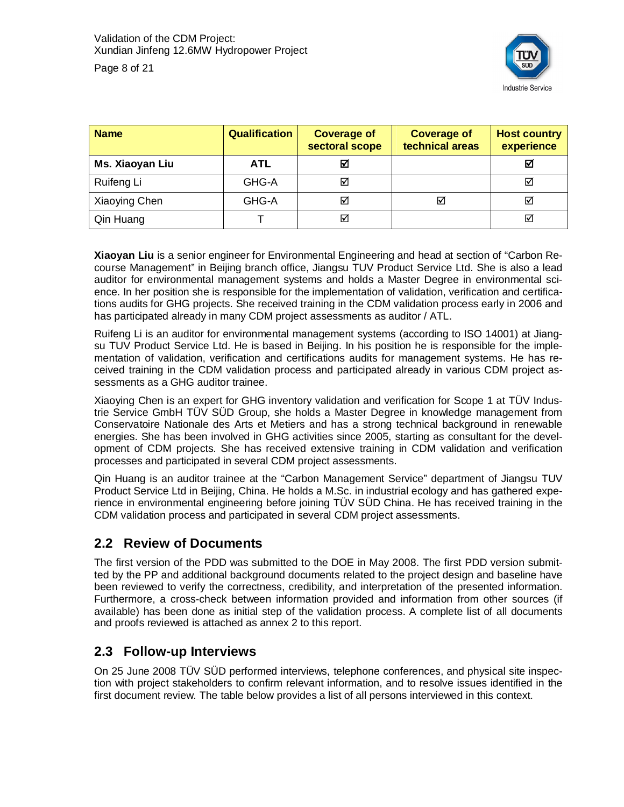

| <b>Name</b>     | <b>Qualification</b> | <b>Coverage of</b><br>sectoral scope | <b>Coverage of</b><br>technical areas | <b>Host country</b><br>experience |
|-----------------|----------------------|--------------------------------------|---------------------------------------|-----------------------------------|
| Ms. Xiaoyan Liu | <b>ATL</b>           | М                                    |                                       | ☑                                 |
| Ruifeng Li      | GHG-A                |                                      |                                       | ☑                                 |
| Xiaoying Chen   | GHG-A                | ⊠                                    | ⊽                                     | $\checkmark$                      |
| Qin Huang       |                      |                                      |                                       | ☑                                 |

**Xiaoyan Liu** is a senior engineer for Environmental Engineering and head at section of "Carbon Recourse Management" in Beijing branch office, Jiangsu TUV Product Service Ltd. She is also a lead auditor for environmental management systems and holds a Master Degree in environmental science. In her position she is responsible for the implementation of validation, verification and certifications audits for GHG projects. She received training in the CDM validation process early in 2006 and has participated already in many CDM project assessments as auditor / ATL.

Ruifeng Li is an auditor for environmental management systems (according to ISO 14001) at Jiangsu TUV Product Service Ltd. He is based in Beijing. In his position he is responsible for the implementation of validation, verification and certifications audits for management systems. He has received training in the CDM validation process and participated already in various CDM project assessments as a GHG auditor trainee.

Xiaoying Chen is an expert for GHG inventory validation and verification for Scope 1 at TÜV Industrie Service GmbH TÜV SÜD Group, she holds a Master Degree in knowledge management from Conservatoire Nationale des Arts et Metiers and has a strong technical background in renewable energies. She has been involved in GHG activities since 2005, starting as consultant for the development of CDM projects. She has received extensive training in CDM validation and verification processes and participated in several CDM project assessments.

Qin Huang is an auditor trainee at the "Carbon Management Service" department of Jiangsu TUV Product Service Ltd in Beijing, China. He holds a M.Sc. in industrial ecology and has gathered experience in environmental engineering before joining TÜV SÜD China. He has received training in the CDM validation process and participated in several CDM project assessments.

#### **2.2 Review of Documents**

The first version of the PDD was submitted to the DOE in May 2008. The first PDD version submitted by the PP and additional background documents related to the project design and baseline have been reviewed to verify the correctness, credibility, and interpretation of the presented information. Furthermore, a cross-check between information provided and information from other sources (if available) has been done as initial step of the validation process. A complete list of all documents and proofs reviewed is attached as annex 2 to this report.

#### **2.3 Follow-up Interviews**

On 25 June 2008 TÜV SÜD performed interviews, telephone conferences, and physical site inspection with project stakeholders to confirm relevant information, and to resolve issues identified in the first document review. The table below provides a list of all persons interviewed in this context.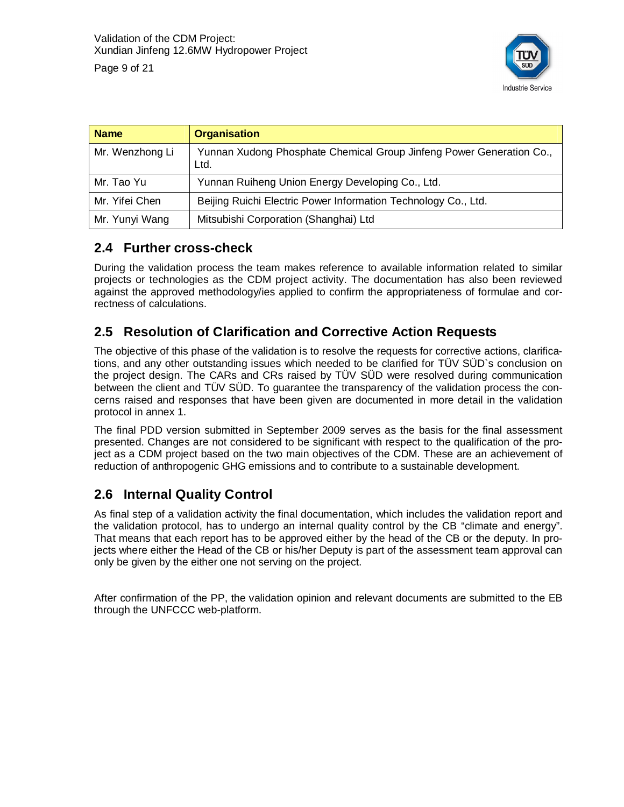

| Page 9 of 21 |  |
|--------------|--|

| <b>Name</b>     | <b>Organisation</b>                                                          |
|-----------------|------------------------------------------------------------------------------|
| Mr. Wenzhong Li | Yunnan Xudong Phosphate Chemical Group Jinfeng Power Generation Co.,<br>Ltd. |
| Mr. Tao Yu      | Yunnan Ruiheng Union Energy Developing Co., Ltd.                             |
| Mr. Yifei Chen  | Beijing Ruichi Electric Power Information Technology Co., Ltd.               |
| Mr. Yunyi Wang  | Mitsubishi Corporation (Shanghai) Ltd                                        |

#### **2.4 Further cross-check**

During the validation process the team makes reference to available information related to similar projects or technologies as the CDM project activity. The documentation has also been reviewed against the approved methodology/ies applied to confirm the appropriateness of formulae and correctness of calculations.

#### **2.5 Resolution of Clarification and Corrective Action Requests**

The objective of this phase of the validation is to resolve the requests for corrective actions, clarifications, and any other outstanding issues which needed to be clarified for TÜV SÜD`s conclusion on the project design. The CARs and CRs raised by TÜV SÜD were resolved during communication between the client and TÜV SÜD. To guarantee the transparency of the validation process the concerns raised and responses that have been given are documented in more detail in the validation protocol in annex 1.

The final PDD version submitted in September 2009 serves as the basis for the final assessment presented. Changes are not considered to be significant with respect to the qualification of the project as a CDM project based on the two main objectives of the CDM. These are an achievement of reduction of anthropogenic GHG emissions and to contribute to a sustainable development.

#### **2.6 Internal Quality Control**

As final step of a validation activity the final documentation, which includes the validation report and the validation protocol, has to undergo an internal quality control by the CB "climate and energy". That means that each report has to be approved either by the head of the CB or the deputy. In projects where either the Head of the CB or his/her Deputy is part of the assessment team approval can only be given by the either one not serving on the project.

After confirmation of the PP, the validation opinion and relevant documents are submitted to the EB through the UNFCCC web-platform.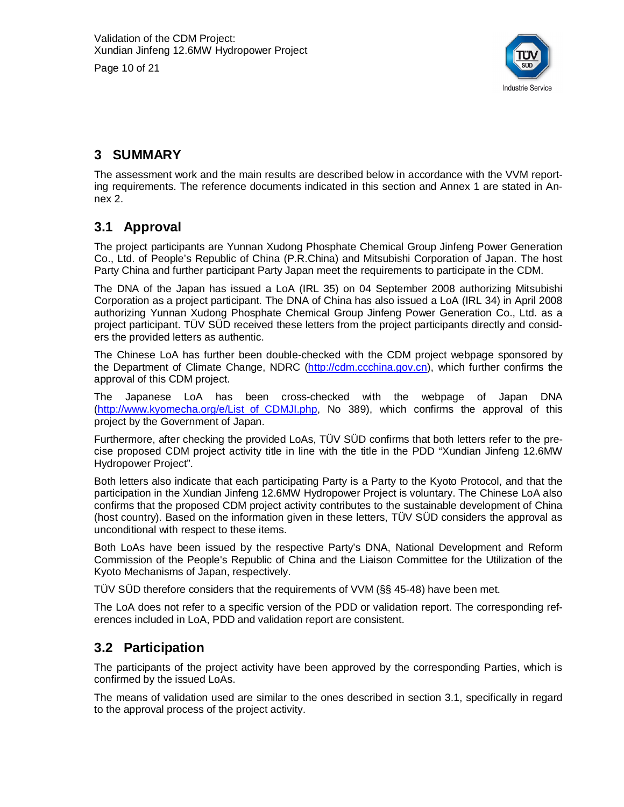Page 10 of 21



#### **3 SUMMARY**

The assessment work and the main results are described below in accordance with the VVM reporting requirements. The reference documents indicated in this section and Annex 1 are stated in Annex 2.

#### **3.1 Approval**

The project participants are Yunnan Xudong Phosphate Chemical Group Jinfeng Power Generation Co., Ltd. of People's Republic of China (P.R.China) and Mitsubishi Corporation of Japan. The host Party China and further participant Party Japan meet the requirements to participate in the CDM.

The DNA of the Japan has issued a LoA (IRL 35) on 04 September 2008 authorizing Mitsubishi Corporation as a project participant. The DNA of China has also issued a LoA (IRL 34) in April 2008 authorizing Yunnan Xudong Phosphate Chemical Group Jinfeng Power Generation Co., Ltd. as a project participant. TÜV SÜD received these letters from the project participants directly and considers the provided letters as authentic.

The Chinese LoA has further been double-checked with the CDM project webpage sponsored by the Department of Climate Change, NDRC [\(http://cdm.ccchina.gov.cn](http://cdm.ccchina.gov.cn)), which further confirms the approval of this CDM project.

The Japanese LoA has been cross-checked with the webpage of Japan DNA ([http://www.kyomecha.org/e/List\\_of\\_CDMJI.php,](http://www.kyomecha.org/e/List_of_CDMJI.php) No 389), which confirms the approval of this project by the Government of Japan.

Furthermore, after checking the provided LoAs, TÜV SÜD confirms that both letters refer to the precise proposed CDM project activity title in line with the title in the PDD "Xundian Jinfeng 12.6MW Hydropower Project".

Both letters also indicate that each participating Party is a Party to the Kyoto Protocol, and that the participation in the Xundian Jinfeng 12.6MW Hydropower Project is voluntary. The Chinese LoA also confirms that the proposed CDM project activity contributes to the sustainable development of China (host country). Based on the information given in these letters, TÜV SÜD considers the approval as unconditional with respect to these items.

Both LoAs have been issued by the respective Party's DNA, National Development and Reform Commission of the People's Republic of China and the Liaison Committee for the Utilization of the Kyoto Mechanisms of Japan, respectively.

TÜV SÜD therefore considers that the requirements of VVM (§§ 45-48) have been met.

The LoA does not refer to a specific version of the PDD or validation report. The corresponding references included in LoA, PDD and validation report are consistent.

#### **3.2 Participation**

The participants of the project activity have been approved by the corresponding Parties, which is confirmed by the issued LoAs.

The means of validation used are similar to the ones described in section 3.1, specifically in regard to the approval process of the project activity.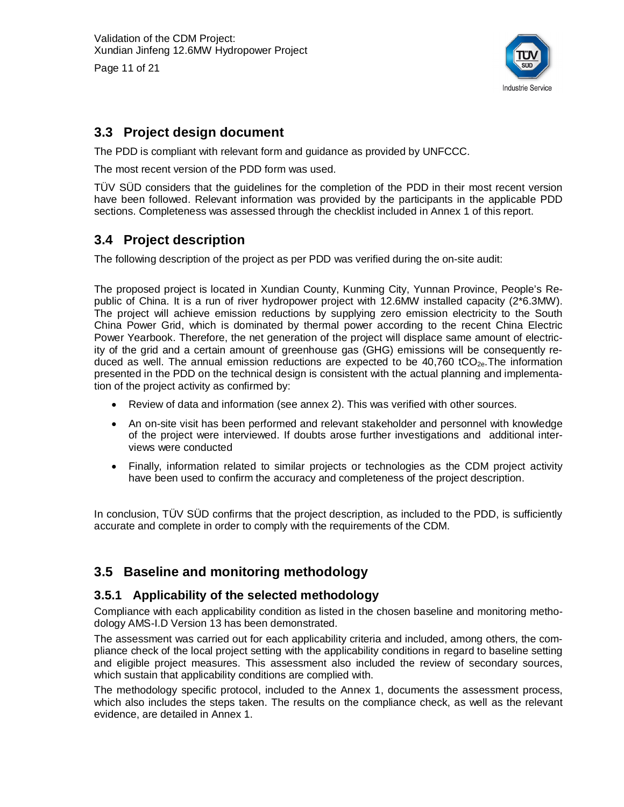Page 11 of 21



#### **3.3 Project design document**

The PDD is compliant with relevant form and guidance as provided by UNFCCC.

The most recent version of the PDD form was used.

TÜV SÜD considers that the guidelines for the completion of the PDD in their most recent version have been followed. Relevant information was provided by the participants in the applicable PDD sections. Completeness was assessed through the checklist included in Annex 1 of this report.

#### **3.4 Project description**

The following description of the project as per PDD was verified during the on-site audit:

The proposed project is located in Xundian County, Kunming City, Yunnan Province, People's Republic of China. It is a run of river hydropower project with 12.6MW installed capacity (2\*6.3MW). The project will achieve emission reductions by supplying zero emission electricity to the South China Power Grid, which is dominated by thermal power according to the recent China Electric Power Yearbook. Therefore, the net generation of the project will displace same amount of electricity of the grid and a certain amount of greenhouse gas (GHG) emissions will be consequently reduced as well. The annual emission reductions are expected to be  $40,760$  tCO<sub>2e</sub>. The information presented in the PDD on the technical design is consistent with the actual planning and implementation of the project activity as confirmed by:

- Review of data and information (see annex 2). This was verified with other sources.
- An on-site visit has been performed and relevant stakeholder and personnel with knowledge of the project were interviewed. If doubts arose further investigations and additional interviews were conducted
- Finally, information related to similar projects or technologies as the CDM project activity have been used to confirm the accuracy and completeness of the project description.

In conclusion, TÜV SÜD confirms that the project description, as included to the PDD, is sufficiently accurate and complete in order to comply with the requirements of the CDM.

#### **3.5 Baseline and monitoring methodology**

#### **3.5.1 Applicability of the selected methodology**

Compliance with each applicability condition as listed in the chosen baseline and monitoring methodology AMS-I.D Version 13 has been demonstrated.

The assessment was carried out for each applicability criteria and included, among others, the compliance check of the local project setting with the applicability conditions in regard to baseline setting and eligible project measures. This assessment also included the review of secondary sources, which sustain that applicability conditions are complied with.

The methodology specific protocol, included to the Annex 1, documents the assessment process, which also includes the steps taken. The results on the compliance check, as well as the relevant evidence, are detailed in Annex 1.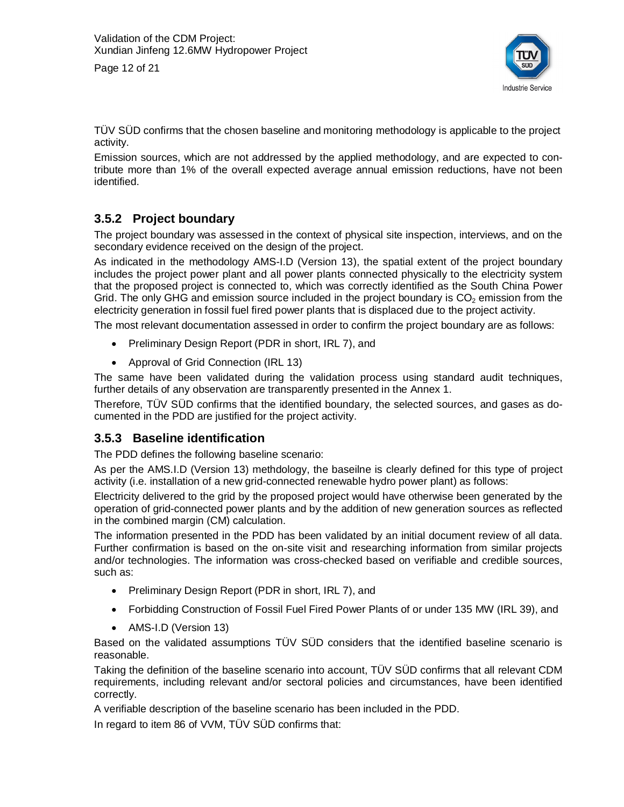Page 12 of 21



TÜV SÜD confirms that the chosen baseline and monitoring methodology is applicable to the project activity.

Emission sources, which are not addressed by the applied methodology, and are expected to contribute more than 1% of the overall expected average annual emission reductions, have not been identified.

#### **3.5.2 Project boundary**

The project boundary was assessed in the context of physical site inspection, interviews, and on the secondary evidence received on the design of the project.

As indicated in the methodology AMS-I.D (Version 13), the spatial extent of the project boundary includes the project power plant and all power plants connected physically to the electricity system that the proposed project is connected to, which was correctly identified as the South China Power Grid. The only GHG and emission source included in the project boundary is  $CO<sub>2</sub>$  emission from the electricity generation in fossil fuel fired power plants that is displaced due to the project activity.

The most relevant documentation assessed in order to confirm the project boundary are as follows:

- Preliminary Design Report (PDR in short, IRL 7), and
- Approval of Grid Connection (IRL 13)

The same have been validated during the validation process using standard audit techniques, further details of any observation are transparently presented in the Annex 1.

Therefore, TÜV SÜD confirms that the identified boundary, the selected sources, and gases as documented in the PDD are justified for the project activity.

#### **3.5.3 Baseline identification**

The PDD defines the following baseline scenario:

As per the AMS.I.D (Version 13) methdology, the baseilne is clearly defined for this type of project activity (i.e. installation of a new grid-connected renewable hydro power plant) as follows:

Electricity delivered to the grid by the proposed project would have otherwise been generated by the operation of grid-connected power plants and by the addition of new generation sources as reflected in the combined margin (CM) calculation.

The information presented in the PDD has been validated by an initial document review of all data. Further confirmation is based on the on-site visit and researching information from similar projects and/or technologies. The information was cross-checked based on verifiable and credible sources, such as:

- Preliminary Design Report (PDR in short, IRL 7), and
- Forbidding Construction of Fossil Fuel Fired Power Plants of or under 135 MW (IRL 39), and
- AMS-I.D (Version 13)

Based on the validated assumptions TÜV SÜD considers that the identified baseline scenario is reasonable.

Taking the definition of the baseline scenario into account, TÜV SÜD confirms that all relevant CDM requirements, including relevant and/or sectoral policies and circumstances, have been identified correctly.

A verifiable description of the baseline scenario has been included in the PDD.

In regard to item 86 of VVM, TÜV SÜD confirms that: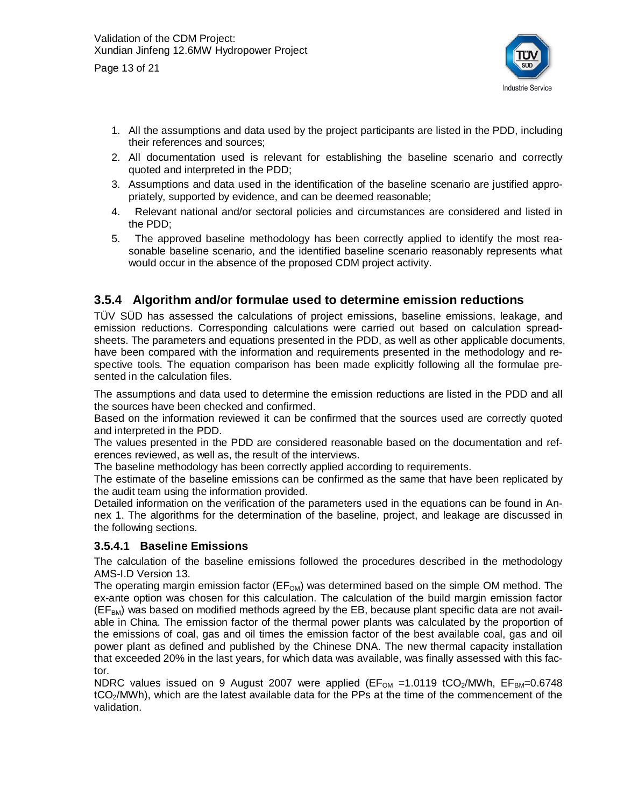Page 13 of 21



- 1. All the assumptions and data used by the project participants are listed in the PDD, including their references and sources;
- 2. All documentation used is relevant for establishing the baseline scenario and correctly quoted and interpreted in the PDD;
- 3. Assumptions and data used in the identification of the baseline scenario are justified appropriately, supported by evidence, and can be deemed reasonable;
- 4. Relevant national and/or sectoral policies and circumstances are considered and listed in the PDD;
- 5. The approved baseline methodology has been correctly applied to identify the most reasonable baseline scenario, and the identified baseline scenario reasonably represents what would occur in the absence of the proposed CDM project activity.

#### **3.5.4 Algorithm and/or formulae used to determine emission reductions**

TÜV SÜD has assessed the calculations of project emissions, baseline emissions, leakage, and emission reductions. Corresponding calculations were carried out based on calculation spreadsheets. The parameters and equations presented in the PDD, as well as other applicable documents, have been compared with the information and requirements presented in the methodology and respective tools. The equation comparison has been made explicitly following all the formulae presented in the calculation files.

The assumptions and data used to determine the emission reductions are listed in the PDD and all the sources have been checked and confirmed.

Based on the information reviewed it can be confirmed that the sources used are correctly quoted and interpreted in the PDD.

The values presented in the PDD are considered reasonable based on the documentation and references reviewed, as well as, the result of the interviews.

The baseline methodology has been correctly applied according to requirements.

The estimate of the baseline emissions can be confirmed as the same that have been replicated by the audit team using the information provided.

Detailed information on the verification of the parameters used in the equations can be found in Annex 1. The algorithms for the determination of the baseline, project, and leakage are discussed in the following sections.

#### **3.5.4.1 Baseline Emissions**

The calculation of the baseline emissions followed the procedures described in the methodology AMS-I.D Version 13.

The operating margin emission factor ( $EF_{OM}$ ) was determined based on the simple OM method. The ex-ante option was chosen for this calculation. The calculation of the build margin emission factor  $(EF<sub>BM</sub>)$  was based on modified methods agreed by the EB, because plant specific data are not available in China. The emission factor of the thermal power plants was calculated by the proportion of the emissions of coal, gas and oil times the emission factor of the best available coal, gas and oil power plant as defined and published by the Chinese DNA. The new thermal capacity installation that exceeded 20% in the last years, for which data was available, was finally assessed with this factor.

NDRC values issued on 9 August 2007 were applied ( $EF_{OM} = 1.0119$  tCO<sub>2</sub>/MWh,  $EF_{BM}=0.6748$ tCO<sub>2</sub>/MWh), which are the latest available data for the PPs at the time of the commencement of the validation.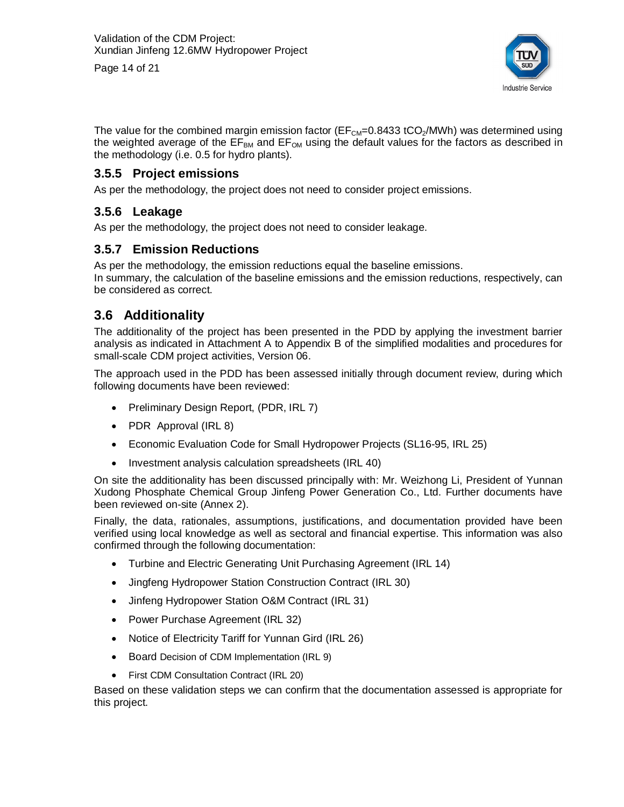Page 14 of 21



The value for the combined margin emission factor ( $E_{\text{CM}}=0.8433$  tCO<sub>2</sub>/MWh) was determined using the weighted average of the  $EF<sub>BM</sub>$  and  $EF<sub>OM</sub>$  using the default values for the factors as described in the methodology (i.e. 0.5 for hydro plants).

#### **3.5.5 Project emissions**

As per the methodology, the project does not need to consider project emissions.

#### **3.5.6 Leakage**

As per the methodology, the project does not need to consider leakage.

#### **3.5.7 Emission Reductions**

As per the methodology, the emission reductions equal the baseline emissions. In summary, the calculation of the baseline emissions and the emission reductions, respectively, can be considered as correct.

#### **3.6 Additionality**

The additionality of the project has been presented in the PDD by applying the investment barrier analysis as indicated in Attachment A to Appendix B of the simplified modalities and procedures for small-scale CDM project activities, Version 06.

The approach used in the PDD has been assessed initially through document review, during which following documents have been reviewed:

- Preliminary Design Report, (PDR, IRL 7)
- PDR Approval (IRL 8)
- Economic Evaluation Code for Small Hydropower Projects (SL16-95, IRL 25)
- Investment analysis calculation spreadsheets (IRL 40)

On site the additionality has been discussed principally with: Mr. Weizhong Li, President of Yunnan Xudong Phosphate Chemical Group Jinfeng Power Generation Co., Ltd. Further documents have been reviewed on-site (Annex 2).

Finally, the data, rationales, assumptions, justifications, and documentation provided have been verified using local knowledge as well as sectoral and financial expertise. This information was also confirmed through the following documentation:

- Turbine and Electric Generating Unit Purchasing Agreement (IRL 14)
- Jingfeng Hydropower Station Construction Contract (IRL 30)
- Jinfeng Hydropower Station O&M Contract (IRL 31)
- Power Purchase Agreement (IRL 32)
- Notice of Electricity Tariff for Yunnan Gird (IRL 26)
- Board Decision of CDM Implementation (IRL 9)
- First CDM Consultation Contract (IRL 20)

Based on these validation steps we can confirm that the documentation assessed is appropriate for this project.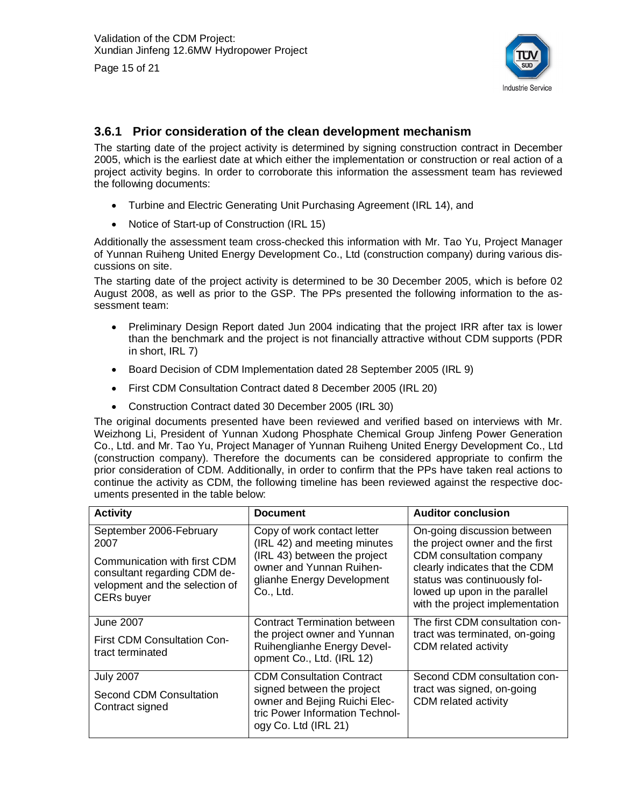

Page 15 of 21

#### **3.6.1 Prior consideration of the clean development mechanism**

The starting date of the project activity is determined by signing construction contract in December 2005, which is the earliest date at which either the implementation or construction or real action of a project activity begins. In order to corroborate this information the assessment team has reviewed the following documents:

- Turbine and Electric Generating Unit Purchasing Agreement (IRL 14), and
- Notice of Start-up of Construction (IRL 15)

Additionally the assessment team cross-checked this information with Mr. Tao Yu, Project Manager of Yunnan Ruiheng United Energy Development Co., Ltd (construction company) during various discussions on site.

The starting date of the project activity is determined to be 30 December 2005, which is before 02 August 2008, as well as prior to the GSP. The PPs presented the following information to the assessment team:

- Preliminary Design Report dated Jun 2004 indicating that the project IRR after tax is lower than the benchmark and the project is not financially attractive without CDM supports (PDR in short, IRL 7)
- Board Decision of CDM Implementation dated 28 September 2005 (IRL 9)
- First CDM Consultation Contract dated 8 December 2005 (IRL 20)
- Construction Contract dated 30 December 2005 (IRL 30)

The original documents presented have been reviewed and verified based on interviews with Mr. Weizhong Li, President of Yunnan Xudong Phosphate Chemical Group Jinfeng Power Generation Co., Ltd. and Mr. Tao Yu, Project Manager of Yunnan Ruiheng United Energy Development Co., Ltd (construction company). Therefore the documents can be considered appropriate to confirm the prior consideration of CDM. Additionally, in order to confirm that the PPs have taken real actions to continue the activity as CDM, the following timeline has been reviewed against the respective documents presented in the table below:

| <b>Activity</b>                                                                                                     | <b>Document</b>                                                                                                        | <b>Auditor conclusion</b>                                                                                                                                      |
|---------------------------------------------------------------------------------------------------------------------|------------------------------------------------------------------------------------------------------------------------|----------------------------------------------------------------------------------------------------------------------------------------------------------------|
| September 2006-February<br>2007                                                                                     | Copy of work contact letter<br>(IRL 42) and meeting minutes                                                            | On-going discussion between<br>the project owner and the first                                                                                                 |
| Communication with first CDM<br>consultant regarding CDM de-<br>velopment and the selection of<br><b>CERs buyer</b> | (IRL 43) between the project<br>owner and Yunnan Ruihen-<br>glianhe Energy Development<br>Co., Ltd.                    | CDM consultation company<br>clearly indicates that the CDM<br>status was continuously fol-<br>lowed up upon in the parallel<br>with the project implementation |
| June 2007                                                                                                           | <b>Contract Termination between</b>                                                                                    | The first CDM consultation con-                                                                                                                                |
| <b>First CDM Consultation Con-</b><br>tract terminated                                                              | the project owner and Yunnan<br>Ruihenglianhe Energy Devel-<br>opment Co., Ltd. (IRL 12)                               | tract was terminated, on-going<br>CDM related activity                                                                                                         |
| <b>July 2007</b>                                                                                                    | <b>CDM Consultation Contract</b>                                                                                       | Second CDM consultation con-                                                                                                                                   |
| Second CDM Consultation<br>Contract signed                                                                          | signed between the project<br>owner and Bejing Ruichi Elec-<br>tric Power Information Technol-<br>ogy Co. Ltd (IRL 21) | tract was signed, on-going<br>CDM related activity                                                                                                             |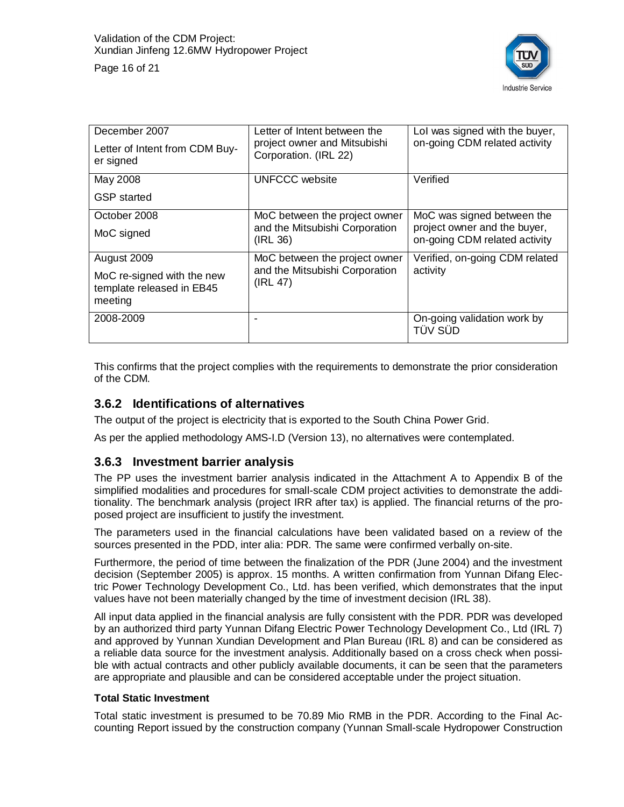

| December 2007<br>Letter of Intent from CDM Buy-<br>er signed                      | Letter of Intent between the<br>project owner and Mitsubishi<br>Corporation. (IRL 22) | Lol was signed with the buyer,<br>on-going CDM related activity                             |
|-----------------------------------------------------------------------------------|---------------------------------------------------------------------------------------|---------------------------------------------------------------------------------------------|
| May 2008<br><b>GSP</b> started                                                    | <b>UNFCCC</b> website                                                                 | Verified                                                                                    |
| October 2008<br>MoC signed                                                        | MoC between the project owner<br>and the Mitsubishi Corporation<br>(IRL 36)           | MoC was signed between the<br>project owner and the buyer,<br>on-going CDM related activity |
| August 2009<br>MoC re-signed with the new<br>template released in EB45<br>meeting | MoC between the project owner<br>and the Mitsubishi Corporation<br>(IRL 47)           | Verified, on-going CDM related<br>activity                                                  |
| 2008-2009                                                                         |                                                                                       | On-going validation work by<br>TÜV SÜD                                                      |

This confirms that the project complies with the requirements to demonstrate the prior consideration of the CDM.

#### **3.6.2 Identifications of alternatives**

The output of the project is electricity that is exported to the South China Power Grid.

As per the applied methodology AMS-I.D (Version 13), no alternatives were contemplated.

#### **3.6.3 Investment barrier analysis**

The PP uses the investment barrier analysis indicated in the Attachment A to Appendix B of the simplified modalities and procedures for small-scale CDM project activities to demonstrate the additionality. The benchmark analysis (project IRR after tax) is applied. The financial returns of the proposed project are insufficient to justify the investment.

The parameters used in the financial calculations have been validated based on a review of the sources presented in the PDD, inter alia: PDR. The same were confirmed verbally on-site.

Furthermore, the period of time between the finalization of the PDR (June 2004) and the investment decision (September 2005) is approx. 15 months. A written confirmation from Yunnan Difang Electric Power Technology Development Co., Ltd. has been verified, which demonstrates that the input values have not been materially changed by the time of investment decision (IRL 38).

All input data applied in the financial analysis are fully consistent with the PDR. PDR was developed by an authorized third party Yunnan Difang Electric Power Technology Development Co., Ltd (IRL 7) and approved by Yunnan Xundian Development and Plan Bureau (IRL 8) and can be considered as a reliable data source for the investment analysis. Additionally based on a cross check when possible with actual contracts and other publicly available documents, it can be seen that the parameters are appropriate and plausible and can be considered acceptable under the project situation.

#### **Total Static Investment**

Total static investment is presumed to be 70.89 Mio RMB in the PDR. According to the Final Accounting Report issued by the construction company (Yunnan Small-scale Hydropower Construction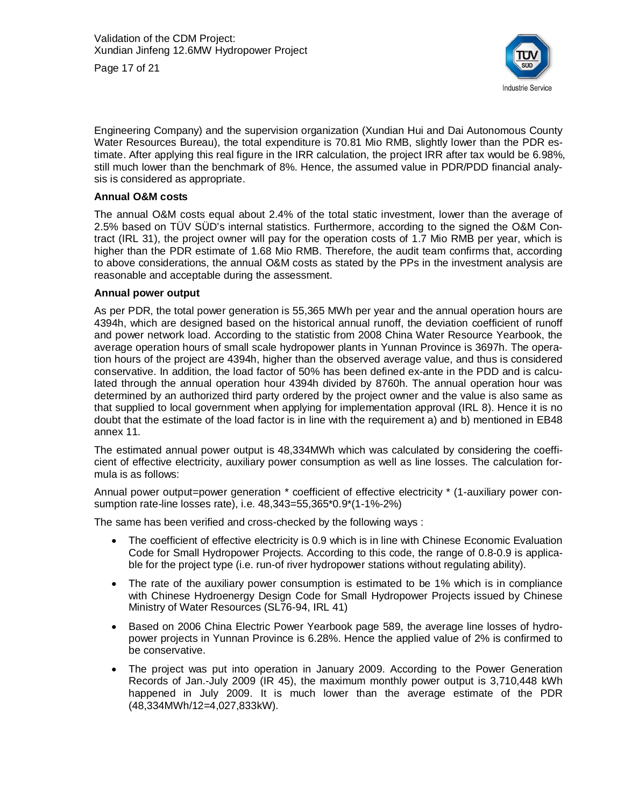Page 17 of 21



Engineering Company) and the supervision organization (Xundian Hui and Dai Autonomous County Water Resources Bureau), the total expenditure is 70.81 Mio RMB, slightly lower than the PDR estimate. After applying this real figure in the IRR calculation, the project IRR after tax would be 6.98%, still much lower than the benchmark of 8%. Hence, the assumed value in PDR/PDD financial analysis is considered as appropriate.

#### **Annual O&M costs**

The annual O&M costs equal about 2.4% of the total static investment, lower than the average of 2.5% based on TÜV SÜD's internal statistics. Furthermore, according to the signed the O&M Contract (IRL 31), the project owner will pay for the operation costs of 1.7 Mio RMB per year, which is higher than the PDR estimate of 1.68 Mio RMB. Therefore, the audit team confirms that, according to above considerations, the annual O&M costs as stated by the PPs in the investment analysis are reasonable and acceptable during the assessment.

#### **Annual power output**

As per PDR, the total power generation is 55,365 MWh per year and the annual operation hours are 4394h, which are designed based on the historical annual runoff, the deviation coefficient of runoff and power network load. According to the statistic from 2008 China Water Resource Yearbook, the average operation hours of small scale hydropower plants in Yunnan Province is 3697h. The operation hours of the project are 4394h, higher than the observed average value, and thus is considered conservative. In addition, the load factor of 50% has been defined ex-ante in the PDD and is calculated through the annual operation hour 4394h divided by 8760h. The annual operation hour was determined by an authorized third party ordered by the project owner and the value is also same as that supplied to local government when applying for implementation approval (IRL 8). Hence it is no doubt that the estimate of the load factor is in line with the requirement a) and b) mentioned in EB48 annex 11.

The estimated annual power output is 48,334MWh which was calculated by considering the coefficient of effective electricity, auxiliary power consumption as well as line losses. The calculation formula is as follows:

Annual power output=power generation \* coefficient of effective electricity \* (1-auxiliary power consumption rate-line losses rate), i.e. 48,343=55,365\*0.9\*(1-1%-2%)

The same has been verified and cross-checked by the following ways :

- The coefficient of effective electricity is 0.9 which is in line with Chinese Economic Evaluation Code for Small Hydropower Projects. According to this code, the range of 0.8-0.9 is applicable for the project type (i.e. run-of river hydropower stations without regulating ability).
- The rate of the auxiliary power consumption is estimated to be 1% which is in compliance with Chinese Hydroenergy Design Code for Small Hydropower Projects issued by Chinese Ministry of Water Resources (SL76-94, IRL 41)
- Based on 2006 China Electric Power Yearbook page 589, the average line losses of hydropower projects in Yunnan Province is 6.28%. Hence the applied value of 2% is confirmed to be conservative.
- The project was put into operation in January 2009. According to the Power Generation Records of Jan.-July 2009 (IR 45), the maximum monthly power output is 3,710,448 kWh happened in July 2009. It is much lower than the average estimate of the PDR (48,334MWh/12=4,027,833kW).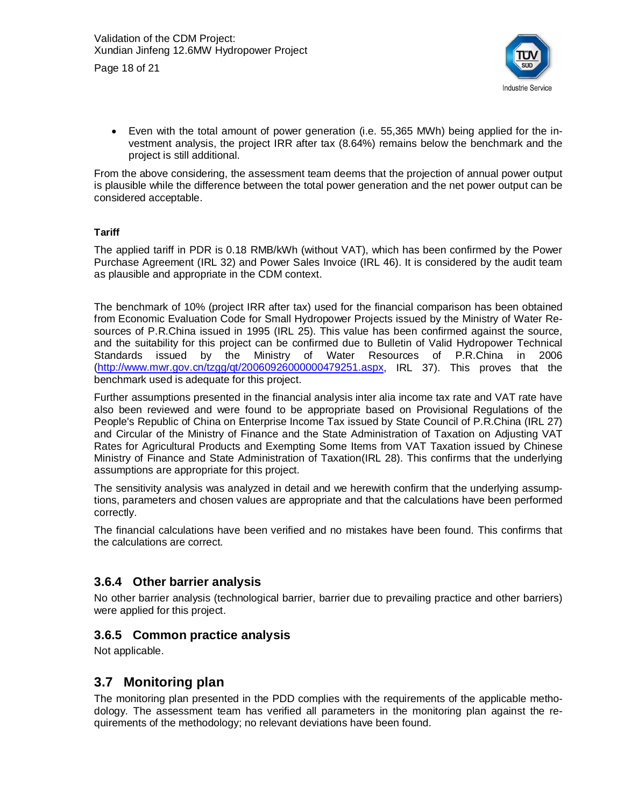Page 18 of 21



 $\bullet$  Even with the total amount of power generation (i.e. 55,365 MWh) being applied for the investment analysis, the project IRR after tax (8.64%) remains below the benchmark and the project is still additional.

From the above considering, the assessment team deems that the projection of annual power output is plausible while the difference between the total power generation and the net power output can be considered acceptable.

#### **Tariff**

The applied tariff in PDR is 0.18 RMB/kWh (without VAT), which has been confirmed by the Power Purchase Agreement (IRL 32) and Power Sales Invoice (IRL 46). It is considered by the audit team as plausible and appropriate in the CDM context.

The benchmark of 10% (project IRR after tax) used for the financial comparison has been obtained from Economic Evaluation Code for Small Hydropower Projects issued by the Ministry of Water Resources of P.R.China issued in 1995 (IRL 25). This value has been confirmed against the source, and the suitability for this project can be confirmed due to Bulletin of Valid Hydropower Technical Standards issued by the Ministry of Water Resources of P.R.China in 2006 ([http://www.mwr.gov.cn/tzgg/qt/20060926000000479251.aspx,](http://www.mwr.gov.cn/tzgg/qt/20060926000000479251.aspx) IRL 37). This proves that the benchmark used is adequate for this project.

Further assumptions presented in the financial analysis inter alia income tax rate and VAT rate have also been reviewed and were found to be appropriate based on Provisional Regulations of the People's Republic of China on Enterprise Income Tax issued by State Council of P.R.China (IRL 27) and Circular of the Ministry of Finance and the State Administration of Taxation on Adjusting VAT Rates for Agricultural Products and Exempting Some Items from VAT Taxation issued by Chinese Ministry of Finance and State Administration of Taxation(IRL 28). This confirms that the underlying assumptions are appropriate for this project.

The sensitivity analysis was analyzed in detail and we herewith confirm that the underlying assumptions, parameters and chosen values are appropriate and that the calculations have been performed correctly.

The financial calculations have been verified and no mistakes have been found. This confirms that the calculations are correct.

#### **3.6.4 Other barrier analysis**

No other barrier analysis (technological barrier, barrier due to prevailing practice and other barriers) were applied for this project.

#### **3.6.5 Common practice analysis**

Not applicable.

#### **3.7 Monitoring plan**

The monitoring plan presented in the PDD complies with the requirements of the applicable methodology. The assessment team has verified all parameters in the monitoring plan against the requirements of the methodology; no relevant deviations have been found.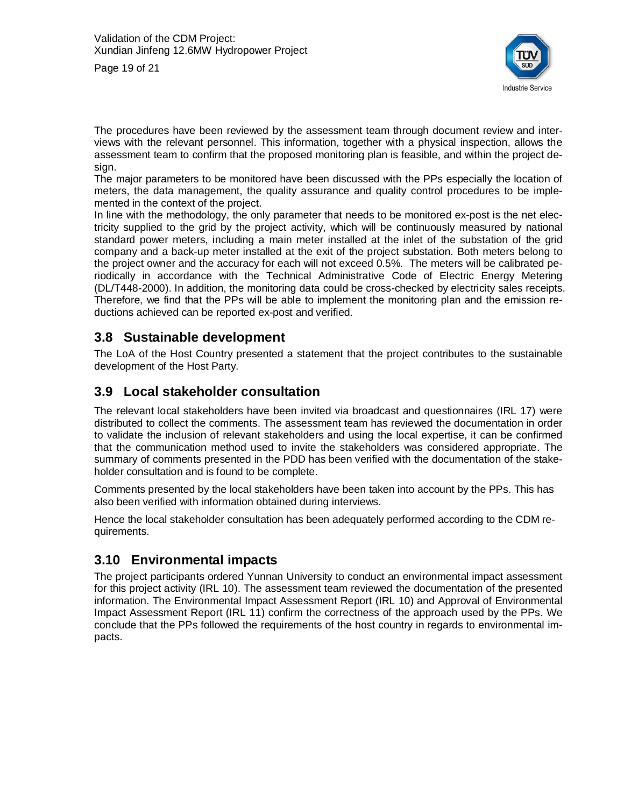Page 19 of 21



The procedures have been reviewed by the assessment team through document review and interviews with the relevant personnel. This information, together with a physical inspection, allows the assessment team to confirm that the proposed monitoring plan is feasible, and within the project design.

The major parameters to be monitored have been discussed with the PPs especially the location of meters, the data management, the quality assurance and quality control procedures to be implemented in the context of the project.

In line with the methodology, the only parameter that needs to be monitored ex-post is the net electricity supplied to the grid by the project activity, which will be continuously measured by national standard power meters, including a main meter installed at the inlet of the substation of the grid company and a back-up meter installed at the exit of the project substation. Both meters belong to the project owner and the accuracy for each will not exceed 0.5%. The meters will be calibrated periodically in accordance with the Technical Administrative Code of Electric Energy Metering (DL/T448-2000). In addition, the monitoring data could be cross-checked by electricity sales receipts. Therefore, we find that the PPs will be able to implement the monitoring plan and the emission reductions achieved can be reported ex-post and verified.

#### **3.8 Sustainable development**

The LoA of the Host Country presented a statement that the project contributes to the sustainable development of the Host Party.

#### **3.9 Local stakeholder consultation**

The relevant local stakeholders have been invited via broadcast and questionnaires (IRL 17) were distributed to collect the comments. The assessment team has reviewed the documentation in order to validate the inclusion of relevant stakeholders and using the local expertise, it can be confirmed that the communication method used to invite the stakeholders was considered appropriate. The summary of comments presented in the PDD has been verified with the documentation of the stakeholder consultation and is found to be complete.

Comments presented by the local stakeholders have been taken into account by the PPs. This has also been verified with information obtained during interviews.

Hence the local stakeholder consultation has been adequately performed according to the CDM requirements.

#### **3.10 Environmental impacts**

The project participants ordered Yunnan University to conduct an environmental impact assessment for this project activity (IRL 10). The assessment team reviewed the documentation of the presented information. The Environmental Impact Assessment Report (IRL 10) and Approval of Environmental Impact Assessment Report (IRL 11) confirm the correctness of the approach used by the PPs. We conclude that the PPs followed the requirements of the host country in regards to environmental impacts.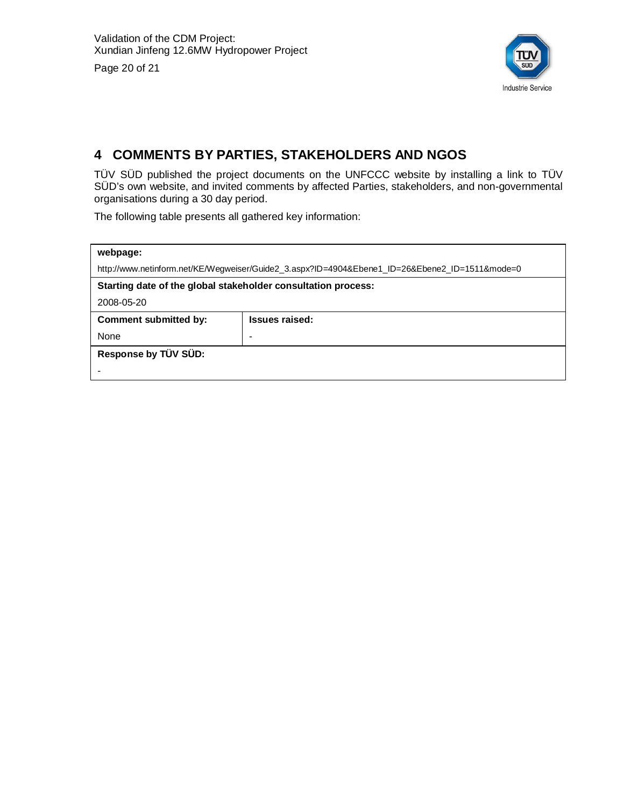Page 20 of 21



## **4 COMMENTS BY PARTIES, STAKEHOLDERS AND NGOS**

TÜV SÜD published the project documents on the UNFCCC website by installing a link to TÜV SÜD's own website, and invited comments by affected Parties, stakeholders, and non-governmental organisations during a 30 day period.

The following table presents all gathered key information:

| webpage:                                                      |                                                                                                |  |  |  |  |
|---------------------------------------------------------------|------------------------------------------------------------------------------------------------|--|--|--|--|
|                                                               | http://www.netinform.net/KE/Wegweiser/Guide2_3.aspx?ID=4904&Ebene1_ID=26&Ebene2_ID=1511&mode=0 |  |  |  |  |
| Starting date of the global stakeholder consultation process: |                                                                                                |  |  |  |  |
| 2008-05-20                                                    |                                                                                                |  |  |  |  |
| <b>Issues raised:</b><br><b>Comment submitted by:</b>         |                                                                                                |  |  |  |  |
| None                                                          |                                                                                                |  |  |  |  |
| Response by TÜV SÜD:                                          |                                                                                                |  |  |  |  |
|                                                               |                                                                                                |  |  |  |  |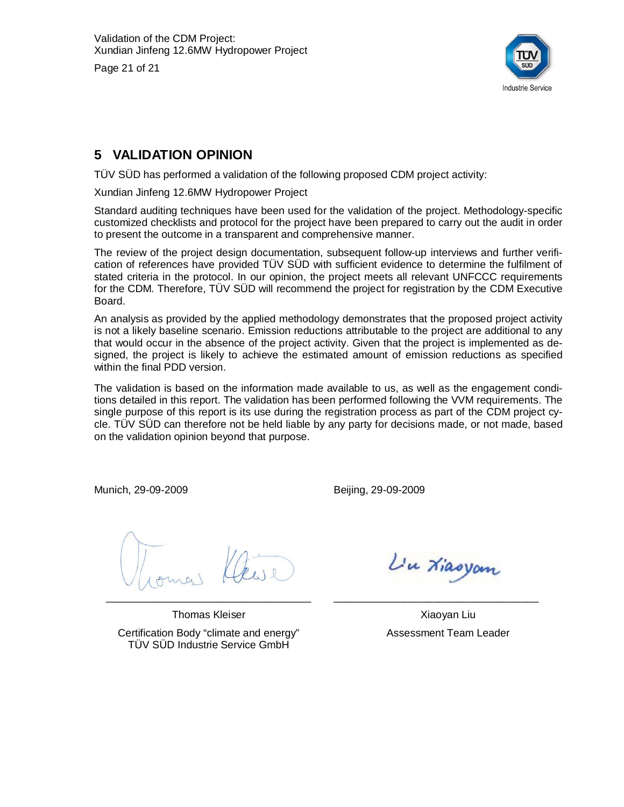Page 21 of 21



## **5 VALIDATION OPINION**

TÜV SÜD has performed a validation of the following proposed CDM project activity:

Xundian Jinfeng 12.6MW Hydropower Project

Standard auditing techniques have been used for the validation of the project. Methodology-specific customized checklists and protocol for the project have been prepared to carry out the audit in order to present the outcome in a transparent and comprehensive manner.

The review of the project design documentation, subsequent follow-up interviews and further verification of references have provided TÜV SÜD with sufficient evidence to determine the fulfilment of stated criteria in the protocol. In our opinion, the project meets all relevant UNFCCC requirements for the CDM. Therefore, TÜV SÜD will recommend the project for registration by the CDM Executive Board.

An analysis as provided by the applied methodology demonstrates that the proposed project activity is not a likely baseline scenario. Emission reductions attributable to the project are additional to any that would occur in the absence of the project activity. Given that the project is implemented as designed, the project is likely to achieve the estimated amount of emission reductions as specified within the final PDD version.

The validation is based on the information made available to us, as well as the engagement conditions detailed in this report. The validation has been performed following the VVM requirements. The single purpose of this report is its use during the registration process as part of the CDM project cycle. TÜV SÜD can therefore not be held liable by any party for decisions made, or not made, based on the validation opinion beyond that purpose.

Munich, 29-09-2009

Beijing, 29-09-2009

\_\_\_\_\_\_\_\_\_\_\_\_\_\_\_\_\_\_\_\_\_\_\_\_\_\_\_\_\_\_\_\_\_\_\_

Thomas Kleiser Certification Body "climate and energy" TÜV SÜD Industrie Service GmbH

L'u Xiasyam

\_\_\_\_\_\_\_\_\_\_\_\_\_\_\_\_\_\_\_\_\_\_\_\_\_\_\_\_\_\_\_\_\_\_\_

Xiaoyan Liu Assessment Team Leader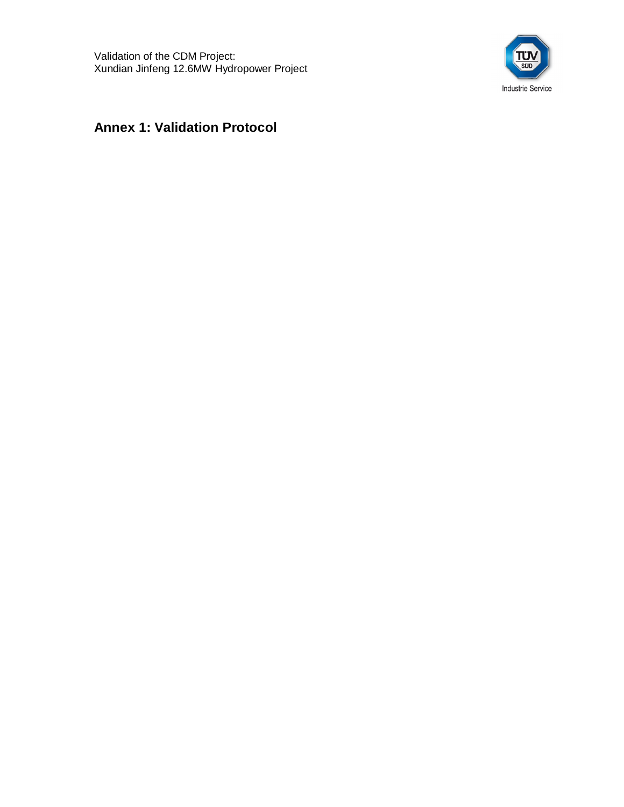

## **Annex 1: Validation Protocol**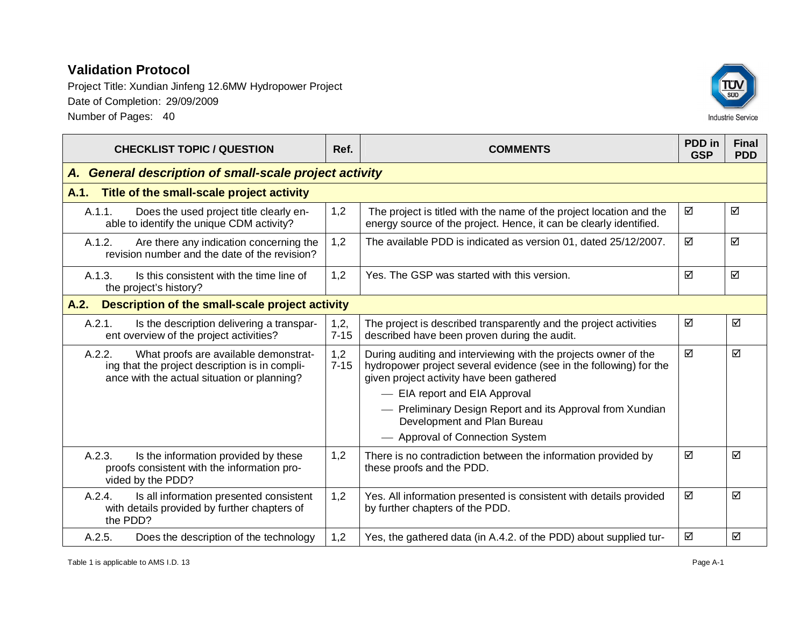

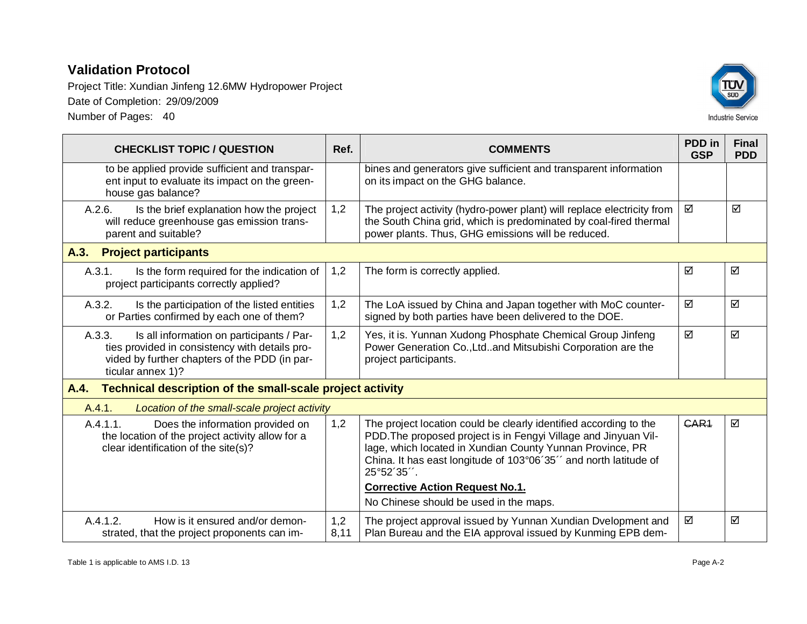Project Title: Xundian Jinfeng 12.6MW Hydropower Project Date of Completion: 29/09/2009 Number of Pages: 40



| <b>CHECKLIST TOPIC / QUESTION</b>                                                                                                                                           | Ref.        | <b>COMMENTS</b>                                                                                                                                                                                                                                                                                                               | PDD in<br><b>GSP</b> | <b>Final</b><br><b>PDD</b> |  |
|-----------------------------------------------------------------------------------------------------------------------------------------------------------------------------|-------------|-------------------------------------------------------------------------------------------------------------------------------------------------------------------------------------------------------------------------------------------------------------------------------------------------------------------------------|----------------------|----------------------------|--|
| to be applied provide sufficient and transpar-<br>ent input to evaluate its impact on the green-<br>house gas balance?                                                      |             | bines and generators give sufficient and transparent information<br>on its impact on the GHG balance.                                                                                                                                                                                                                         |                      |                            |  |
| A.2.6.<br>Is the brief explanation how the project<br>will reduce greenhouse gas emission trans-<br>parent and suitable?                                                    | 1,2         | The project activity (hydro-power plant) will replace electricity from<br>the South China grid, which is predominated by coal-fired thermal<br>power plants. Thus, GHG emissions will be reduced.                                                                                                                             | ☑                    | ☑                          |  |
| <b>Project participants</b><br>A.3.                                                                                                                                         |             |                                                                                                                                                                                                                                                                                                                               |                      |                            |  |
| A.3.1.<br>Is the form required for the indication of<br>project participants correctly applied?                                                                             | 1,2         | The form is correctly applied.                                                                                                                                                                                                                                                                                                | ☑                    | ☑                          |  |
| A.3.2.<br>Is the participation of the listed entities<br>or Parties confirmed by each one of them?                                                                          | 1,2         | The LoA issued by China and Japan together with MoC counter-<br>signed by both parties have been delivered to the DOE.                                                                                                                                                                                                        | ☑                    | ☑                          |  |
| A.3.3.<br>Is all information on participants / Par-<br>ties provided in consistency with details pro-<br>vided by further chapters of the PDD (in par-<br>ticular annex 1)? | 1,2         | Yes, it is. Yunnan Xudong Phosphate Chemical Group Jinfeng<br>Power Generation Co., Ltdand Mitsubishi Corporation are the<br>project participants.                                                                                                                                                                            | ☑                    | ☑                          |  |
| Technical description of the small-scale project activity<br>A.4.                                                                                                           |             |                                                                                                                                                                                                                                                                                                                               |                      |                            |  |
| Location of the small-scale project activity<br>A.4.1.                                                                                                                      |             |                                                                                                                                                                                                                                                                                                                               |                      |                            |  |
| A.4.1.1.<br>Does the information provided on<br>the location of the project activity allow for a<br>clear identification of the site(s)?                                    | 1,2         | The project location could be clearly identified according to the<br>PDD. The proposed project is in Fengyi Village and Jinyuan Vil-<br>lage, which located in Xundian County Yunnan Province, PR<br>China. It has east longitude of 103°06'35" and north latitude of<br>25°52'35".<br><b>Corrective Action Request No.1.</b> | GAR <sub>1</sub>     | ☑                          |  |
|                                                                                                                                                                             |             | No Chinese should be used in the maps.                                                                                                                                                                                                                                                                                        |                      |                            |  |
| A.4.1.2.<br>How is it ensured and/or demon-<br>strated, that the project proponents can im-                                                                                 | 1,2<br>8,11 | The project approval issued by Yunnan Xundian Dvelopment and<br>Plan Bureau and the EIA approval issued by Kunming EPB dem-                                                                                                                                                                                                   | ☑                    | ☑                          |  |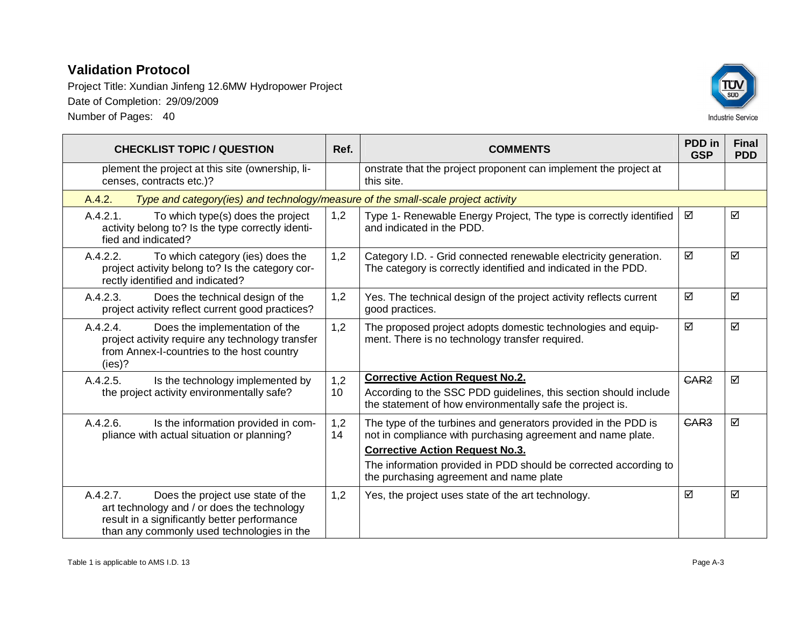Project Title: Xundian Jinfeng 12.6MW Hydropower Project Date of Completion: 29/09/2009 Number of Pages: 40



**CHECKLIST TOPIC / QUESTION Ref. COMMENTS PDD in GSP Final PDD** plement the project at this site (ownership, licenses, contracts etc.)? onstrate that the project proponent can implement the project at this site. A.4.2. *Type and category(ies) and technology/measure of the small-scale project activity* A.4.2.1. To which type(s) does the project activity belong to? Is the type correctly identified and indicated? 1,2 Type 1- Renewable Energy Project, The type is correctly identified and indicated in the PDD.  $\boxtimes$   $\boxtimes$ A.4.2.2. To which category (ies) does the project activity belong to? Is the category correctly identified and indicated? 1,2 Category I.D. - Grid connected renewable electricity generation. The category is correctly identified and indicated in the PDD.  $\boxtimes$   $\boxtimes$ A.4.2.3. Does the technical design of the project activity reflect current good practices? 1,2 Yes. The technical design of the project activity reflects current good practices.  $\boxtimes$   $\boxtimes$ A.4.2.4. Does the implementation of the project activity require any technology transfer from Annex-I-countries to the host country (ies)? 1,2 The proposed project adopts domestic technologies and equipment. There is no technology transfer required.  $\overline{M}$   $\overline{M}$ A.4.2.5. Is the technology implemented by the project activity environmentally safe? 1,2 10 **Corrective Action Request No.2.** According to the SSC PDD guidelines, this section should include the statement of how environmentally safe the project is.  $GAR2$   $\Box$ A.4.2.6. Is the information provided in compliance with actual situation or planning? 1,2 14 The type of the turbines and generators provided in the PDD is not in compliance with purchasing agreement and name plate. **Corrective Action Request No.3.** The information provided in PDD should be corrected according to the purchasing agreement and name plate  $GAR3$   $\Box$ A.4.2.7. Does the project use state of the art technology and / or does the technology result in a significantly better performance than any commonly used technologies in the 1,2 Yes, the project uses state of the art technology.  $\Box$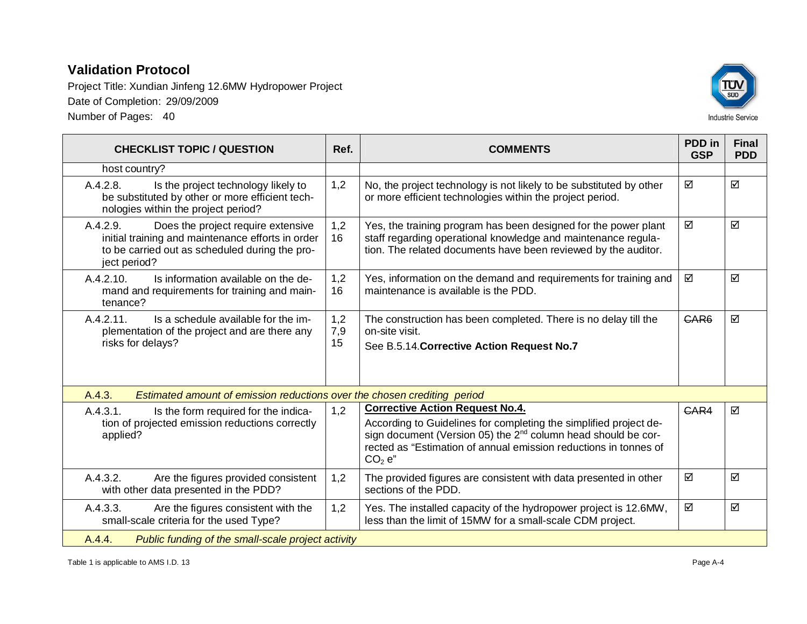

| <b>CHECKLIST TOPIC / QUESTION</b>                                                                                                                                     | Ref.             | <b>COMMENTS</b>                                                                                                                                                                                                                                                                                | PDD in<br><b>GSP</b> | <b>Final</b><br><b>PDD</b> |
|-----------------------------------------------------------------------------------------------------------------------------------------------------------------------|------------------|------------------------------------------------------------------------------------------------------------------------------------------------------------------------------------------------------------------------------------------------------------------------------------------------|----------------------|----------------------------|
| host country?                                                                                                                                                         |                  |                                                                                                                                                                                                                                                                                                |                      |                            |
| A.4.2.8.<br>Is the project technology likely to<br>be substituted by other or more efficient tech-<br>nologies within the project period?                             | 1,2              | No, the project technology is not likely to be substituted by other<br>or more efficient technologies within the project period.                                                                                                                                                               | ☑                    | ☑                          |
| A.4.2.9.<br>Does the project require extensive<br>initial training and maintenance efforts in order<br>to be carried out as scheduled during the pro-<br>ject period? | 1,2<br>16        | Yes, the training program has been designed for the power plant<br>staff regarding operational knowledge and maintenance regula-<br>tion. The related documents have been reviewed by the auditor.                                                                                             | ☑                    | ☑                          |
| Is information available on the de-<br>A.4.2.10.<br>mand and requirements for training and main-<br>tenance?                                                          | 1,2<br>16        | Yes, information on the demand and requirements for training and<br>maintenance is available is the PDD.                                                                                                                                                                                       | ☑                    | ☑                          |
| A.4.2.11.<br>Is a schedule available for the im-<br>plementation of the project and are there any<br>risks for delays?                                                | 1,2<br>7,9<br>15 | The construction has been completed. There is no delay till the<br>on-site visit.<br>See B.5.14. Corrective Action Request No.7                                                                                                                                                                | GAR <sub>6</sub>     | ☑                          |
| A.4.3.<br>Estimated amount of emission reductions over the chosen crediting period                                                                                    |                  |                                                                                                                                                                                                                                                                                                |                      |                            |
| A.4.3.1.<br>Is the form required for the indica-<br>tion of projected emission reductions correctly<br>applied?                                                       | 1,2              | <b>Corrective Action Request No.4.</b><br>According to Guidelines for completing the simplified project de-<br>sign document (Version 05) the 2 <sup>nd</sup> column head should be cor-<br>rected as "Estimation of annual emission reductions in tonnes of<br>CO <sub>2</sub> e <sup>n</sup> | GAR4                 | ☑                          |
| A.4.3.2.<br>Are the figures provided consistent<br>with other data presented in the PDD?                                                                              | 1,2              | The provided figures are consistent with data presented in other<br>sections of the PDD.                                                                                                                                                                                                       | ☑                    | ☑                          |
| Are the figures consistent with the<br>A.4.3.3.<br>small-scale criteria for the used Type?                                                                            | 1,2              | Yes. The installed capacity of the hydropower project is 12.6MW,<br>less than the limit of 15MW for a small-scale CDM project.                                                                                                                                                                 | ☑                    | ☑                          |
| A.4.4.<br>Public funding of the small-scale project activity                                                                                                          |                  |                                                                                                                                                                                                                                                                                                |                      |                            |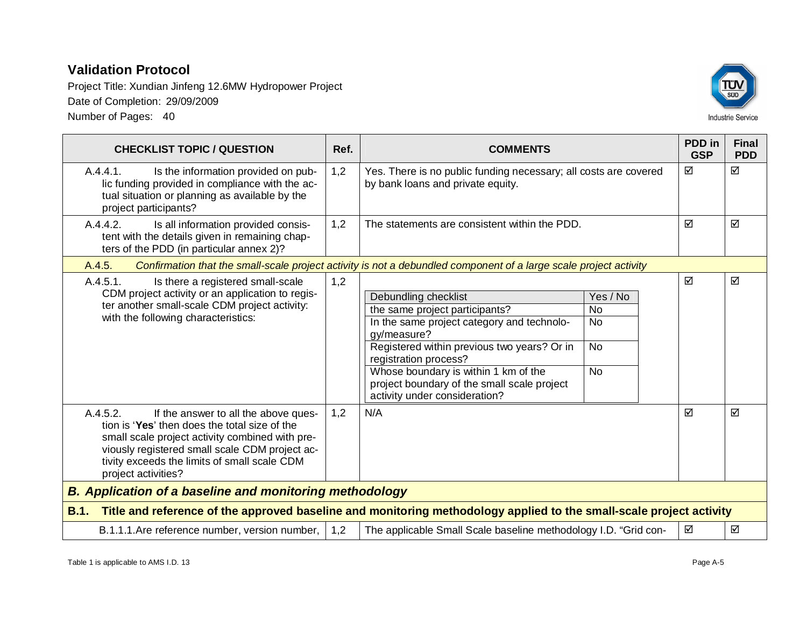Project Title: Xundian Jinfeng 12.6MW Hydropower Project Date of Completion: 29/09/2009 Number of Pages: 40



| <b>CHECKLIST TOPIC / QUESTION</b>                                                                                                                                                                                                                                             | Ref.                                                                                                              | <b>COMMENTS</b>                                                                                                                                                                                                                                                                                                     |                                                                   | PDD in<br><b>GSP</b> | <b>Final</b><br><b>PDD</b> |  |
|-------------------------------------------------------------------------------------------------------------------------------------------------------------------------------------------------------------------------------------------------------------------------------|-------------------------------------------------------------------------------------------------------------------|---------------------------------------------------------------------------------------------------------------------------------------------------------------------------------------------------------------------------------------------------------------------------------------------------------------------|-------------------------------------------------------------------|----------------------|----------------------------|--|
| A.4.4.1.<br>Is the information provided on pub-<br>lic funding provided in compliance with the ac-<br>tual situation or planning as available by the<br>project participants?                                                                                                 | 1,2                                                                                                               | Yes. There is no public funding necessary; all costs are covered<br>by bank loans and private equity.                                                                                                                                                                                                               |                                                                   | ☑                    | ☑                          |  |
| A.4.4.2.<br>Is all information provided consis-<br>tent with the details given in remaining chap-<br>ters of the PDD (in particular annex 2)?                                                                                                                                 | 1,2                                                                                                               | The statements are consistent within the PDD.                                                                                                                                                                                                                                                                       |                                                                   | ☑                    | ☑                          |  |
| A.4.5.                                                                                                                                                                                                                                                                        | Confirmation that the small-scale project activity is not a debundled component of a large scale project activity |                                                                                                                                                                                                                                                                                                                     |                                                                   |                      |                            |  |
| A.4.5.1.<br>Is there a registered small-scale<br>CDM project activity or an application to regis-<br>ter another small-scale CDM project activity:<br>with the following characteristics:                                                                                     | 1,2                                                                                                               | Debundling checklist<br>the same project participants?<br>In the same project category and technolo-<br>gy/measure?<br>Registered within previous two years? Or in<br>registration process?<br>Whose boundary is within 1 km of the<br>project boundary of the small scale project<br>activity under consideration? | Yes / No<br><b>No</b><br><b>No</b><br>$\overline{N}$<br><b>No</b> | ☑                    | ☑                          |  |
| A.4.5.2.<br>If the answer to all the above ques-<br>tion is 'Yes' then does the total size of the<br>small scale project activity combined with pre-<br>viously registered small scale CDM project ac-<br>tivity exceeds the limits of small scale CDM<br>project activities? | 1,2                                                                                                               | N/A                                                                                                                                                                                                                                                                                                                 |                                                                   | ☑                    | ☑                          |  |
| <b>B. Application of a baseline and monitoring methodology</b>                                                                                                                                                                                                                |                                                                                                                   |                                                                                                                                                                                                                                                                                                                     |                                                                   |                      |                            |  |
| B.1.                                                                                                                                                                                                                                                                          |                                                                                                                   | Title and reference of the approved baseline and monitoring methodology applied to the small-scale project activity                                                                                                                                                                                                 |                                                                   |                      |                            |  |
| B.1.1.1. Are reference number, version number,                                                                                                                                                                                                                                | 1,2                                                                                                               | The applicable Small Scale baseline methodology I.D. "Grid con-                                                                                                                                                                                                                                                     |                                                                   | ☑                    | ☑                          |  |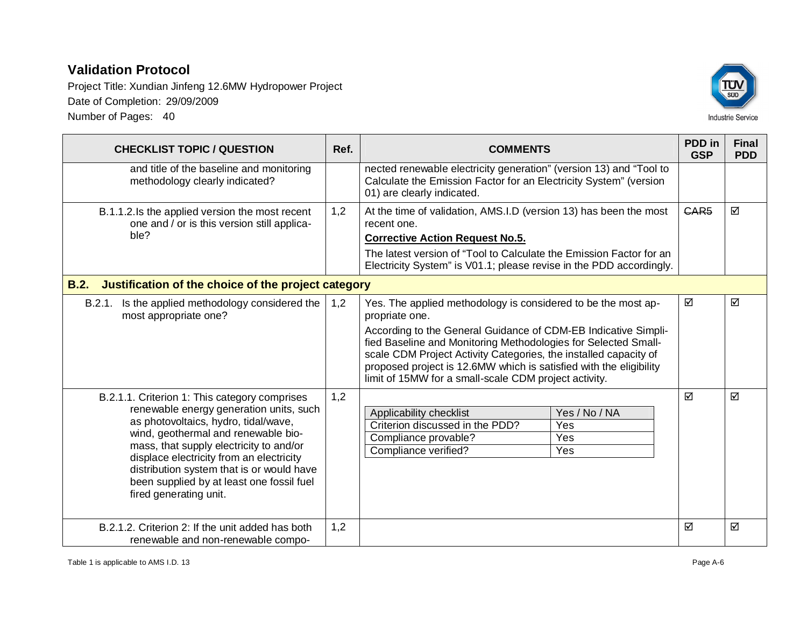Project Title: Xundian Jinfeng 12.6MW Hydropower Project Date of Completion: 29/09/2009 Number of Pages: 40



**CHECKLIST TOPIC / QUESTION Ref. COMMENTS PDD in GSP Final PDD** and title of the baseline and monitoring methodology clearly indicated? nected renewable electricity generation" (version 13) and "Tool to Calculate the Emission Factor for an Electricity System" (version 01) are clearly indicated. B.1.1.2. Is the applied version the most recent one and / or is this version still applicable? 1,2 At the time of validation, AMS.I.D (version 13) has been the most recent one. **Corrective Action Request No.5.** The latest version of "Tool to Calculate the Emission Factor for an Electricity System" is V01.1; please revise in the PDD accordingly.  $GAR5$   $\Box$ **B.2. Justification of the choice of the project category** B.2.1. Is the applied methodology considered the most appropriate one? 1,2 Yes. The applied methodology is considered to be the most appropriate one. According to the General Guidance of CDM-EB Indicative Simplified Baseline and Monitoring Methodologies for Selected Smallscale CDM Project Activity Categories, the installed capacity of proposed project is 12.6MW which is satisfied with the eligibility limit of 15MW for a small-scale CDM project activity.  $\boxdot$  । ज B.2.1.1. Criterion 1: This category comprises renewable energy generation units, such as photovoltaics, hydro, tidal/wave, wind, geothermal and renewable biomass, that supply electricity to and/or displace electricity from an electricity distribution system that is or would have been supplied by at least one fossil fuel fired generating unit. 1,2 Applicability checklist Yes / No / NA Criterion discussed in the PDD? Yes Compliance provable? The Mess Compliance verified? Yes  $\overline{M}$   $\overline{M}$ B.2.1.2. Criterion 2: If the unit added has both renewable and non-renewable compo-1,2  $\qquad \qquad \vert \Box \qquad \vert \Box \qquad \vert \Box$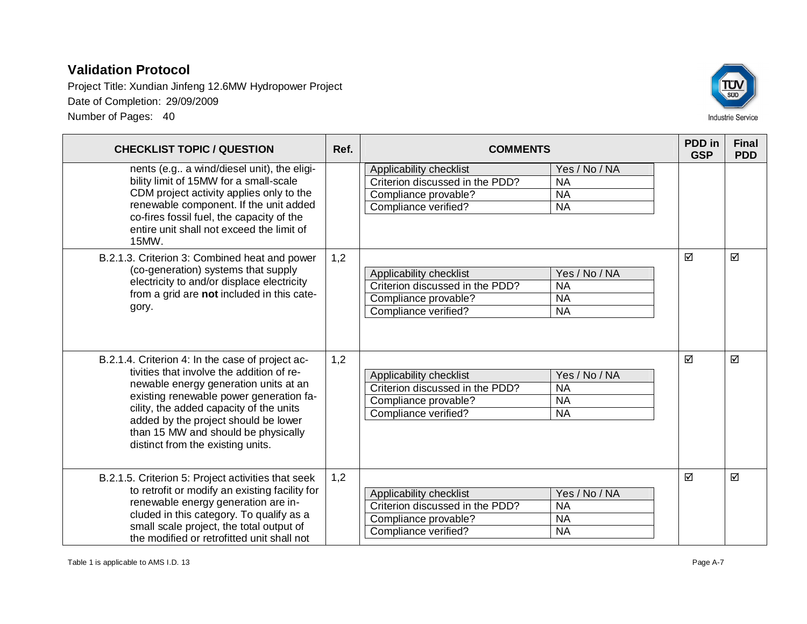Project Title: Xundian Jinfeng 12.6MW Hydropower Project Date of Completion: 29/09/2009 Number of Pages: 40



**CHECKLIST TOPIC / QUESTION Ref. COMMENTS PDD in GSP Final PDD** nents (e.g.. a wind/diesel unit), the eligibility limit of 15MW for a small-scale CDM project activity applies only to the renewable component. If the unit added co-fires fossil fuel, the capacity of the entire unit shall not exceed the limit of 15MW. Applicability checklist Yes / No / NA Criterion discussed in the PDD? NA Compliance provable? NA Compliance verified? NA B.2.1.3. Criterion 3: Combined heat and power (co-generation) systems that supply electricity to and/or displace electricity from a grid are **not** included in this category. 1,2 Applicability checklist **Yes / No / NA** Criterion discussed in the PDD? NA Compliance provable? | NA Compliance verified? 
NA  $\overline{M}$   $\overline{M}$ B.2.1.4. Criterion 4: In the case of project activities that involve the addition of renewable energy generation units at an existing renewable power generation facility, the added capacity of the units added by the project should be lower than 15 MW and should be physically distinct from the existing units. 1,2 Applicability checklist Yes / No / NA Criterion discussed in the PDD? NA Compliance provable? NA Compliance verified? NA  $\overline{M}$   $\overline{M}$ B.2.1.5. Criterion 5: Project activities that seek to retrofit or modify an existing facility for renewable energy generation are included in this category. To qualify as a small scale project, the total output of the modified or retrofitted unit shall not 1,2 Applicability checklist **Yes / No / NA** Criterion discussed in the PDD? NA Compliance provable? 
NA Compliance verified? NA  $\overline{M}$   $\overline{M}$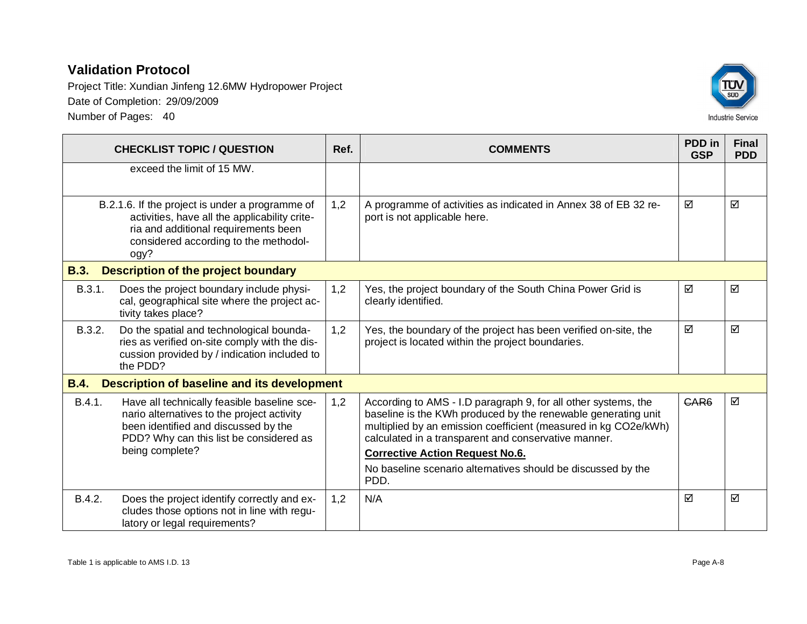Project Title: Xundian Jinfeng 12.6MW Hydropower Project Date of Completion: 29/09/2009 Number of Pages: 40



|             | <b>CHECKLIST TOPIC / QUESTION</b>                                                                                                                                                               | Ref. | <b>COMMENTS</b>                                                                                                                                                                                                                                            | PDD in<br><b>GSP</b> | <b>Final</b><br><b>PDD</b> |
|-------------|-------------------------------------------------------------------------------------------------------------------------------------------------------------------------------------------------|------|------------------------------------------------------------------------------------------------------------------------------------------------------------------------------------------------------------------------------------------------------------|----------------------|----------------------------|
|             | exceed the limit of 15 MW.                                                                                                                                                                      |      |                                                                                                                                                                                                                                                            |                      |                            |
|             | B.2.1.6. If the project is under a programme of<br>activities, have all the applicability crite-<br>ria and additional requirements been<br>considered according to the methodol-<br>ogy?       | 1,2  | A programme of activities as indicated in Annex 38 of EB 32 re-<br>port is not applicable here.                                                                                                                                                            | ☑                    | ☑                          |
| <b>B.3.</b> | <b>Description of the project boundary</b>                                                                                                                                                      |      |                                                                                                                                                                                                                                                            |                      |                            |
| B.3.1.      | Does the project boundary include physi-<br>cal, geographical site where the project ac-<br>tivity takes place?                                                                                 | 1,2  | Yes, the project boundary of the South China Power Grid is<br>clearly identified.                                                                                                                                                                          | ☑                    | ☑                          |
| B.3.2.      | Do the spatial and technological bounda-<br>ries as verified on-site comply with the dis-<br>cussion provided by / indication included to<br>the PDD?                                           | 1,2  | Yes, the boundary of the project has been verified on-site, the<br>project is located within the project boundaries.                                                                                                                                       | ☑                    | ☑                          |
| <b>B.4.</b> | <b>Description of baseline and its development</b>                                                                                                                                              |      |                                                                                                                                                                                                                                                            |                      |                            |
| B.4.1.      | Have all technically feasible baseline sce-<br>nario alternatives to the project activity<br>been identified and discussed by the<br>PDD? Why can this list be considered as<br>being complete? | 1,2  | According to AMS - I.D paragraph 9, for all other systems, the<br>baseline is the KWh produced by the renewable generating unit<br>multiplied by an emission coefficient (measured in kg CO2e/kWh)<br>calculated in a transparent and conservative manner. | GAR <sub>6</sub>     | ☑                          |
|             |                                                                                                                                                                                                 |      | <b>Corrective Action Request No.6.</b><br>No baseline scenario alternatives should be discussed by the<br>PDD.                                                                                                                                             |                      |                            |
| B.4.2.      | Does the project identify correctly and ex-<br>cludes those options not in line with regu-<br>latory or legal requirements?                                                                     | 1,2  | N/A                                                                                                                                                                                                                                                        | ☑                    | ☑                          |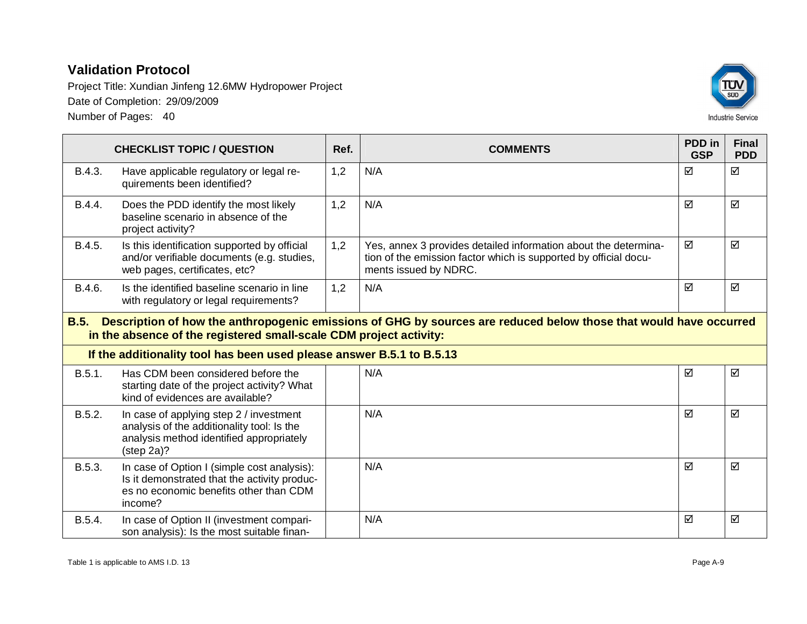

|             | <b>CHECKLIST TOPIC / QUESTION</b>                                                                                                                                                       | Ref. | <b>COMMENTS</b>                                                                                                                                              | <b>PDD</b> in<br><b>GSP</b> | <b>Final</b><br><b>PDD</b> |  |  |
|-------------|-----------------------------------------------------------------------------------------------------------------------------------------------------------------------------------------|------|--------------------------------------------------------------------------------------------------------------------------------------------------------------|-----------------------------|----------------------------|--|--|
| B.4.3.      | Have applicable regulatory or legal re-<br>quirements been identified?                                                                                                                  | 1,2  | N/A                                                                                                                                                          | ☑                           | ☑                          |  |  |
| B.4.4.      | Does the PDD identify the most likely<br>baseline scenario in absence of the<br>project activity?                                                                                       | 1,2  | N/A                                                                                                                                                          | ☑                           | ☑                          |  |  |
| B.4.5.      | Is this identification supported by official<br>and/or verifiable documents (e.g. studies,<br>web pages, certificates, etc?                                                             | 1,2  | Yes, annex 3 provides detailed information about the determina-<br>tion of the emission factor which is supported by official docu-<br>ments issued by NDRC. | ☑                           | ☑                          |  |  |
| B.4.6.      | Is the identified baseline scenario in line<br>with regulatory or legal requirements?                                                                                                   | 1,2  | N/A                                                                                                                                                          | ☑                           | ☑                          |  |  |
| <b>B.5.</b> | Description of how the anthropogenic emissions of GHG by sources are reduced below those that would have occurred<br>in the absence of the registered small-scale CDM project activity: |      |                                                                                                                                                              |                             |                            |  |  |
|             | If the additionality tool has been used please answer B.5.1 to B.5.13                                                                                                                   |      |                                                                                                                                                              |                             |                            |  |  |
| B.5.1.      | Has CDM been considered before the<br>starting date of the project activity? What<br>kind of evidences are available?                                                                   |      | N/A                                                                                                                                                          | ☑                           | ☑                          |  |  |
| B.5.2.      | In case of applying step 2 / investment<br>analysis of the additionality tool: Is the<br>analysis method identified appropriately<br>$(\text{step } 2a)?$                               |      | N/A                                                                                                                                                          | ☑                           | ☑                          |  |  |
| B.5.3.      | In case of Option I (simple cost analysis):<br>Is it demonstrated that the activity produc-<br>es no economic benefits other than CDM<br>income?                                        |      | N/A                                                                                                                                                          | ☑                           | ☑                          |  |  |
| B.5.4.      | In case of Option II (investment compari-<br>son analysis): Is the most suitable finan-                                                                                                 |      | N/A                                                                                                                                                          | ☑                           | ☑                          |  |  |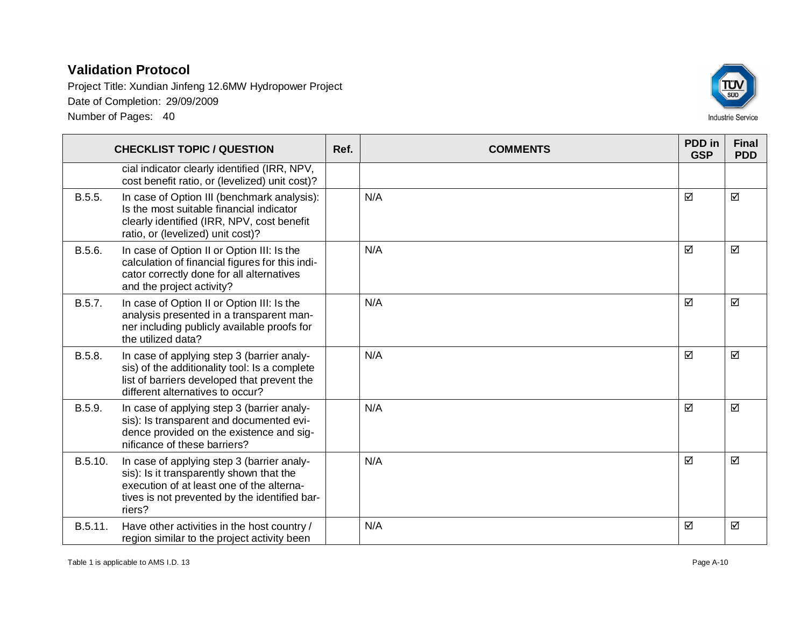

|         | <b>CHECKLIST TOPIC / QUESTION</b>                                                                                                                                                              | Ref. | <b>COMMENTS</b> | PDD in<br><b>GSP</b> | <b>Final</b><br><b>PDD</b> |
|---------|------------------------------------------------------------------------------------------------------------------------------------------------------------------------------------------------|------|-----------------|----------------------|----------------------------|
|         | cial indicator clearly identified (IRR, NPV,<br>cost benefit ratio, or (levelized) unit cost)?                                                                                                 |      |                 |                      |                            |
| B.5.5.  | In case of Option III (benchmark analysis):<br>Is the most suitable financial indicator<br>clearly identified (IRR, NPV, cost benefit<br>ratio, or (levelized) unit cost)?                     |      | N/A             | ☑                    | ☑                          |
| B.5.6.  | In case of Option II or Option III: Is the<br>calculation of financial figures for this indi-<br>cator correctly done for all alternatives<br>and the project activity?                        |      | N/A             | ☑                    | ☑                          |
| B.5.7.  | In case of Option II or Option III: Is the<br>analysis presented in a transparent man-<br>ner including publicly available proofs for<br>the utilized data?                                    |      | N/A             | ☑                    | ☑                          |
| B.5.8.  | In case of applying step 3 (barrier analy-<br>sis) of the additionality tool: Is a complete<br>list of barriers developed that prevent the<br>different alternatives to occur?                 |      | N/A             | ☑                    | ☑                          |
| B.5.9.  | In case of applying step 3 (barrier analy-<br>sis): Is transparent and documented evi-<br>dence provided on the existence and sig-<br>nificance of these barriers?                             |      | N/A             | ☑                    | ☑                          |
| B.5.10. | In case of applying step 3 (barrier analy-<br>sis): Is it transparently shown that the<br>execution of at least one of the alterna-<br>tives is not prevented by the identified bar-<br>riers? |      | N/A             | ☑                    | ☑                          |
| B.5.11. | Have other activities in the host country /<br>region similar to the project activity been                                                                                                     |      | N/A             | ☑                    | ☑                          |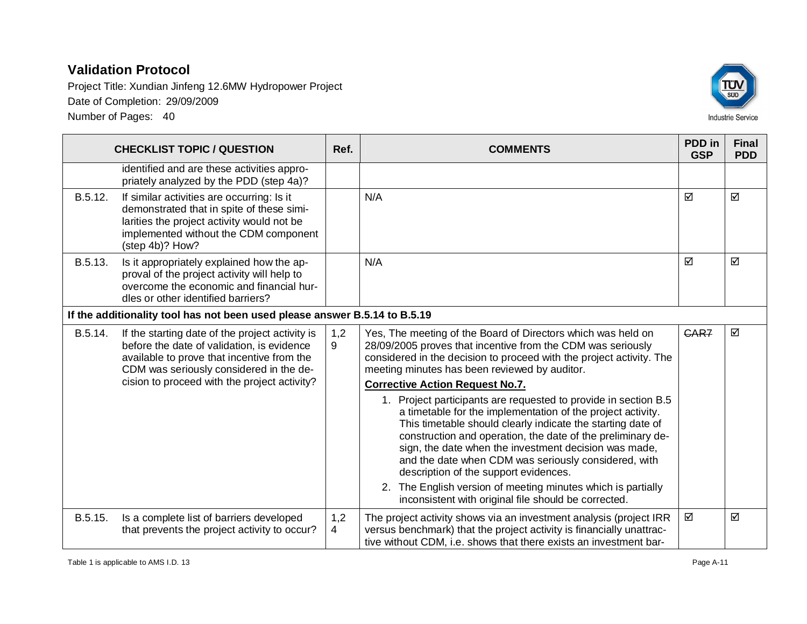

|                                                                            | <b>CHECKLIST TOPIC / QUESTION</b>                                                                                                                                                                                                      | Ref.     | <b>COMMENTS</b>                                                                                                                                                                                                                                                                                                                                                                                                                                                                                                                             | PDD in<br><b>GSP</b> | <b>Final</b><br><b>PDD</b> |
|----------------------------------------------------------------------------|----------------------------------------------------------------------------------------------------------------------------------------------------------------------------------------------------------------------------------------|----------|---------------------------------------------------------------------------------------------------------------------------------------------------------------------------------------------------------------------------------------------------------------------------------------------------------------------------------------------------------------------------------------------------------------------------------------------------------------------------------------------------------------------------------------------|----------------------|----------------------------|
|                                                                            | identified and are these activities appro-<br>priately analyzed by the PDD (step 4a)?                                                                                                                                                  |          |                                                                                                                                                                                                                                                                                                                                                                                                                                                                                                                                             |                      |                            |
| B.5.12.                                                                    | If similar activities are occurring: Is it<br>demonstrated that in spite of these simi-<br>larities the project activity would not be<br>implemented without the CDM component<br>(step 4b)? How?                                      |          | N/A                                                                                                                                                                                                                                                                                                                                                                                                                                                                                                                                         | ☑                    | ☑                          |
| B.5.13.                                                                    | Is it appropriately explained how the ap-<br>proval of the project activity will help to<br>overcome the economic and financial hur-<br>dles or other identified barriers?                                                             |          | N/A                                                                                                                                                                                                                                                                                                                                                                                                                                                                                                                                         | ☑                    | ☑                          |
| If the additionality tool has not been used please answer B.5.14 to B.5.19 |                                                                                                                                                                                                                                        |          |                                                                                                                                                                                                                                                                                                                                                                                                                                                                                                                                             |                      |                            |
| B.5.14.                                                                    | If the starting date of the project activity is<br>before the date of validation, is evidence<br>available to prove that incentive from the<br>CDM was seriously considered in the de-<br>cision to proceed with the project activity? | 1,2<br>9 | Yes, The meeting of the Board of Directors which was held on<br>28/09/2005 proves that incentive from the CDM was seriously<br>considered in the decision to proceed with the project activity. The<br>meeting minutes has been reviewed by auditor.<br><b>Corrective Action Request No.7.</b>                                                                                                                                                                                                                                              | CAR7<br>☑            |                            |
|                                                                            |                                                                                                                                                                                                                                        |          | 1. Project participants are requested to provide in section B.5<br>a timetable for the implementation of the project activity.<br>This timetable should clearly indicate the starting date of<br>construction and operation, the date of the preliminary de-<br>sign, the date when the investment decision was made,<br>and the date when CDM was seriously considered, with<br>description of the support evidences.<br>The English version of meeting minutes which is partially<br>inconsistent with original file should be corrected. |                      |                            |
| B.5.15.                                                                    | Is a complete list of barriers developed<br>that prevents the project activity to occur?                                                                                                                                               | 1,2<br>4 | The project activity shows via an investment analysis (project IRR<br>versus benchmark) that the project activity is financially unattrac-<br>tive without CDM, i.e. shows that there exists an investment bar-                                                                                                                                                                                                                                                                                                                             | ☑                    | ☑                          |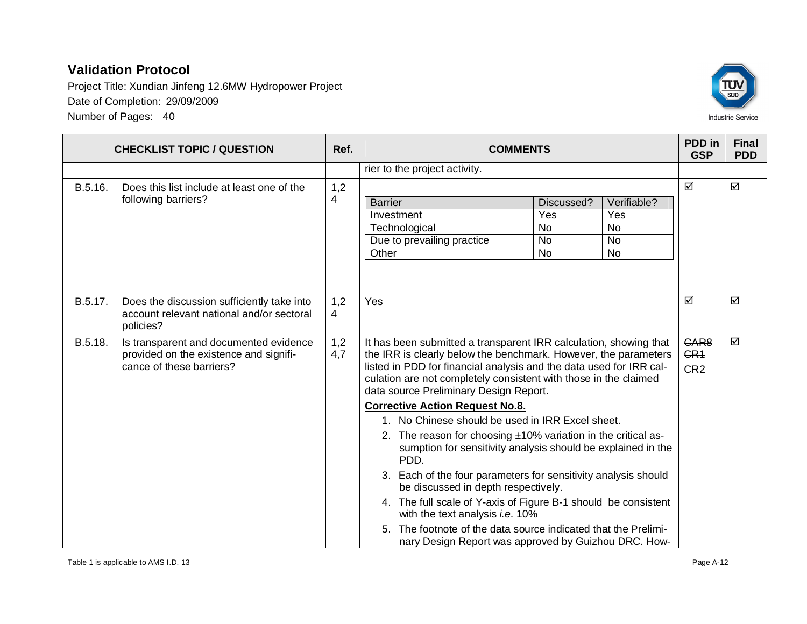Project Title: Xundian Jinfeng 12.6MW Hydropower Project Date of Completion: 29/09/2009 Number of Pages: 40



**CHECKLIST TOPIC / QUESTION Ref. Ref. COMMENTS PDD** in **GSP Final PDD** rier to the project activity. B.5.16. Does this list include at least one of the following barriers? 1,2 4 | Barrier Discussed? | Verifiable? Investment Ves Yes Yes Technological No No No Due to prevailing practice  $\vert$  No  $\vert$  No  $\vert$  No  $\vert$ Other No No No No  $\boxdot$  । ज B.5.17. Does the discussion sufficiently take into account relevant national and/or sectoral policies? 1,2 4 Yes  $|\varXi$  ,  $|\varXi$  ,  $|\varXi$ B.5.18. Is transparent and documented evidence provided on the existence and significance of these barriers? 1,2 4,7 It has been submitted a transparent IRR calculation, showing that the IRR is clearly below the benchmark. However, the parameters listed in PDD for financial analysis and the data used for IRR calculation are not completely consistent with those in the claimed data source Preliminary Design Report. **Corrective Action Request No.8.** 1. No Chinese should be used in IRR Excel sheet. 2. The reason for choosing ±10% variation in the critical assumption for sensitivity analysis should be explained in the PDD. 3. Each of the four parameters for sensitivity analysis should be discussed in depth respectively. 4. The full scale of Y-axis of Figure B-1 should be consistent with the text analysis *i.e.* 10% 5. The footnote of the data source indicated that the Preliminary Design Report was approved by Guizhou DRC. How-CAR8 CR<sub>1</sub> CR2  $\triangledown$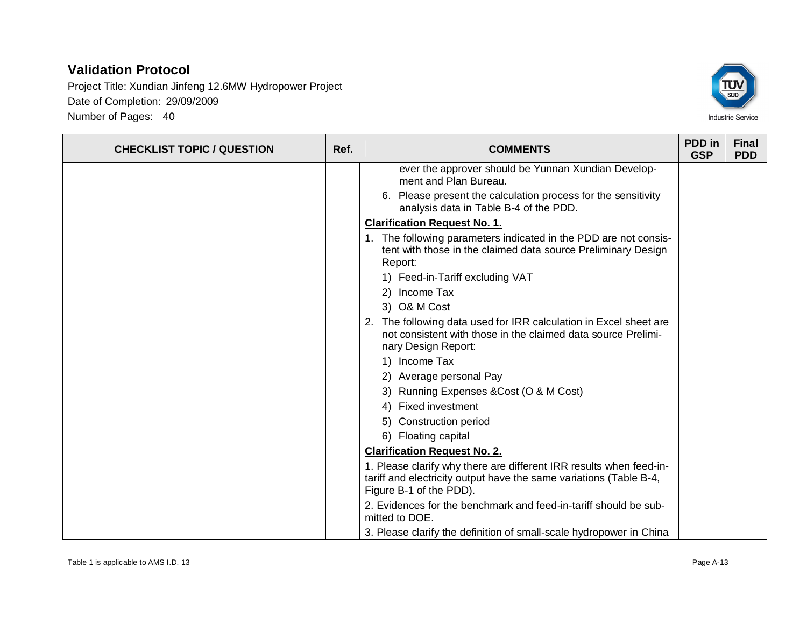

| <b>CHECKLIST TOPIC / QUESTION</b> | Ref. | <b>COMMENTS</b>                                                                                                                                                      | PDD in<br><b>GSP</b> | <b>Final</b><br><b>PDD</b> |
|-----------------------------------|------|----------------------------------------------------------------------------------------------------------------------------------------------------------------------|----------------------|----------------------------|
|                                   |      | ever the approver should be Yunnan Xundian Develop-<br>ment and Plan Bureau.                                                                                         |                      |                            |
|                                   |      | 6. Please present the calculation process for the sensitivity<br>analysis data in Table B-4 of the PDD.                                                              |                      |                            |
|                                   |      | <b>Clarification Request No. 1.</b>                                                                                                                                  |                      |                            |
|                                   |      | 1. The following parameters indicated in the PDD are not consis-<br>tent with those in the claimed data source Preliminary Design<br>Report:                         |                      |                            |
|                                   |      | 1) Feed-in-Tariff excluding VAT                                                                                                                                      |                      |                            |
|                                   |      | 2) Income Tax                                                                                                                                                        |                      |                            |
|                                   |      | 3) O& M Cost                                                                                                                                                         |                      |                            |
|                                   |      | 2. The following data used for IRR calculation in Excel sheet are<br>not consistent with those in the claimed data source Prelimi-<br>nary Design Report:            |                      |                            |
|                                   |      | 1) Income Tax                                                                                                                                                        |                      |                            |
|                                   |      | 2) Average personal Pay                                                                                                                                              |                      |                            |
|                                   |      | 3) Running Expenses & Cost (O & M Cost)                                                                                                                              |                      |                            |
|                                   |      | 4) Fixed investment                                                                                                                                                  |                      |                            |
|                                   |      | 5) Construction period                                                                                                                                               |                      |                            |
|                                   |      | 6) Floating capital                                                                                                                                                  |                      |                            |
|                                   |      | <b>Clarification Request No. 2.</b>                                                                                                                                  |                      |                            |
|                                   |      | 1. Please clarify why there are different IRR results when feed-in-<br>tariff and electricity output have the same variations (Table B-4,<br>Figure B-1 of the PDD). |                      |                            |
|                                   |      | 2. Evidences for the benchmark and feed-in-tariff should be sub-<br>mitted to DOE.                                                                                   |                      |                            |
|                                   |      | 3. Please clarify the definition of small-scale hydropower in China                                                                                                  |                      |                            |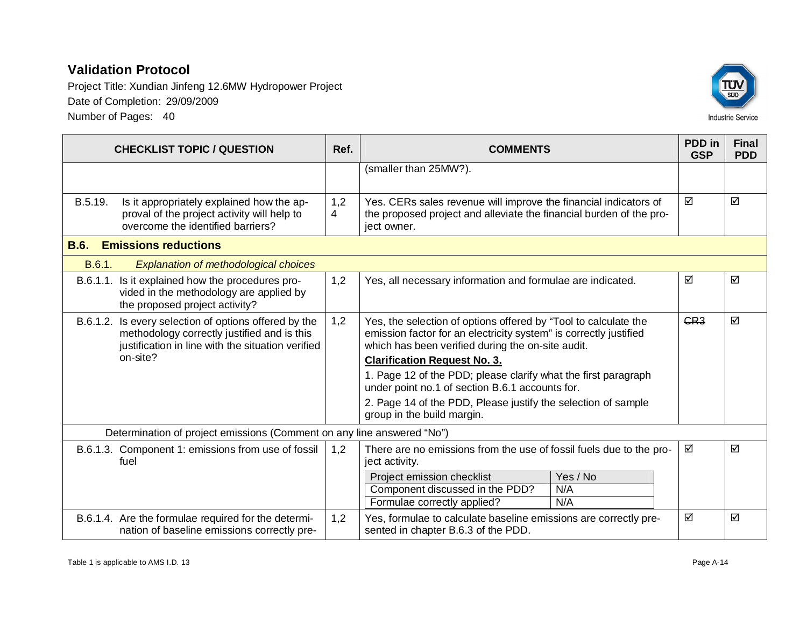Project Title: Xundian Jinfeng 12.6MW Hydropower Project Date of Completion: 29/09/2009 Number of Pages: 40



|             | <b>CHECKLIST TOPIC / QUESTION</b>                                                                                                                         | Ref.                  | <b>COMMENTS</b>                                                                                                                                                                           | PDD in<br><b>GSP</b> | <b>Final</b><br><b>PDD</b> |
|-------------|-----------------------------------------------------------------------------------------------------------------------------------------------------------|-----------------------|-------------------------------------------------------------------------------------------------------------------------------------------------------------------------------------------|----------------------|----------------------------|
|             |                                                                                                                                                           |                       | (smaller than 25MW?).                                                                                                                                                                     |                      |                            |
| B.5.19.     | Is it appropriately explained how the ap-<br>proval of the project activity will help to<br>overcome the identified barriers?                             | 1,2<br>$\overline{4}$ | Yes. CERs sales revenue will improve the financial indicators of<br>the proposed project and alleviate the financial burden of the pro-<br>ject owner.                                    | ☑                    | ☑                          |
| <b>B.6.</b> | <b>Emissions reductions</b>                                                                                                                               |                       |                                                                                                                                                                                           |                      |                            |
| B.6.1.      | <b>Explanation of methodological choices</b>                                                                                                              |                       |                                                                                                                                                                                           |                      |                            |
|             | B.6.1.1. Is it explained how the procedures pro-<br>vided in the methodology are applied by<br>the proposed project activity?                             | 1,2                   | Yes, all necessary information and formulae are indicated.                                                                                                                                | ☑                    | ☑                          |
|             | B.6.1.2. Is every selection of options offered by the<br>methodology correctly justified and is this<br>justification in line with the situation verified | 1,2                   | Yes, the selection of options offered by "Tool to calculate the<br>emission factor for an electricity system" is correctly justified<br>which has been verified during the on-site audit. | CR <sub>3</sub>      | ☑                          |
|             | on-site?                                                                                                                                                  |                       | <b>Clarification Request No. 3.</b>                                                                                                                                                       |                      |                            |
|             |                                                                                                                                                           |                       | 1. Page 12 of the PDD; please clarify what the first paragraph<br>under point no.1 of section B.6.1 accounts for.                                                                         |                      |                            |
|             |                                                                                                                                                           |                       | 2. Page 14 of the PDD, Please justify the selection of sample<br>group in the build margin.                                                                                               |                      |                            |
|             | Determination of project emissions (Comment on any line answered "No")                                                                                    |                       |                                                                                                                                                                                           |                      |                            |
|             | B.6.1.3. Component 1: emissions from use of fossil<br>fuel                                                                                                | 1,2                   | There are no emissions from the use of fossil fuels due to the pro-<br>ject activity.                                                                                                     | ☑                    | ☑                          |
|             |                                                                                                                                                           |                       | Yes / No<br>Project emission checklist<br>Component discussed in the PDD?<br>N/A<br>N/A<br>Formulae correctly applied?                                                                    |                      |                            |
|             | B.6.1.4. Are the formulae required for the determi-<br>nation of baseline emissions correctly pre-                                                        | 1,2                   | Yes, formulae to calculate baseline emissions are correctly pre-<br>sented in chapter B.6.3 of the PDD.                                                                                   | ☑                    | ☑                          |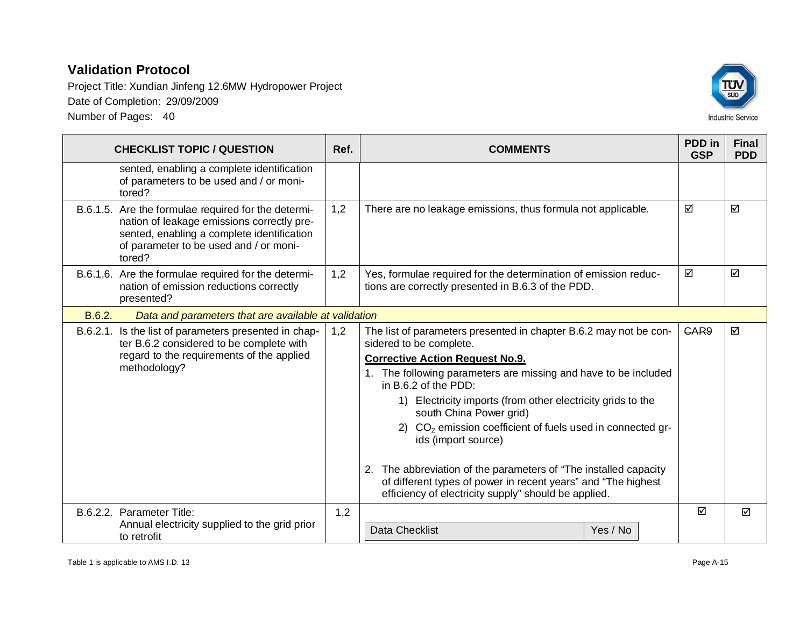

| <b>CHECKLIST TOPIC / QUESTION</b>                                                                                                                                                                   | Ref. | <b>COMMENTS</b>                                                                                                                                                                                                                                                                                                                                                                                                                                                                                                                                                                                                           | PDD in<br><b>GSP</b> | <b>Final</b><br><b>PDD</b> |
|-----------------------------------------------------------------------------------------------------------------------------------------------------------------------------------------------------|------|---------------------------------------------------------------------------------------------------------------------------------------------------------------------------------------------------------------------------------------------------------------------------------------------------------------------------------------------------------------------------------------------------------------------------------------------------------------------------------------------------------------------------------------------------------------------------------------------------------------------------|----------------------|----------------------------|
| sented, enabling a complete identification<br>of parameters to be used and / or moni-<br>tored?                                                                                                     |      |                                                                                                                                                                                                                                                                                                                                                                                                                                                                                                                                                                                                                           |                      |                            |
| B.6.1.5. Are the formulae required for the determi-<br>nation of leakage emissions correctly pre-<br>sented, enabling a complete identification<br>of parameter to be used and / or moni-<br>tored? | 1,2  | There are no leakage emissions, thus formula not applicable.                                                                                                                                                                                                                                                                                                                                                                                                                                                                                                                                                              | ☑                    | ☑                          |
| B.6.1.6. Are the formulae required for the determi-<br>nation of emission reductions correctly<br>presented?                                                                                        | 1,2  | Yes, formulae required for the determination of emission reduc-<br>tions are correctly presented in B.6.3 of the PDD.                                                                                                                                                                                                                                                                                                                                                                                                                                                                                                     | ☑                    | ☑                          |
| B.6.2.<br>Data and parameters that are available at validation                                                                                                                                      |      |                                                                                                                                                                                                                                                                                                                                                                                                                                                                                                                                                                                                                           |                      |                            |
| B.6.2.1. Is the list of parameters presented in chap-<br>ter B.6.2 considered to be complete with<br>regard to the requirements of the applied<br>methodology?                                      | 1,2  | The list of parameters presented in chapter B.6.2 may not be con-<br>sidered to be complete.<br><b>Corrective Action Request No.9.</b><br>1. The following parameters are missing and have to be included<br>in B.6.2 of the PDD:<br>1) Electricity imports (from other electricity grids to the<br>south China Power grid)<br>2) CO <sub>2</sub> emission coefficient of fuels used in connected gr-<br>ids (import source)<br>2. The abbreviation of the parameters of "The installed capacity<br>of different types of power in recent years" and "The highest<br>efficiency of electricity supply" should be applied. | GAR9                 | ☑                          |
| B.6.2.2. Parameter Title:<br>Annual electricity supplied to the grid prior<br>to retrofit                                                                                                           | 1,2  | <b>Data Checklist</b><br>Yes / No                                                                                                                                                                                                                                                                                                                                                                                                                                                                                                                                                                                         | ☑                    | ☑                          |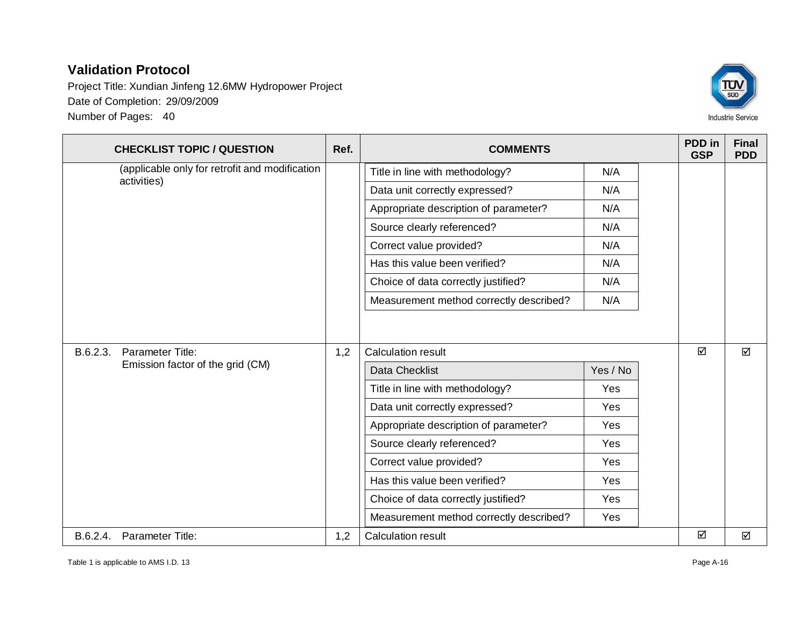Project Title: Xundian Jinfeng 12.6MW Hydropower Project Date of Completion: 29/09/2009 Number of Pages: 40



|  | <b>CHECKLIST TOPIC / QUESTION</b>                             | Ref.                          | <b>COMMENTS</b>                         |          | <b>PDD</b> in<br><b>GSP</b> | <b>Final</b><br><b>PDD</b> |
|--|---------------------------------------------------------------|-------------------------------|-----------------------------------------|----------|-----------------------------|----------------------------|
|  | (applicable only for retrofit and modification<br>activities) |                               | Title in line with methodology?         | N/A      |                             |                            |
|  |                                                               |                               | Data unit correctly expressed?          | N/A      |                             |                            |
|  |                                                               |                               | Appropriate description of parameter?   | N/A      |                             |                            |
|  |                                                               |                               | Source clearly referenced?              | N/A      |                             |                            |
|  |                                                               |                               | Correct value provided?                 | N/A      |                             |                            |
|  |                                                               | Has this value been verified? | N/A                                     |          |                             |                            |
|  |                                                               |                               | Choice of data correctly justified?     | N/A      |                             |                            |
|  |                                                               |                               | Measurement method correctly described? | N/A      |                             |                            |
|  | Parameter Title:<br>B.6.2.3.                                  | 1,2                           | Calculation result                      |          | ☑                           | ☑                          |
|  | Emission factor of the grid (CM)                              |                               | <b>Data Checklist</b>                   | Yes / No |                             |                            |
|  |                                                               |                               | Title in line with methodology?         | Yes      |                             |                            |
|  |                                                               |                               | Data unit correctly expressed?          | Yes      |                             |                            |
|  |                                                               |                               | Appropriate description of parameter?   | Yes      |                             |                            |
|  |                                                               |                               | Source clearly referenced?              | Yes      |                             |                            |
|  |                                                               |                               | Correct value provided?                 | Yes      |                             |                            |
|  |                                                               |                               | Has this value been verified?           | Yes      |                             |                            |
|  |                                                               |                               | Choice of data correctly justified?     | Yes      |                             |                            |
|  |                                                               |                               | Measurement method correctly described? | Yes      |                             |                            |
|  | B.6.2.4. Parameter Title:                                     | 1,2                           | <b>Calculation result</b>               |          | ☑                           | ☑                          |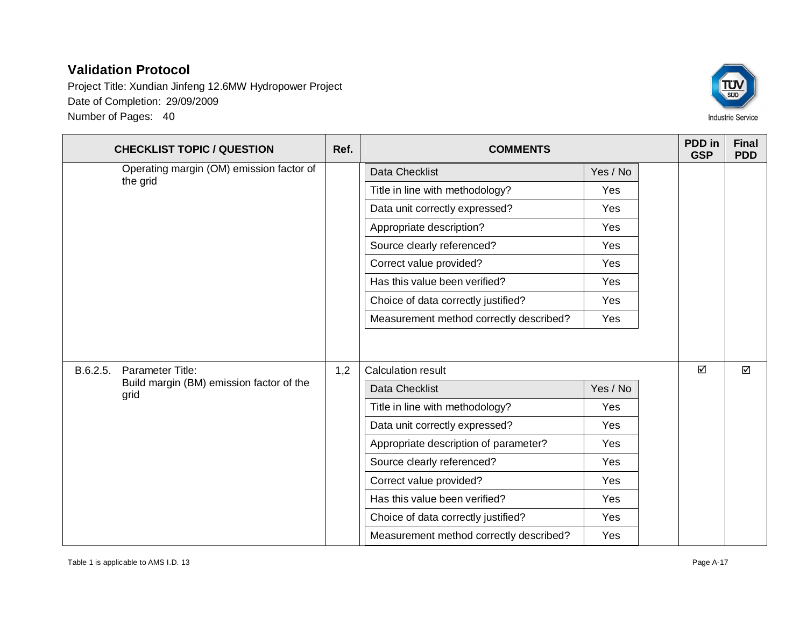Project Title: Xundian Jinfeng 12.6MW Hydropower Project Date of Completion: 29/09/2009 Number of Pages: 40



|          | <b>CHECKLIST TOPIC / QUESTION</b>                    | Ref.                                    | <b>COMMENTS</b>                         |          | PDD in<br><b>GSP</b> | <b>Final</b><br><b>PDD</b> |
|----------|------------------------------------------------------|-----------------------------------------|-----------------------------------------|----------|----------------------|----------------------------|
|          | Operating margin (OM) emission factor of<br>the grid |                                         | Data Checklist                          | Yes / No |                      |                            |
|          |                                                      |                                         | Title in line with methodology?         | Yes      |                      |                            |
|          |                                                      |                                         | Data unit correctly expressed?          | Yes      |                      |                            |
|          |                                                      | Appropriate description?                | Yes                                     |          |                      |                            |
|          |                                                      | Source clearly referenced?              | Yes                                     |          |                      |                            |
|          |                                                      |                                         | Correct value provided?                 | Yes      |                      |                            |
|          |                                                      |                                         | Has this value been verified?           | Yes      |                      |                            |
|          |                                                      |                                         | Choice of data correctly justified?     | Yes      |                      |                            |
|          |                                                      |                                         | Measurement method correctly described? | Yes      |                      |                            |
| B.6.2.5. | Parameter Title:                                     | 1,2                                     | <b>Calculation result</b>               |          | ☑                    | ☑                          |
|          | Build margin (BM) emission factor of the<br>grid     |                                         | Data Checklist                          | Yes / No |                      |                            |
|          |                                                      |                                         | Title in line with methodology?         | Yes      |                      |                            |
|          |                                                      |                                         | Data unit correctly expressed?          | Yes      |                      |                            |
|          |                                                      |                                         | Appropriate description of parameter?   | Yes      |                      |                            |
|          |                                                      |                                         | Source clearly referenced?              | Yes      |                      |                            |
|          |                                                      | Correct value provided?                 | Yes                                     |          |                      |                            |
|          |                                                      | Has this value been verified?           | Yes                                     |          |                      |                            |
|          |                                                      |                                         | Choice of data correctly justified?     | Yes      |                      |                            |
|          |                                                      | Measurement method correctly described? | Yes                                     |          |                      |                            |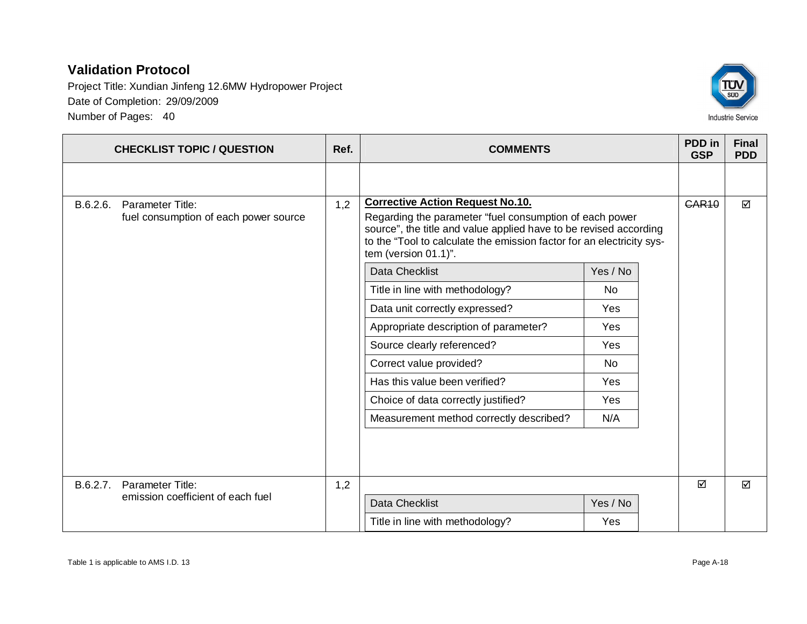Project Title: Xundian Jinfeng 12.6MW Hydropower Project Date of Completion: 29/09/2009 Number of Pages: 40



|          | <b>CHECKLIST TOPIC / QUESTION</b>     | Ref. | <b>COMMENTS</b>                                                                                                                                                                                                               |           | PDD in<br><b>GSP</b> | <b>Final</b><br><b>PDD</b> |
|----------|---------------------------------------|------|-------------------------------------------------------------------------------------------------------------------------------------------------------------------------------------------------------------------------------|-----------|----------------------|----------------------------|
|          |                                       |      |                                                                                                                                                                                                                               |           |                      |                            |
| B.6.2.6. | Parameter Title:                      | 1,2  | <b>Corrective Action Request No.10.</b>                                                                                                                                                                                       |           | <b>GAR10</b>         | ☑                          |
|          | fuel consumption of each power source |      | Regarding the parameter "fuel consumption of each power<br>source", the title and value applied have to be revised according<br>to the "Tool to calculate the emission factor for an electricity sys-<br>tem (version 01.1)". |           |                      |                            |
|          |                                       |      | <b>Data Checklist</b>                                                                                                                                                                                                         | Yes / No  |                      |                            |
|          |                                       |      | Title in line with methodology?                                                                                                                                                                                               | <b>No</b> |                      |                            |
|          |                                       |      | Data unit correctly expressed?                                                                                                                                                                                                | Yes       |                      |                            |
|          |                                       |      | Appropriate description of parameter?                                                                                                                                                                                         | Yes       |                      |                            |
|          |                                       |      | Source clearly referenced?                                                                                                                                                                                                    | Yes       |                      |                            |
|          |                                       |      | Correct value provided?                                                                                                                                                                                                       | No.       |                      |                            |
|          |                                       |      | Has this value been verified?                                                                                                                                                                                                 | Yes       |                      |                            |
|          |                                       |      | Choice of data correctly justified?                                                                                                                                                                                           | Yes       |                      |                            |
|          |                                       |      | Measurement method correctly described?                                                                                                                                                                                       | N/A       |                      |                            |
|          |                                       |      |                                                                                                                                                                                                                               |           |                      |                            |
| B.6.2.7. | Parameter Title:                      | 1,2  |                                                                                                                                                                                                                               |           | ☑                    | ☑                          |
|          | emission coefficient of each fuel     |      | Data Checklist                                                                                                                                                                                                                | Yes / No  |                      |                            |
|          |                                       |      | Title in line with methodology?                                                                                                                                                                                               | Yes       |                      |                            |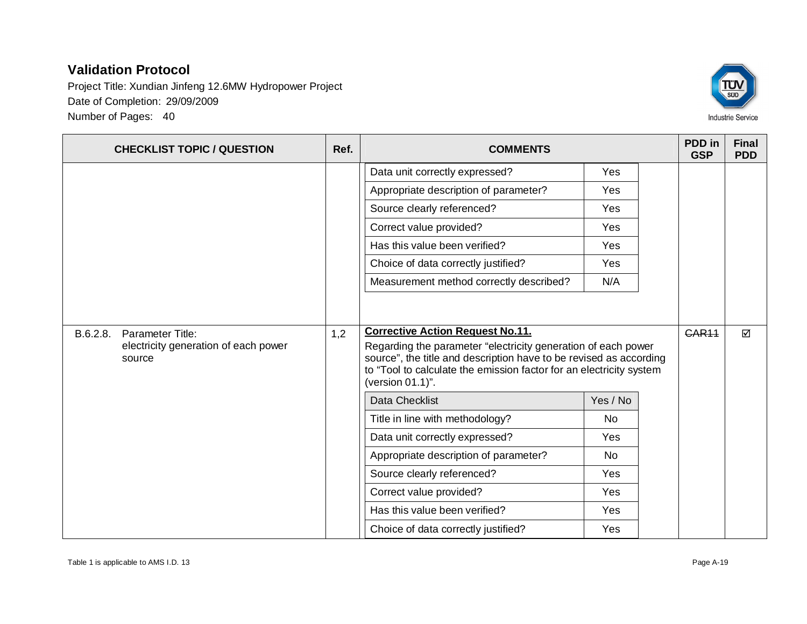Project Title: Xundian Jinfeng 12.6MW Hydropower Project Date of Completion: 29/09/2009 Number of Pages: 40



**CHECKLIST TOPIC / QUESTION Ref. Ref. COMMENTS PDD** in **GSP Final PDD** Data unit correctly expressed? The Mes Appropriate description of parameter?  $|$  Yes Source clearly referenced? Yes Correct value provided? Has this value been verified? The Messangle State of the Yes Choice of data correctly justified? The Ves Measurement method correctly described? | N/A B.6.2.8. Parameter Title: electricity generation of each power source 1,2 **Corrective Action Request No.11.** Regarding the parameter "electricity generation of each power source", the title and description have to be revised as according to "Tool to calculate the emission factor for an electricity system (version 01.1)". Data Checklist Yes / No Title in line with methodology? No Data unit correctly expressed? 
Yes Appropriate description of parameter?  $\vert$  No Source clearly referenced? The Message of the Message of the Vest of the Vest of the Vest of the Vest of the Vest of the Vest of the Vest of the Vest of the Vest of the Vest of the Vest of the Vest of the Vest of the Vest Correct value provided? Has this value been verified? The Mess Choice of data correctly justified? The Mes  $CAR11$   $\Box$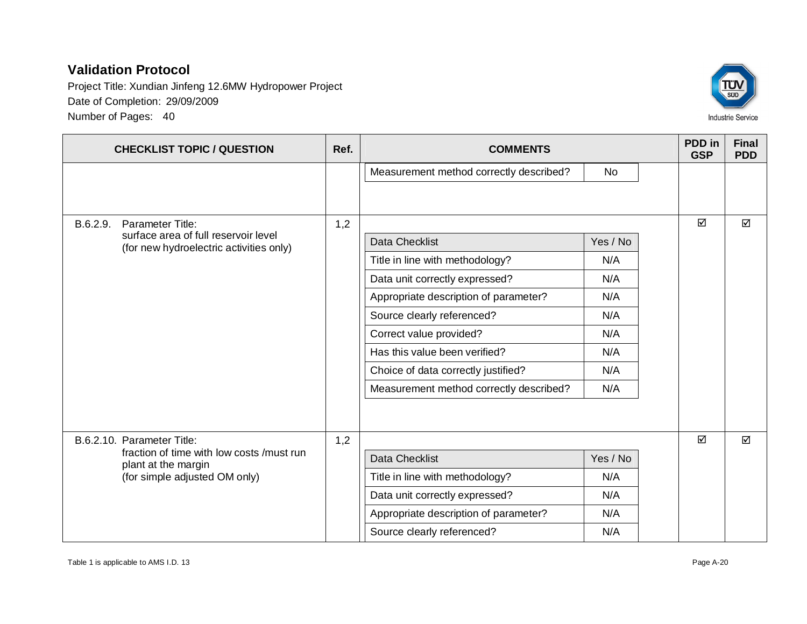Project Title: Xundian Jinfeng 12.6MW Hydropower Project Date of Completion: 29/09/2009 Number of Pages: 40



| <b>CHECKLIST TOPIC / QUESTION</b>                                                                 | Ref. | <b>COMMENTS</b>                         |          | PDD in<br><b>GSP</b> | <b>Final</b><br><b>PDD</b> |
|---------------------------------------------------------------------------------------------------|------|-----------------------------------------|----------|----------------------|----------------------------|
|                                                                                                   |      | Measurement method correctly described? | No       |                      |                            |
|                                                                                                   |      |                                         |          |                      |                            |
| <b>Parameter Title:</b><br>B.6.2.9.                                                               | 1,2  |                                         |          | ☑                    | ☑                          |
| surface area of full reservoir level<br>(for new hydroelectric activities only)                   |      | <b>Data Checklist</b>                   | Yes / No |                      |                            |
|                                                                                                   |      | Title in line with methodology?         | N/A      |                      |                            |
|                                                                                                   |      | Data unit correctly expressed?          | N/A      |                      |                            |
|                                                                                                   |      | Appropriate description of parameter?   | N/A      |                      |                            |
|                                                                                                   |      | Source clearly referenced?              | N/A      |                      |                            |
|                                                                                                   |      | Correct value provided?                 | N/A      |                      |                            |
|                                                                                                   |      | Has this value been verified?           | N/A      |                      |                            |
|                                                                                                   |      | Choice of data correctly justified?     | N/A      |                      |                            |
|                                                                                                   |      | Measurement method correctly described? | N/A      |                      |                            |
|                                                                                                   |      |                                         |          |                      |                            |
| B.6.2.10. Parameter Title:                                                                        | 1,2  |                                         |          | ☑                    | $\Delta$                   |
| fraction of time with low costs /must run<br>plant at the margin<br>(for simple adjusted OM only) |      | Data Checklist                          | Yes / No |                      |                            |
|                                                                                                   |      | Title in line with methodology?         | N/A      |                      |                            |
|                                                                                                   |      | Data unit correctly expressed?          | N/A      |                      |                            |
|                                                                                                   |      | Appropriate description of parameter?   | N/A      |                      |                            |
|                                                                                                   |      | Source clearly referenced?              | N/A      |                      |                            |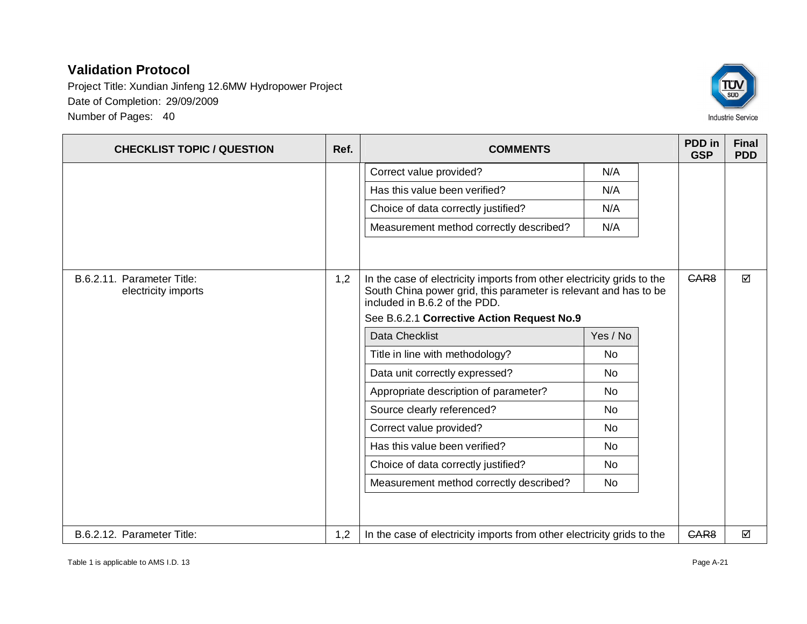Project Title: Xundian Jinfeng 12.6MW Hydropower Project Date of Completion: 29/09/2009 Number of Pages: 40



**CHECKLIST TOPIC / QUESTION Ref. Ref. COMMENTS PDD** in **GSP Final PDD** Correct value provided? N/A Has this value been verified? 
N/A Choice of data correctly justified? N/A Measurement method correctly described? | N/A B.6.2.11. Parameter Title: electricity imports 1,2  $\parallel$  In the case of electricity imports from other electricity grids to the South China power grid, this parameter is relevant and has to be included in B.6.2 of the PDD. See B.6.2.1 **Corrective Action Request No.9** Data Checklist Yes / No Title in line with methodology? No Data unit correctly expressed? | No Appropriate description of parameter?  $\vert$  No Source clearly referenced? No Correct value provided? No Has this value been verified? No Choice of data correctly justified? No Measurement method correctly described? | No  $GAR8$   $\Box$ B.6.2.12. Parameter Title:  $\vert$  1,2 | In the case of electricity imports from other electricity grids to the  $\vert$  CAR8  $\vert$   $\Box$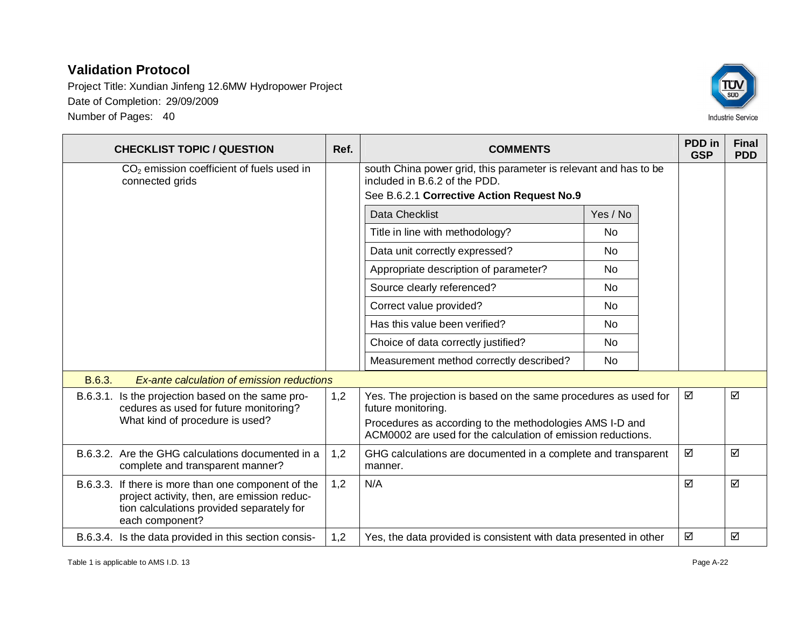Project Title: Xundian Jinfeng 12.6MW Hydropower Project Date of Completion: 29/09/2009 Number of Pages: 40



|          | <b>CHECKLIST TOPIC / QUESTION</b>                                                                                                                                  | Ref. | <b>COMMENTS</b>                                                                                                                                 |           | PDD in<br><b>GSP</b> | <b>Final</b><br><b>PDD</b> |
|----------|--------------------------------------------------------------------------------------------------------------------------------------------------------------------|------|-------------------------------------------------------------------------------------------------------------------------------------------------|-----------|----------------------|----------------------------|
|          | $CO2$ emission coefficient of fuels used in<br>connected grids                                                                                                     |      | south China power grid, this parameter is relevant and has to be<br>included in B.6.2 of the PDD.<br>See B.6.2.1 Corrective Action Request No.9 |           |                      |                            |
|          |                                                                                                                                                                    |      | <b>Data Checklist</b>                                                                                                                           | Yes / No  |                      |                            |
|          |                                                                                                                                                                    |      | Title in line with methodology?                                                                                                                 | No.       |                      |                            |
|          |                                                                                                                                                                    |      | Data unit correctly expressed?                                                                                                                  | <b>No</b> |                      |                            |
|          |                                                                                                                                                                    |      | Appropriate description of parameter?                                                                                                           | <b>No</b> |                      |                            |
|          |                                                                                                                                                                    |      | Source clearly referenced?                                                                                                                      | No.       |                      |                            |
|          |                                                                                                                                                                    |      | Correct value provided?                                                                                                                         | <b>No</b> |                      |                            |
|          |                                                                                                                                                                    |      | Has this value been verified?                                                                                                                   | <b>No</b> |                      |                            |
|          |                                                                                                                                                                    |      | Choice of data correctly justified?                                                                                                             | <b>No</b> |                      |                            |
|          |                                                                                                                                                                    |      | Measurement method correctly described?                                                                                                         | <b>No</b> |                      |                            |
| B.6.3.   | Ex-ante calculation of emission reductions                                                                                                                         |      |                                                                                                                                                 |           |                      |                            |
| B.6.3.1. | Is the projection based on the same pro-<br>cedures as used for future monitoring?                                                                                 | 1,2  | Yes. The projection is based on the same procedures as used for<br>future monitoring.                                                           |           | ☑                    | ☑                          |
|          | What kind of procedure is used?                                                                                                                                    |      | Procedures as according to the methodologies AMS I-D and<br>ACM0002 are used for the calculation of emission reductions.                        |           |                      |                            |
|          | B.6.3.2. Are the GHG calculations documented in a<br>complete and transparent manner?                                                                              | 1,2  | GHG calculations are documented in a complete and transparent<br>manner.                                                                        |           | ☑                    | ☑                          |
|          | B.6.3.3. If there is more than one component of the<br>project activity, then, are emission reduc-<br>tion calculations provided separately for<br>each component? | 1,2  | N/A                                                                                                                                             |           | ☑                    | ☑                          |
|          | B.6.3.4. Is the data provided in this section consis-                                                                                                              | 1,2  | Yes, the data provided is consistent with data presented in other                                                                               |           | ☑                    | ☑                          |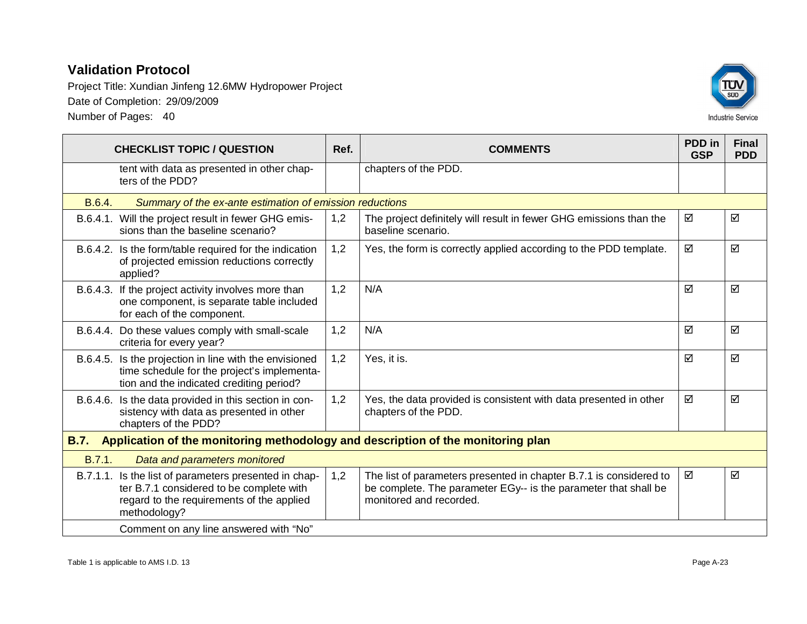

|             | <b>CHECKLIST TOPIC / QUESTION</b>                                                                                                                              | Ref. | <b>COMMENTS</b>                                                                                                                                                  | PDD in<br><b>GSP</b> | <b>Final</b><br><b>PDD</b> |
|-------------|----------------------------------------------------------------------------------------------------------------------------------------------------------------|------|------------------------------------------------------------------------------------------------------------------------------------------------------------------|----------------------|----------------------------|
|             | tent with data as presented in other chap-<br>ters of the PDD?                                                                                                 |      | chapters of the PDD.                                                                                                                                             |                      |                            |
| B.6.4.      | Summary of the ex-ante estimation of emission reductions                                                                                                       |      |                                                                                                                                                                  |                      |                            |
|             | B.6.4.1. Will the project result in fewer GHG emis-<br>sions than the baseline scenario?                                                                       | 1,2  | The project definitely will result in fewer GHG emissions than the<br>baseline scenario.                                                                         | ☑                    | ☑                          |
|             | B.6.4.2. Is the form/table required for the indication<br>of projected emission reductions correctly<br>applied?                                               | 1,2  | Yes, the form is correctly applied according to the PDD template.                                                                                                | ☑                    | ☑                          |
|             | B.6.4.3. If the project activity involves more than<br>one component, is separate table included<br>for each of the component.                                 | 1,2  | N/A                                                                                                                                                              | ☑                    | ☑                          |
|             | B.6.4.4. Do these values comply with small-scale<br>criteria for every year?                                                                                   | 1,2  | N/A                                                                                                                                                              | ☑                    | ☑                          |
|             | B.6.4.5. Is the projection in line with the envisioned<br>time schedule for the project's implementa-<br>tion and the indicated crediting period?              | 1,2  | Yes, it is.                                                                                                                                                      | ☑                    | ☑                          |
|             | B.6.4.6. Is the data provided in this section in con-<br>sistency with data as presented in other<br>chapters of the PDD?                                      | 1,2  | Yes, the data provided is consistent with data presented in other<br>chapters of the PDD.                                                                        | ☑                    | ☑                          |
| <b>B.7.</b> | Application of the monitoring methodology and description of the monitoring plan                                                                               |      |                                                                                                                                                                  |                      |                            |
| B.7.1.      | Data and parameters monitored                                                                                                                                  |      |                                                                                                                                                                  |                      |                            |
|             | B.7.1.1. Is the list of parameters presented in chap-<br>ter B.7.1 considered to be complete with<br>regard to the requirements of the applied<br>methodology? | 1,2  | The list of parameters presented in chapter B.7.1 is considered to<br>be complete. The parameter EGy-- is the parameter that shall be<br>monitored and recorded. | ☑                    | ☑                          |
|             | Comment on any line answered with "No"                                                                                                                         |      |                                                                                                                                                                  |                      |                            |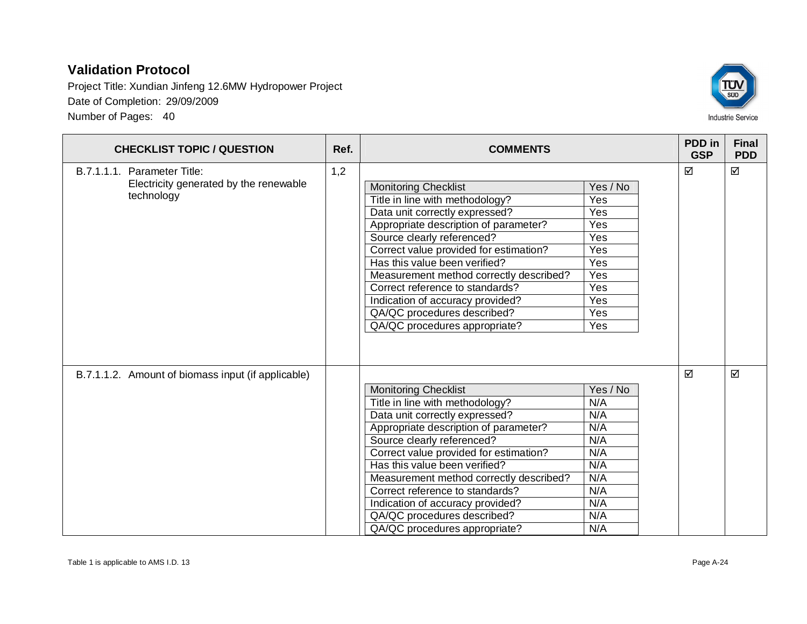Project Title: Xundian Jinfeng 12.6MW Hydropower Project Date of Completion: 29/09/2009 Number of Pages: 40



| <b>CHECKLIST TOPIC / QUESTION</b>                                                   | Ref. | <b>COMMENTS</b>                                                                                                                                                                                                                                                                                                                                                                                                                      |                                                                                       | PDD in<br><b>GSP</b> | <b>Final</b><br><b>PDD</b> |
|-------------------------------------------------------------------------------------|------|--------------------------------------------------------------------------------------------------------------------------------------------------------------------------------------------------------------------------------------------------------------------------------------------------------------------------------------------------------------------------------------------------------------------------------------|---------------------------------------------------------------------------------------|----------------------|----------------------------|
| B.7.1.1.1. Parameter Title:<br>Electricity generated by the renewable<br>technology | 1,2  | <b>Monitoring Checklist</b><br>Title in line with methodology?<br>Data unit correctly expressed?<br>Appropriate description of parameter?<br>Source clearly referenced?<br>Correct value provided for estimation?<br>Has this value been verified?<br>Measurement method correctly described?<br>Correct reference to standards?<br>Indication of accuracy provided?<br>QA/QC procedures described?<br>QA/QC procedures appropriate? | Yes / No<br>Yes<br>Yes<br>Yes<br>Yes<br>Yes<br>Yes<br>Yes<br>Yes<br>Yes<br>Yes<br>Yes | ☑                    | ☑                          |
| B.7.1.1.2. Amount of biomass input (if applicable)                                  |      | <b>Monitoring Checklist</b><br>Title in line with methodology?<br>Data unit correctly expressed?<br>Appropriate description of parameter?<br>Source clearly referenced?<br>Correct value provided for estimation?<br>Has this value been verified?<br>Measurement method correctly described?<br>Correct reference to standards?<br>Indication of accuracy provided?<br>QA/QC procedures described?<br>QA/QC procedures appropriate? | Yes / No<br>N/A<br>N/A<br>N/A<br>N/A<br>N/A<br>N/A<br>N/A<br>N/A<br>N/A<br>N/A<br>N/A | ☑                    | ☑                          |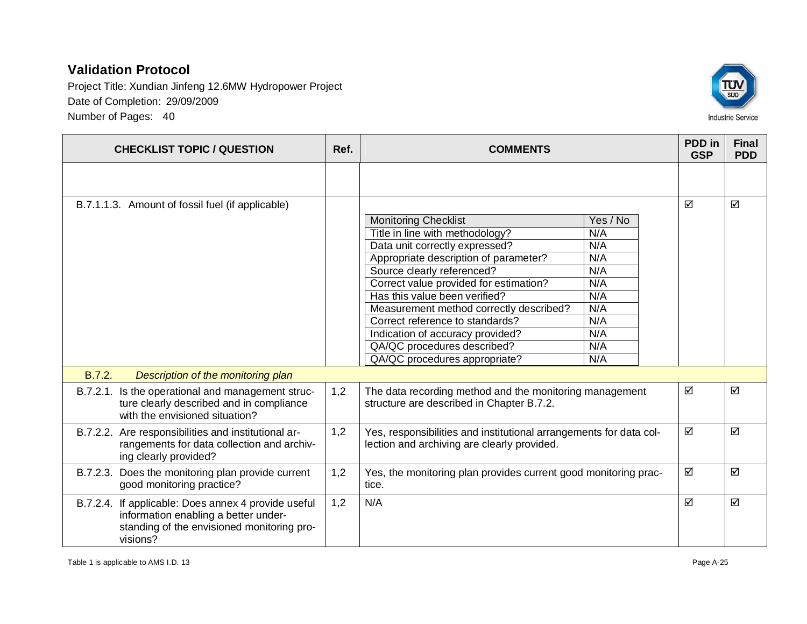

| <b>CHECKLIST TOPIC / QUESTION</b>                                                                                                                     | Ref. | <b>COMMENTS</b>                                                                                                                                                                                                                                                                                                                                                                                                                                                                                                               | PDD in<br><b>GSP</b> | <b>Final</b><br><b>PDD</b> |
|-------------------------------------------------------------------------------------------------------------------------------------------------------|------|-------------------------------------------------------------------------------------------------------------------------------------------------------------------------------------------------------------------------------------------------------------------------------------------------------------------------------------------------------------------------------------------------------------------------------------------------------------------------------------------------------------------------------|----------------------|----------------------------|
|                                                                                                                                                       |      |                                                                                                                                                                                                                                                                                                                                                                                                                                                                                                                               |                      |                            |
| B.7.1.1.3. Amount of fossil fuel (if applicable)                                                                                                      |      | <b>Monitoring Checklist</b><br>Yes / No<br>Title in line with methodology?<br>N/A<br>Data unit correctly expressed?<br>N/A<br>Appropriate description of parameter?<br>N/A<br>Source clearly referenced?<br>N/A<br>N/A<br>Correct value provided for estimation?<br>Has this value been verified?<br>N/A<br>Measurement method correctly described?<br>N/A<br>N/A<br>Correct reference to standards?<br>N/A<br>Indication of accuracy provided?<br>QA/QC procedures described?<br>N/A<br>QA/QC procedures appropriate?<br>N/A | ☑                    | ☑                          |
| B.7.2.<br>Description of the monitoring plan                                                                                                          |      |                                                                                                                                                                                                                                                                                                                                                                                                                                                                                                                               |                      |                            |
| B.7.2.1. Is the operational and management struc-<br>ture clearly described and in compliance<br>with the envisioned situation?                       | 1,2  | The data recording method and the monitoring management<br>structure are described in Chapter B.7.2.                                                                                                                                                                                                                                                                                                                                                                                                                          | ☑                    | ☑                          |
| B.7.2.2. Are responsibilities and institutional ar-<br>rangements for data collection and archiv-<br>ing clearly provided?                            | 1,2  | Yes, responsibilities and institutional arrangements for data col-<br>lection and archiving are clearly provided.                                                                                                                                                                                                                                                                                                                                                                                                             | ☑                    | ☑                          |
| B.7.2.3. Does the monitoring plan provide current<br>good monitoring practice?                                                                        | 1,2  | Yes, the monitoring plan provides current good monitoring prac-<br>tice.                                                                                                                                                                                                                                                                                                                                                                                                                                                      | ☑                    | ☑                          |
| B.7.2.4. If applicable: Does annex 4 provide useful<br>information enabling a better under-<br>standing of the envisioned monitoring pro-<br>visions? | 1,2  | N/A                                                                                                                                                                                                                                                                                                                                                                                                                                                                                                                           | ☑                    | ☑                          |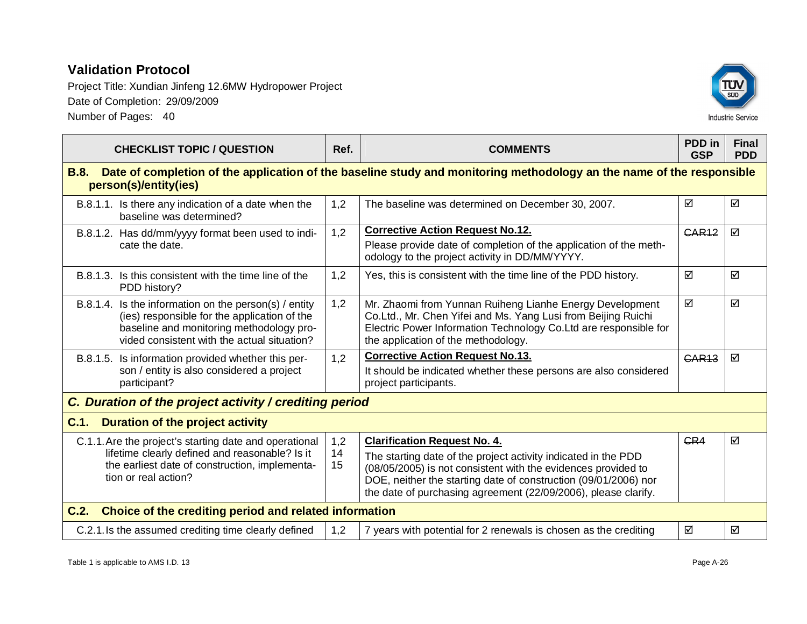

| <b>CHECKLIST TOPIC / QUESTION</b>                                                                                                                                                                | Ref.                                                                                                                  | <b>COMMENTS</b>                                                                                                                                                                                                                       | PDD in<br><b>GSP</b> | <b>Final</b><br><b>PDD</b> |  |  |  |
|--------------------------------------------------------------------------------------------------------------------------------------------------------------------------------------------------|-----------------------------------------------------------------------------------------------------------------------|---------------------------------------------------------------------------------------------------------------------------------------------------------------------------------------------------------------------------------------|----------------------|----------------------------|--|--|--|
| <b>B.8.</b><br>person(s)/entity(ies)                                                                                                                                                             | Date of completion of the application of the baseline study and monitoring methodology an the name of the responsible |                                                                                                                                                                                                                                       |                      |                            |  |  |  |
| B.8.1.1. Is there any indication of a date when the<br>baseline was determined?                                                                                                                  | 1,2                                                                                                                   | The baseline was determined on December 30, 2007.                                                                                                                                                                                     | ☑                    | ☑                          |  |  |  |
| B.8.1.2. Has dd/mm/yyyy format been used to indi-                                                                                                                                                | 1,2                                                                                                                   | <b>Corrective Action Request No.12.</b>                                                                                                                                                                                               | <b>GAR12</b>         | ☑                          |  |  |  |
| cate the date.                                                                                                                                                                                   |                                                                                                                       | Please provide date of completion of the application of the meth-<br>odology to the project activity in DD/MM/YYYY.                                                                                                                   |                      |                            |  |  |  |
| B.8.1.3. Is this consistent with the time line of the<br>PDD history?                                                                                                                            | 1,2                                                                                                                   | Yes, this is consistent with the time line of the PDD history.                                                                                                                                                                        | ☑                    | ☑                          |  |  |  |
| B.8.1.4. Is the information on the person(s) / entity<br>(ies) responsible for the application of the<br>baseline and monitoring methodology pro-<br>vided consistent with the actual situation? | 1,2                                                                                                                   | Mr. Zhaomi from Yunnan Ruiheng Lianhe Energy Development<br>Co.Ltd., Mr. Chen Yifei and Ms. Yang Lusi from Beijing Ruichi<br>Electric Power Information Technology Co. Ltd are responsible for<br>the application of the methodology. | ☑                    | ☑                          |  |  |  |
| B.8.1.5. Is information provided whether this per-                                                                                                                                               | 1,2                                                                                                                   | <b>Corrective Action Request No.13.</b>                                                                                                                                                                                               | <b>GAR13</b>         | ☑                          |  |  |  |
| son / entity is also considered a project<br>participant?                                                                                                                                        |                                                                                                                       | It should be indicated whether these persons are also considered<br>project participants.                                                                                                                                             |                      |                            |  |  |  |
| C. Duration of the project activity / crediting period                                                                                                                                           |                                                                                                                       |                                                                                                                                                                                                                                       |                      |                            |  |  |  |
| C.1.<br><b>Duration of the project activity</b>                                                                                                                                                  |                                                                                                                       |                                                                                                                                                                                                                                       |                      |                            |  |  |  |
| C.1.1. Are the project's starting date and operational                                                                                                                                           | 1,2                                                                                                                   | <b>Clarification Request No. 4.</b>                                                                                                                                                                                                   | CR4                  | ☑                          |  |  |  |
| lifetime clearly defined and reasonable? Is it<br>the earliest date of construction, implementa-                                                                                                 | 14<br>15                                                                                                              | The starting date of the project activity indicated in the PDD                                                                                                                                                                        |                      |                            |  |  |  |
| tion or real action?                                                                                                                                                                             |                                                                                                                       | (08/05/2005) is not consistent with the evidences provided to<br>DOE, neither the starting date of construction (09/01/2006) nor                                                                                                      |                      |                            |  |  |  |
|                                                                                                                                                                                                  |                                                                                                                       | the date of purchasing agreement (22/09/2006), please clarify.                                                                                                                                                                        |                      |                            |  |  |  |
| Choice of the crediting period and related information<br>C.2.                                                                                                                                   |                                                                                                                       |                                                                                                                                                                                                                                       |                      |                            |  |  |  |
| C.2.1. Is the assumed crediting time clearly defined                                                                                                                                             | 1,2                                                                                                                   | 7 years with potential for 2 renewals is chosen as the crediting                                                                                                                                                                      | ☑                    | ☑                          |  |  |  |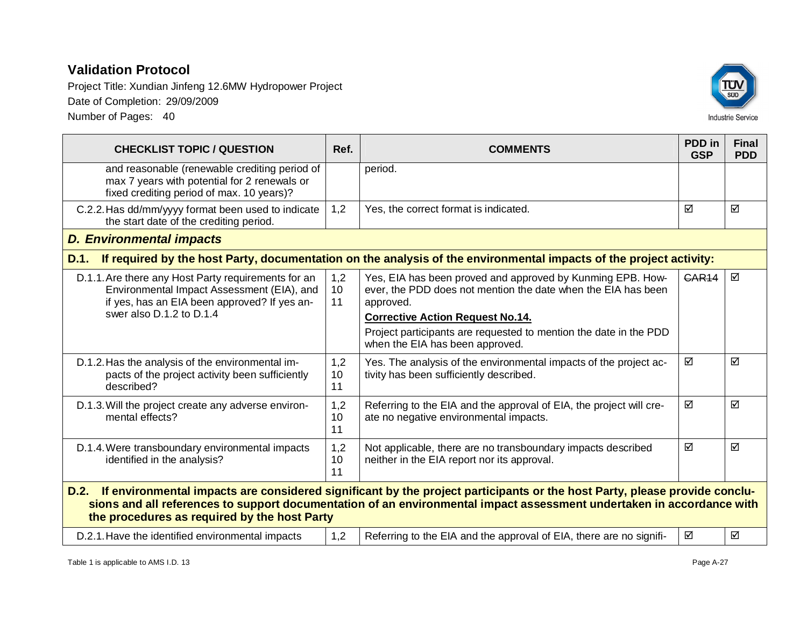Project Title: Xundian Jinfeng 12.6MW Hydropower Project Date of Completion: 29/09/2009 Number of Pages: 40



**CHECKLIST TOPIC / QUESTION Ref. COMMENTS PDD in GSP Final PDD** and reasonable (renewable crediting period of max 7 years with potential for 2 renewals or fixed crediting period of max. 10 years)? period. C.2.2. Has dd/mm/yyyy format been used to indicate the start date of the crediting period. 1,2 Yes, the correct format is indicated.  $\Box$   $\Box$ *D. Environmental impacts* **D.1. If required by the host Party, documentation on the analysis of the environmental impacts of the project activity:** D.1.1. Are there any Host Party requirements for an Environmental Impact Assessment (EIA), and if yes, has an EIA been approved? If yes answer also D.1.2 to D.1.4 1,2 10 11 Yes, EIA has been proved and approved by Kunming EPB. However, the PDD does not mention the date when the EIA has been approved. **Corrective Action Request No.14.** Project participants are requested to mention the date in the PDD when the EIA has been approved.  $GAR14$   $\Box$ D.1.2. Has the analysis of the environmental impacts of the project activity been sufficiently described? 1,2 10 11 Yes. The analysis of the environmental impacts of the project activity has been sufficiently described.  $\boxtimes$   $\boxtimes$ D.1.3. Will the project create any adverse environmental effects? 1,2 10 11 Referring to the EIA and the approval of EIA, the project will create no negative environmental impacts.  $\overline{M}$   $\overline{M}$ D.1.4. Were transboundary environmental impacts identified in the analysis? 1,2 10 11 Not applicable, there are no transboundary impacts described neither in the EIA report nor its approval.  $\overline{M}$  ।  $\overline{M}$ **D.2. If environmental impacts are considered significant by the project participants or the host Party, please provide conclusions and all references to support documentation of an environmental impact assessment undertaken in accordance with the procedures as required by the host Party**

D.2.1. Have the identified environmental impacts  $\begin{bmatrix} 1,2 \end{bmatrix}$  Referring to the EIA and the approval of EIA, there are no signifi-  $\mathcal{B}$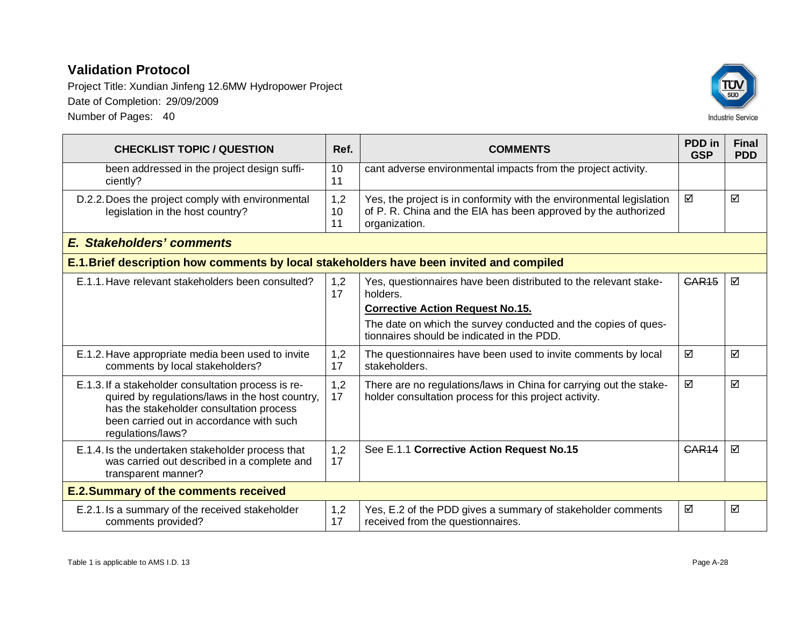Project Title: Xundian Jinfeng 12.6MW Hydropower Project Date of Completion: 29/09/2009 Number of Pages: 40



**CHECKLIST TOPIC / QUESTION Ref. COMMENTS PDD in GSP Final PDD** been addressed in the project design sufficiently? 10 11 cant adverse environmental impacts from the project activity. D.2.2. Does the project comply with environmental legislation in the host country? 1,2 10 11 Yes, the project is in conformity with the environmental legislation of P. R. China and the EIA has been approved by the authorized organization.  $\boxtimes$   $\boxtimes$ *E. Stakeholders' comments* **E.1. Brief description how comments by local stakeholders have been invited and compiled** E.1.1. Have relevant stakeholders been consulted?  $\vert$  1,2 17 Yes, questionnaires have been distributed to the relevant stakeholders. **Corrective Action Request No.15.** The date on which the survey conducted and the copies of questionnaires should be indicated in the PDD.  $CAR15$   $\Box$ E.1.2. Have appropriate media been used to invite comments by local stakeholders? 1,2 17 The questionnaires have been used to invite comments by local stakeholders.  $\overline{M}$   $\overline{M}$ E.1.3. If a stakeholder consultation process is required by regulations/laws in the host country, has the stakeholder consultation process been carried out in accordance with such regulations/laws? 1,2 17 There are no regulations/laws in China for carrying out the stakeholder consultation process for this project activity.  $\overline{M}$   $\overline{M}$ E.1.4. Is the undertaken stakeholder process that was carried out described in a complete and transparent manner? 1,2 17 See E.1.1 Corrective Action Request No.15 **CAR14**  $\Box$ **E.2. Summary of the comments received**

| E.2.1. Is a summary of the received stakeholder | Yes, E.2 of the PDD gives a summary of stakeholder comments | ☑ | ☑ |
|-------------------------------------------------|-------------------------------------------------------------|---|---|
| comments provided?                              | received from the questionnaires.                           |   |   |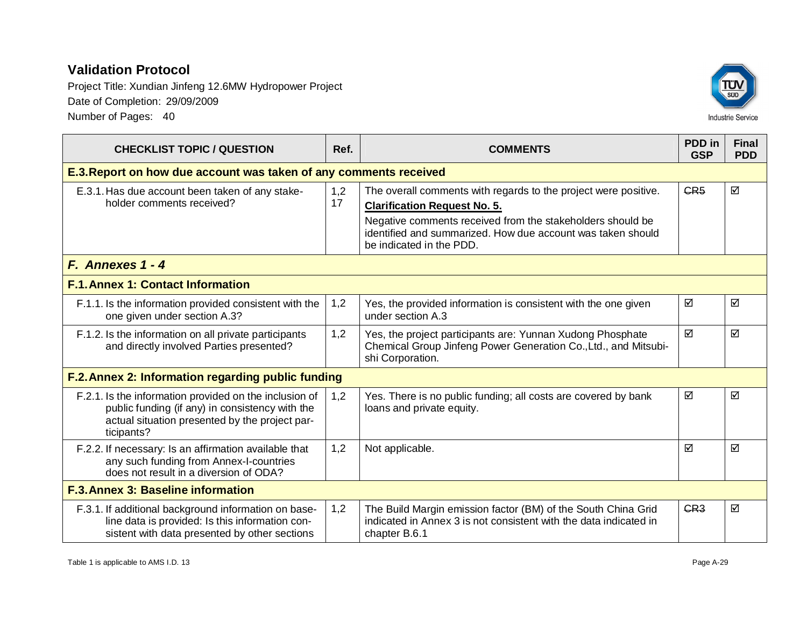Project Title: Xundian Jinfeng 12.6MW Hydropower Project Date of Completion: 29/09/2009 Number of Pages: 40



| <b>CHECKLIST TOPIC / QUESTION</b>                                                                                                                                         | Ref.      | <b>COMMENTS</b>                                                                                                                                                                                                                     | PDD in<br><b>GSP</b> | <b>Final</b><br><b>PDD</b> |
|---------------------------------------------------------------------------------------------------------------------------------------------------------------------------|-----------|-------------------------------------------------------------------------------------------------------------------------------------------------------------------------------------------------------------------------------------|----------------------|----------------------------|
| E.3. Report on how due account was taken of any comments received                                                                                                         |           |                                                                                                                                                                                                                                     |                      |                            |
| E.3.1. Has due account been taken of any stake-<br>holder comments received?                                                                                              | 1,2<br>17 | The overall comments with regards to the project were positive.<br><b>Clarification Request No. 5.</b><br>Negative comments received from the stakeholders should be<br>identified and summarized. How due account was taken should | CR <sub>5</sub>      | ☑                          |
|                                                                                                                                                                           |           | be indicated in the PDD.                                                                                                                                                                                                            |                      |                            |
| F. Annexes 1 - 4                                                                                                                                                          |           |                                                                                                                                                                                                                                     |                      |                            |
| <b>F.1. Annex 1: Contact Information</b>                                                                                                                                  |           |                                                                                                                                                                                                                                     |                      |                            |
| F.1.1. Is the information provided consistent with the<br>one given under section A.3?                                                                                    | 1,2       | Yes, the provided information is consistent with the one given<br>under section A.3                                                                                                                                                 | ☑                    | ☑                          |
| F.1.2. Is the information on all private participants<br>and directly involved Parties presented?                                                                         | 1,2       | Yes, the project participants are: Yunnan Xudong Phosphate<br>Chemical Group Jinfeng Power Generation Co., Ltd., and Mitsubi-<br>shi Corporation.                                                                                   | ☑                    | ☑                          |
| F.2. Annex 2: Information regarding public funding                                                                                                                        |           |                                                                                                                                                                                                                                     |                      |                            |
| F.2.1. Is the information provided on the inclusion of<br>public funding (if any) in consistency with the<br>actual situation presented by the project par-<br>ticipants? | 1,2       | Yes. There is no public funding; all costs are covered by bank<br>loans and private equity.                                                                                                                                         | ☑                    | ☑                          |
| F.2.2. If necessary: Is an affirmation available that<br>any such funding from Annex-I-countries<br>does not result in a diversion of ODA?                                | 1,2       | Not applicable.                                                                                                                                                                                                                     | ☑                    | ☑                          |
| <b>F.3. Annex 3: Baseline information</b>                                                                                                                                 |           |                                                                                                                                                                                                                                     |                      |                            |
| F.3.1. If additional background information on base-<br>line data is provided: Is this information con-<br>sistent with data presented by other sections                  | 1,2       | The Build Margin emission factor (BM) of the South China Grid<br>indicated in Annex 3 is not consistent with the data indicated in<br>chapter B.6.1                                                                                 | CR <sub>3</sub>      | ☑                          |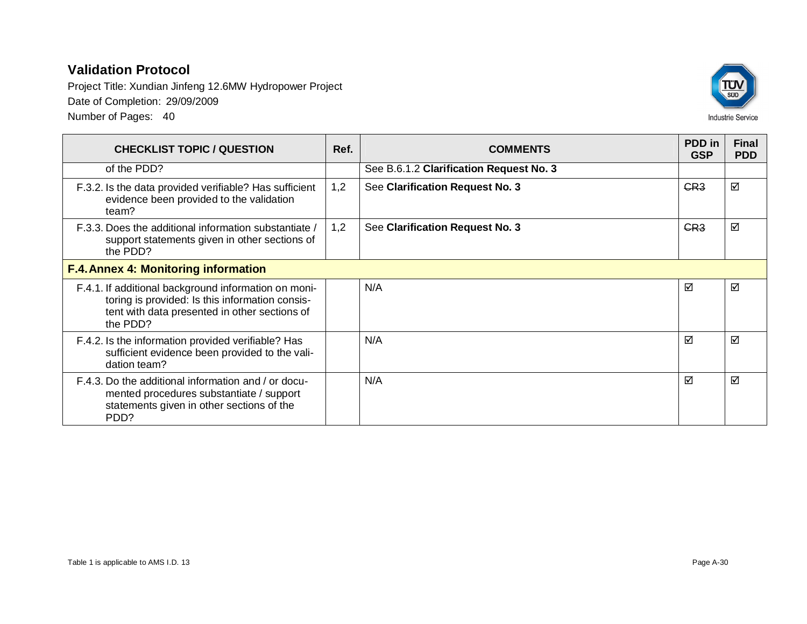Project Title: Xundian Jinfeng 12.6MW Hydropower Project Date of Completion: 29/09/2009

Number of Pages: 40



| <b>CHECKLIST TOPIC / QUESTION</b>                                                                                                                                    | Ref. | <b>COMMENTS</b>                         |                 | <b>Final</b><br><b>PDD</b> |  |  |
|----------------------------------------------------------------------------------------------------------------------------------------------------------------------|------|-----------------------------------------|-----------------|----------------------------|--|--|
| of the PDD?                                                                                                                                                          |      | See B.6.1.2 Clarification Request No. 3 |                 |                            |  |  |
| F.3.2. Is the data provided verifiable? Has sufficient<br>evidence been provided to the validation<br>team?                                                          | 1,2  | See Clarification Request No. 3         | CR <sub>3</sub> | ☑                          |  |  |
| 1,2<br>F.3.3. Does the additional information substantiate /<br>See Clarification Request No. 3<br>support statements given in other sections of<br>the PDD?         |      | GR <sub>3</sub>                         | ☑               |                            |  |  |
| <b>F.4. Annex 4: Monitoring information</b>                                                                                                                          |      |                                         |                 |                            |  |  |
| F.4.1. If additional background information on moni-<br>toring is provided: Is this information consis-<br>tent with data presented in other sections of<br>the PDD? |      | N/A                                     | ☑               | ☑                          |  |  |
| F.4.2. Is the information provided verifiable? Has<br>sufficient evidence been provided to the vali-<br>dation team?                                                 |      | N/A                                     | ☑               | ☑                          |  |  |
| F.4.3. Do the additional information and / or docu-<br>mented procedures substantiate / support<br>statements given in other sections of the<br>PDD?                 |      | N/A                                     | ☑               | ☑                          |  |  |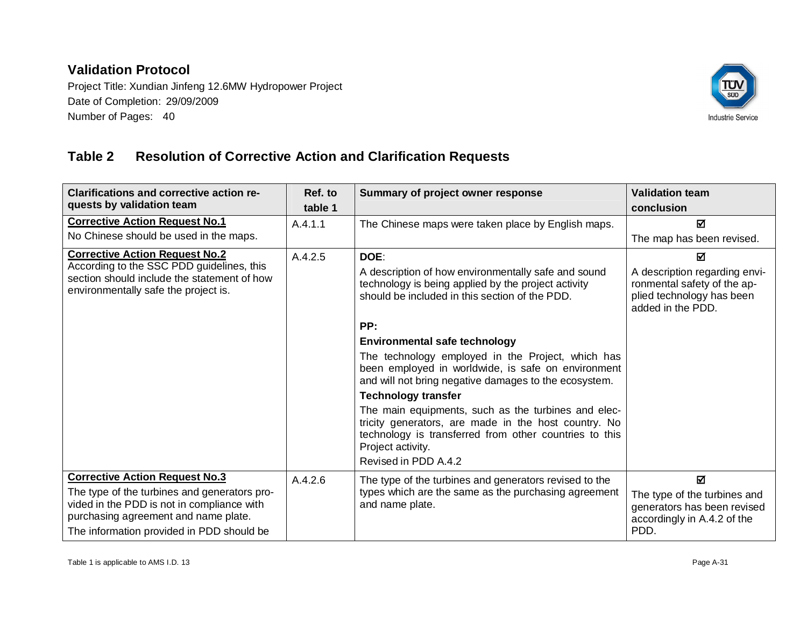Project Title: Xundian Jinfeng 12.6MW Hydropower Project Date of Completion: 29/09/2009 Number of Pages: 40



## **Table 2 Resolution of Corrective Action and Clarification Requests**

| <b>Clarifications and corrective action re-</b><br>quests by validation team                                                                                                    | Ref. to<br>table 1 | Summary of project owner response                                                                                                                                                                                  | <b>Validation team</b><br>conclusion                                                                           |
|---------------------------------------------------------------------------------------------------------------------------------------------------------------------------------|--------------------|--------------------------------------------------------------------------------------------------------------------------------------------------------------------------------------------------------------------|----------------------------------------------------------------------------------------------------------------|
| <b>Corrective Action Request No.1</b>                                                                                                                                           | A.4.1.1            | The Chinese maps were taken place by English maps.                                                                                                                                                                 | М                                                                                                              |
| No Chinese should be used in the maps.                                                                                                                                          |                    |                                                                                                                                                                                                                    | The map has been revised.                                                                                      |
| <b>Corrective Action Request No.2</b>                                                                                                                                           | A.4.2.5            | DOE:                                                                                                                                                                                                               | М                                                                                                              |
| According to the SSC PDD guidelines, this<br>section should include the statement of how<br>environmentally safe the project is.                                                |                    | A description of how environmentally safe and sound<br>technology is being applied by the project activity<br>should be included in this section of the PDD.                                                       | A description regarding envi-<br>ronmental safety of the ap-<br>plied technology has been<br>added in the PDD. |
|                                                                                                                                                                                 |                    | PP:                                                                                                                                                                                                                |                                                                                                                |
|                                                                                                                                                                                 |                    | <b>Environmental safe technology</b>                                                                                                                                                                               |                                                                                                                |
|                                                                                                                                                                                 |                    | The technology employed in the Project, which has<br>been employed in worldwide, is safe on environment<br>and will not bring negative damages to the ecosystem.                                                   |                                                                                                                |
|                                                                                                                                                                                 |                    | <b>Technology transfer</b>                                                                                                                                                                                         |                                                                                                                |
|                                                                                                                                                                                 |                    | The main equipments, such as the turbines and elec-<br>tricity generators, are made in the host country. No<br>technology is transferred from other countries to this<br>Project activity.<br>Revised in PDD A.4.2 |                                                                                                                |
| <b>Corrective Action Request No.3</b>                                                                                                                                           | A.4.2.6            | The type of the turbines and generators revised to the                                                                                                                                                             | ☑                                                                                                              |
| The type of the turbines and generators pro-<br>vided in the PDD is not in compliance with<br>purchasing agreement and name plate.<br>The information provided in PDD should be |                    | types which are the same as the purchasing agreement<br>and name plate.                                                                                                                                            | The type of the turbines and<br>generators has been revised<br>accordingly in A.4.2 of the<br>PDD.             |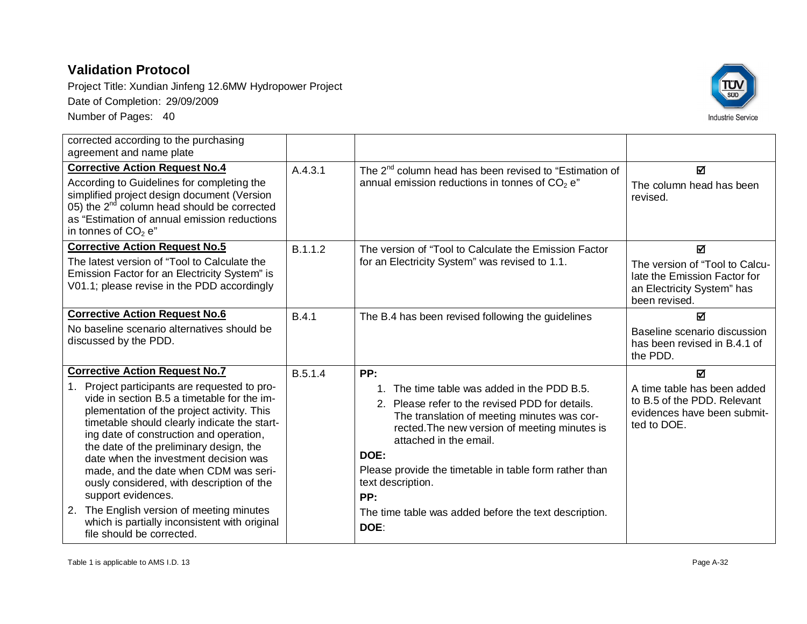

| corrected according to the purchasing<br>agreement and name plate                                                                                                                                                                                                                                                                                                                                                                                                                                                                                                                                      |              |                                                                                                                                                                                                                                                                                                                                                                                                |                                                                                                                                 |
|--------------------------------------------------------------------------------------------------------------------------------------------------------------------------------------------------------------------------------------------------------------------------------------------------------------------------------------------------------------------------------------------------------------------------------------------------------------------------------------------------------------------------------------------------------------------------------------------------------|--------------|------------------------------------------------------------------------------------------------------------------------------------------------------------------------------------------------------------------------------------------------------------------------------------------------------------------------------------------------------------------------------------------------|---------------------------------------------------------------------------------------------------------------------------------|
| <b>Corrective Action Request No.4</b><br>According to Guidelines for completing the<br>simplified project design document (Version<br>05) the $2^{nd}$ column head should be corrected<br>as "Estimation of annual emission reductions<br>in tonnes of $CO2 en$                                                                                                                                                                                                                                                                                                                                        | A.4.3.1      | The 2 <sup>nd</sup> column head has been revised to "Estimation of<br>annual emission reductions in tonnes of $CO2$ e"                                                                                                                                                                                                                                                                         | ☑<br>The column head has been<br>revised.                                                                                       |
| <b>Corrective Action Request No.5</b><br>The latest version of "Tool to Calculate the<br>Emission Factor for an Electricity System" is<br>V01.1; please revise in the PDD accordingly                                                                                                                                                                                                                                                                                                                                                                                                                  | B.1.1.2      | The version of "Tool to Calculate the Emission Factor<br>for an Electricity System" was revised to 1.1.                                                                                                                                                                                                                                                                                        | $\blacksquare$<br>The version of "Tool to Calcu-<br>late the Emission Factor for<br>an Electricity System" has<br>been revised. |
| <b>Corrective Action Request No.6</b><br>No baseline scenario alternatives should be<br>discussed by the PDD.                                                                                                                                                                                                                                                                                                                                                                                                                                                                                          | <b>B.4.1</b> | The B.4 has been revised following the guidelines                                                                                                                                                                                                                                                                                                                                              | ☑<br>Baseline scenario discussion<br>has been revised in B.4.1 of<br>the PDD.                                                   |
| <b>Corrective Action Request No.7</b><br>Project participants are requested to pro-<br>vide in section B.5 a timetable for the im-<br>plementation of the project activity. This<br>timetable should clearly indicate the start-<br>ing date of construction and operation,<br>the date of the preliminary design, the<br>date when the investment decision was<br>made, and the date when CDM was seri-<br>ously considered, with description of the<br>support evidences.<br>2. The English version of meeting minutes<br>which is partially inconsistent with original<br>file should be corrected. | B.5.1.4      | PP:<br>1. The time table was added in the PDD B.5.<br>2. Please refer to the revised PDD for details.<br>The translation of meeting minutes was cor-<br>rected. The new version of meeting minutes is<br>attached in the email.<br>DOE:<br>Please provide the timetable in table form rather than<br>text description.<br>PP:<br>The time table was added before the text description.<br>DOE: | ☑<br>A time table has been added<br>to B.5 of the PDD. Relevant<br>evidences have been submit-<br>ted to DOE.                   |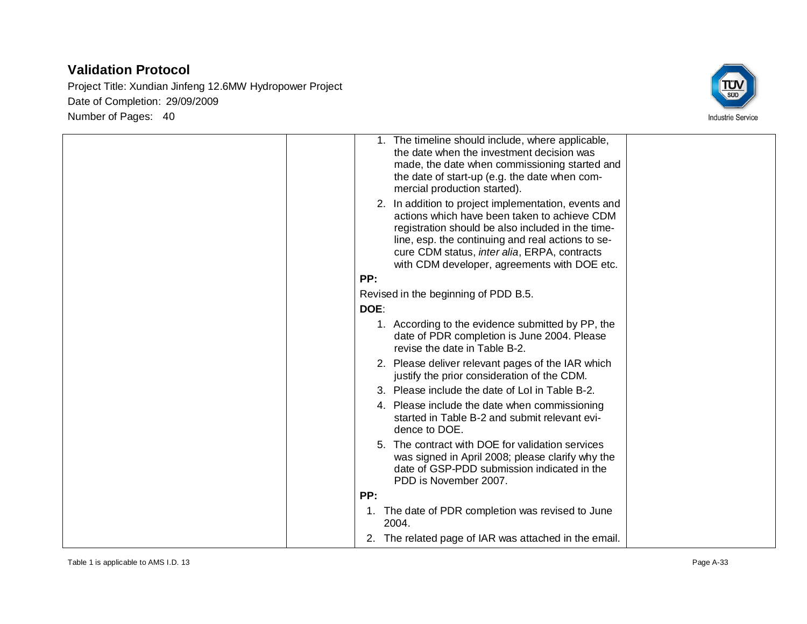

| 1. The timeline should include, where applicable,<br>the date when the investment decision was<br>made, the date when commissioning started and<br>the date of start-up (e.g. the date when com-<br>mercial production started).<br>2. In addition to project implementation, events and<br>actions which have been taken to achieve CDM |
|------------------------------------------------------------------------------------------------------------------------------------------------------------------------------------------------------------------------------------------------------------------------------------------------------------------------------------------|
| registration should be also included in the time-<br>line, esp. the continuing and real actions to se-<br>cure CDM status, inter alia, ERPA, contracts<br>with CDM developer, agreements with DOE etc.                                                                                                                                   |
| PP:                                                                                                                                                                                                                                                                                                                                      |
| Revised in the beginning of PDD B.5.<br>DOE:                                                                                                                                                                                                                                                                                             |
| 1. According to the evidence submitted by PP, the<br>date of PDR completion is June 2004. Please<br>revise the date in Table B-2.                                                                                                                                                                                                        |
| 2. Please deliver relevant pages of the IAR which<br>justify the prior consideration of the CDM.                                                                                                                                                                                                                                         |
| 3. Please include the date of LoI in Table B-2.                                                                                                                                                                                                                                                                                          |
| 4. Please include the date when commissioning<br>started in Table B-2 and submit relevant evi-<br>dence to DOE.                                                                                                                                                                                                                          |
| 5. The contract with DOE for validation services<br>was signed in April 2008; please clarify why the<br>date of GSP-PDD submission indicated in the<br>PDD is November 2007.                                                                                                                                                             |
| PP:                                                                                                                                                                                                                                                                                                                                      |
| The date of PDR completion was revised to June<br>1.<br>2004.                                                                                                                                                                                                                                                                            |
| 2. The related page of IAR was attached in the email.                                                                                                                                                                                                                                                                                    |
|                                                                                                                                                                                                                                                                                                                                          |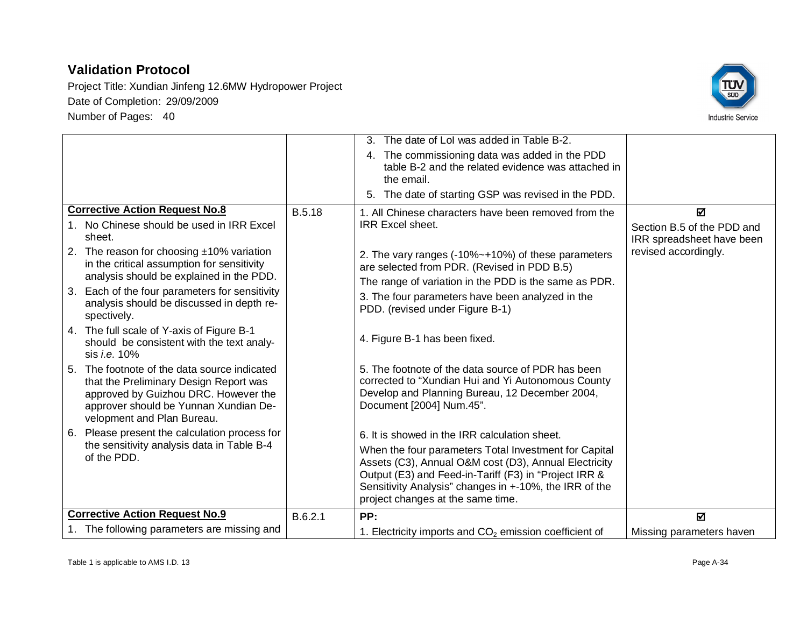

|                                                                                                                                                                                                       |               | 3. The date of Lol was added in Table B-2.                                                                                                                                                                                                                             |                                                         |
|-------------------------------------------------------------------------------------------------------------------------------------------------------------------------------------------------------|---------------|------------------------------------------------------------------------------------------------------------------------------------------------------------------------------------------------------------------------------------------------------------------------|---------------------------------------------------------|
|                                                                                                                                                                                                       |               | 4. The commissioning data was added in the PDD<br>table B-2 and the related evidence was attached in<br>the email.                                                                                                                                                     |                                                         |
|                                                                                                                                                                                                       |               | 5. The date of starting GSP was revised in the PDD.                                                                                                                                                                                                                    |                                                         |
| <b>Corrective Action Request No.8</b>                                                                                                                                                                 | <b>B.5.18</b> | 1. All Chinese characters have been removed from the                                                                                                                                                                                                                   | M                                                       |
| 1. No Chinese should be used in IRR Excel<br>sheet.                                                                                                                                                   |               | <b>IRR Excel sheet.</b>                                                                                                                                                                                                                                                | Section B.5 of the PDD and<br>IRR spreadsheet have been |
| 2. The reason for choosing $±10\%$ variation<br>in the critical assumption for sensitivity                                                                                                            |               | 2. The vary ranges (-10%~+10%) of these parameters<br>are selected from PDR. (Revised in PDD B.5)                                                                                                                                                                      | revised accordingly.                                    |
| analysis should be explained in the PDD.                                                                                                                                                              |               | The range of variation in the PDD is the same as PDR.                                                                                                                                                                                                                  |                                                         |
| 3. Each of the four parameters for sensitivity<br>analysis should be discussed in depth re-<br>spectively.                                                                                            |               | 3. The four parameters have been analyzed in the<br>PDD. (revised under Figure B-1)                                                                                                                                                                                    |                                                         |
| 4. The full scale of Y-axis of Figure B-1<br>should be consistent with the text analy-<br>sis <i>i.e.</i> 10%                                                                                         |               | 4. Figure B-1 has been fixed.                                                                                                                                                                                                                                          |                                                         |
| 5. The footnote of the data source indicated<br>that the Preliminary Design Report was<br>approved by Guizhou DRC. However the<br>approver should be Yunnan Xundian De-<br>velopment and Plan Bureau. |               | 5. The footnote of the data source of PDR has been<br>corrected to "Xundian Hui and Yi Autonomous County<br>Develop and Planning Bureau, 12 December 2004,<br>Document [2004] Num.45".                                                                                 |                                                         |
| 6. Please present the calculation process for                                                                                                                                                         |               | 6. It is showed in the IRR calculation sheet.                                                                                                                                                                                                                          |                                                         |
| the sensitivity analysis data in Table B-4<br>of the PDD.                                                                                                                                             |               | When the four parameters Total Investment for Capital<br>Assets (C3), Annual O&M cost (D3), Annual Electricity<br>Output (E3) and Feed-in-Tariff (F3) in "Project IRR &<br>Sensitivity Analysis" changes in +-10%, the IRR of the<br>project changes at the same time. |                                                         |
| <b>Corrective Action Request No.9</b>                                                                                                                                                                 | B.6.2.1       | PP:                                                                                                                                                                                                                                                                    | $\blacksquare$                                          |
| 1. The following parameters are missing and                                                                                                                                                           |               | 1. Electricity imports and $CO2$ emission coefficient of                                                                                                                                                                                                               | Missing parameters haven                                |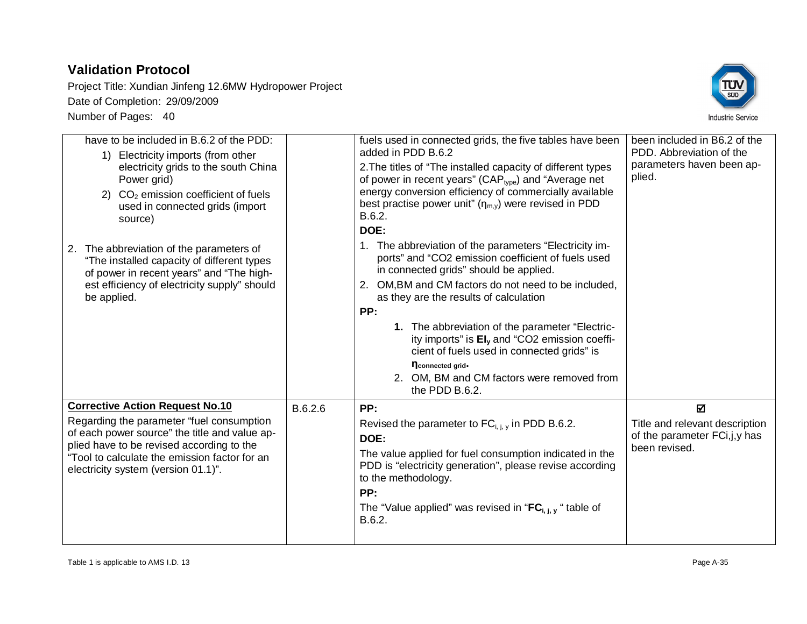

| have to be included in B.6.2 of the PDD:<br>1) Electricity imports (from other<br>electricity grids to the south China<br>Power grid)<br>2) $CO2$ emission coefficient of fuels<br>used in connected grids (import<br>source)<br>The abbreviation of the parameters of<br>2.<br>"The installed capacity of different types<br>of power in recent years" and "The high-<br>est efficiency of electricity supply" should<br>be applied. |         | fuels used in connected grids, the five tables have been<br>added in PDD B.6.2<br>2. The titles of "The installed capacity of different types<br>of power in recent years" (CAP <sub>type</sub> ) and "Average net<br>energy conversion efficiency of commercially available<br>best practise power unit" $(\eta_{m,v})$ were revised in PDD<br>B.6.2.<br>DOE:<br>1. The abbreviation of the parameters "Electricity im-<br>ports" and "CO2 emission coefficient of fuels used<br>in connected grids" should be applied.<br>2. OM, BM and CM factors do not need to be included,<br>as they are the results of calculation<br>PP:<br>1. The abbreviation of the parameter "Electric-<br>ity imports" is EI <sub>v</sub> and "CO2 emission coeffi-<br>cient of fuels used in connected grids" is<br>nconnected grid-<br>2. OM, BM and CM factors were removed from<br>the PDD B.6.2. | been included in B6.2 of the<br>PDD. Abbreviation of the<br>parameters haven been ap-<br>plied. |
|---------------------------------------------------------------------------------------------------------------------------------------------------------------------------------------------------------------------------------------------------------------------------------------------------------------------------------------------------------------------------------------------------------------------------------------|---------|-------------------------------------------------------------------------------------------------------------------------------------------------------------------------------------------------------------------------------------------------------------------------------------------------------------------------------------------------------------------------------------------------------------------------------------------------------------------------------------------------------------------------------------------------------------------------------------------------------------------------------------------------------------------------------------------------------------------------------------------------------------------------------------------------------------------------------------------------------------------------------------|-------------------------------------------------------------------------------------------------|
| <b>Corrective Action Request No.10</b><br>Regarding the parameter "fuel consumption<br>of each power source" the title and value ap-<br>plied have to be revised according to the<br>"Tool to calculate the emission factor for an<br>electricity system (version 01.1)".                                                                                                                                                             | B.6.2.6 | PP:<br>Revised the parameter to $FC_{i,i,v}$ in PDD B.6.2.<br>DOE:<br>The value applied for fuel consumption indicated in the<br>PDD is "electricity generation", please revise according<br>to the methodology.<br>PP:<br>The "Value applied" was revised in " $FC_{i, i, v}$ " table of<br>B.6.2.                                                                                                                                                                                                                                                                                                                                                                                                                                                                                                                                                                                 | 冈<br>Title and relevant description<br>of the parameter FCi, j, y has<br>been revised.          |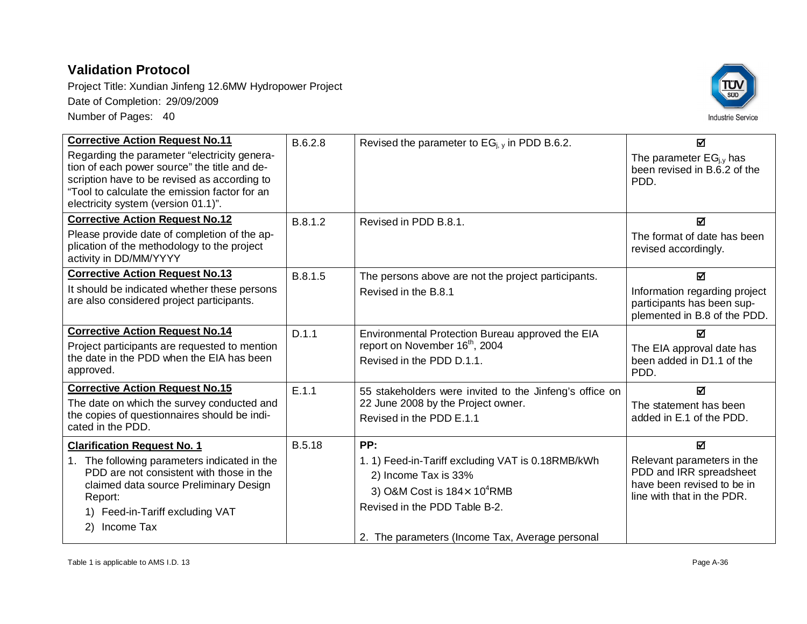

| <b>Corrective Action Request No.11</b>                                                                                                                                                                                               | B.6.2.8       | Revised the parameter to $EG_{i,y}$ in PDD B.6.2.                                                                                                  | ☑                                                                                                                 |
|--------------------------------------------------------------------------------------------------------------------------------------------------------------------------------------------------------------------------------------|---------------|----------------------------------------------------------------------------------------------------------------------------------------------------|-------------------------------------------------------------------------------------------------------------------|
| Regarding the parameter "electricity genera-<br>tion of each power source" the title and de-<br>scription have to be revised as according to<br>"Tool to calculate the emission factor for an<br>electricity system (version 01.1)". |               |                                                                                                                                                    | The parameter $EG_{i,y}$ has<br>been revised in B.6.2 of the<br>PDD.                                              |
| <b>Corrective Action Request No.12</b>                                                                                                                                                                                               | B.8.1.2       | Revised in PDD B.8.1.                                                                                                                              | ☑                                                                                                                 |
| Please provide date of completion of the ap-<br>plication of the methodology to the project<br>activity in DD/MM/YYYY                                                                                                                |               |                                                                                                                                                    | The format of date has been<br>revised accordingly.                                                               |
| <b>Corrective Action Request No.13</b>                                                                                                                                                                                               | B.8.1.5       | The persons above are not the project participants.                                                                                                | $\overline{\mathbf{M}}$                                                                                           |
| It should be indicated whether these persons<br>are also considered project participants.                                                                                                                                            |               | Revised in the B.8.1                                                                                                                               | Information regarding project<br>participants has been sup-<br>plemented in B.8 of the PDD.                       |
| <b>Corrective Action Request No.14</b>                                                                                                                                                                                               | D.1.1         | Environmental Protection Bureau approved the EIA                                                                                                   | М                                                                                                                 |
| Project participants are requested to mention<br>the date in the PDD when the EIA has been<br>approved.                                                                                                                              |               | report on November 16 <sup>th</sup> , 2004<br>Revised in the PDD D.1.1.                                                                            | The EIA approval date has<br>been added in D1.1 of the<br>PDD.                                                    |
| <b>Corrective Action Request No.15</b>                                                                                                                                                                                               | E.1.1         | 55 stakeholders were invited to the Jinfeng's office on                                                                                            | М                                                                                                                 |
| The date on which the survey conducted and                                                                                                                                                                                           |               | 22 June 2008 by the Project owner.                                                                                                                 | The statement has been                                                                                            |
| the copies of questionnaires should be indi-<br>cated in the PDD.                                                                                                                                                                    |               | Revised in the PDD E.1.1                                                                                                                           | added in E.1 of the PDD.                                                                                          |
| <b>Clarification Request No. 1</b>                                                                                                                                                                                                   | <b>B.5.18</b> | PP:                                                                                                                                                | ☑                                                                                                                 |
| 1. The following parameters indicated in the<br>PDD are not consistent with those in the<br>claimed data source Preliminary Design<br>Report:<br>1) Feed-in-Tariff excluding VAT<br>Income Tax<br>2)                                 |               | 1. 1) Feed-in-Tariff excluding VAT is 0.18RMB/kWh<br>2) Income Tax is 33%<br>3) O&M Cost is $184 \times 10^4$ RMB<br>Revised in the PDD Table B-2. | Relevant parameters in the<br>PDD and IRR spreadsheet<br>have been revised to be in<br>line with that in the PDR. |
|                                                                                                                                                                                                                                      |               | 2. The parameters (Income Tax, Average personal                                                                                                    |                                                                                                                   |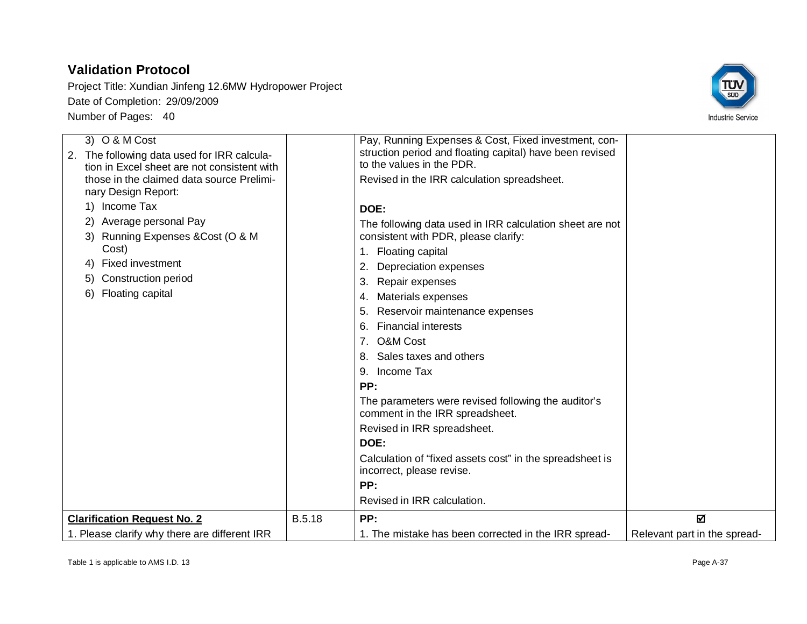

| 3) O & M Cost                                 |               | Pay, Running Expenses & Cost, Fixed investment, con-     |                              |
|-----------------------------------------------|---------------|----------------------------------------------------------|------------------------------|
| 2. The following data used for IRR calcula-   |               | struction period and floating capital) have been revised |                              |
| tion in Excel sheet are not consistent with   |               | to the values in the PDR.                                |                              |
| those in the claimed data source Prelimi-     |               | Revised in the IRR calculation spreadsheet.              |                              |
| nary Design Report:                           |               |                                                          |                              |
| 1) Income Tax                                 |               | DOE:                                                     |                              |
| 2) Average personal Pay                       |               | The following data used in IRR calculation sheet are not |                              |
| 3) Running Expenses & Cost (O & M             |               | consistent with PDR, please clarify:                     |                              |
| Cost)                                         |               | 1. Floating capital                                      |                              |
| <b>Fixed investment</b><br>4)                 |               | Depreciation expenses<br>2.                              |                              |
| <b>Construction period</b><br>5)              |               | Repair expenses<br>3.                                    |                              |
| Floating capital<br>6)                        |               | Materials expenses<br>4.                                 |                              |
|                                               |               | Reservoir maintenance expenses<br>5.                     |                              |
|                                               |               | <b>Financial interests</b><br>6.                         |                              |
|                                               |               | 7. O&M Cost                                              |                              |
|                                               |               | 8. Sales taxes and others                                |                              |
|                                               |               | Income Tax<br>9.                                         |                              |
|                                               |               | PP:                                                      |                              |
|                                               |               | The parameters were revised following the auditor's      |                              |
|                                               |               | comment in the IRR spreadsheet.                          |                              |
|                                               |               | Revised in IRR spreadsheet.                              |                              |
|                                               |               | DOE:                                                     |                              |
|                                               |               | Calculation of "fixed assets cost" in the spreadsheet is |                              |
|                                               |               | incorrect, please revise.                                |                              |
|                                               |               | PP:                                                      |                              |
|                                               |               | Revised in IRR calculation.                              |                              |
| <b>Clarification Request No. 2</b>            | <b>B.5.18</b> | PP:                                                      | 冈                            |
| 1. Please clarify why there are different IRR |               | 1. The mistake has been corrected in the IRR spread-     | Relevant part in the spread- |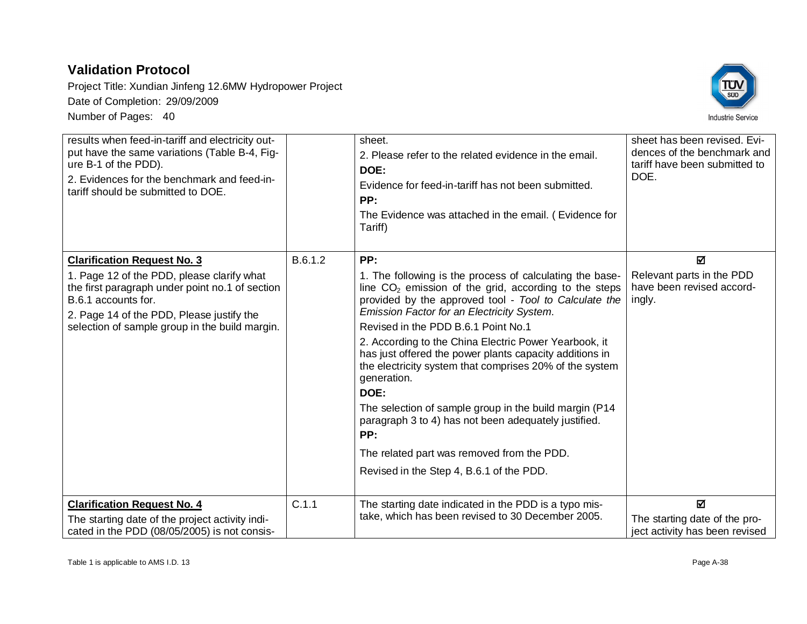

| results when feed-in-tariff and electricity out-<br>put have the same variations (Table B-4, Fig-<br>ure B-1 of the PDD).<br>2. Evidences for the benchmark and feed-in-<br>tariff should be submitted to DOE.      |         | sheet.<br>2. Please refer to the related evidence in the email.<br>DOE:<br>Evidence for feed-in-tariff has not been submitted.<br>PP:<br>The Evidence was attached in the email. (Evidence for<br>Tariff)                                                                                                                                                                                                                                                                                                                                                                                        | sheet has been revised. Evi-<br>dences of the benchmark and<br>tariff have been submitted to<br>DOE. |
|---------------------------------------------------------------------------------------------------------------------------------------------------------------------------------------------------------------------|---------|--------------------------------------------------------------------------------------------------------------------------------------------------------------------------------------------------------------------------------------------------------------------------------------------------------------------------------------------------------------------------------------------------------------------------------------------------------------------------------------------------------------------------------------------------------------------------------------------------|------------------------------------------------------------------------------------------------------|
| <b>Clarification Request No. 3</b>                                                                                                                                                                                  | B.6.1.2 | PP:                                                                                                                                                                                                                                                                                                                                                                                                                                                                                                                                                                                              | ☑                                                                                                    |
| 1. Page 12 of the PDD, please clarify what<br>the first paragraph under point no.1 of section<br>B.6.1 accounts for.<br>2. Page 14 of the PDD, Please justify the<br>selection of sample group in the build margin. |         | 1. The following is the process of calculating the base-<br>line $CO2$ emission of the grid, according to the steps<br>provided by the approved tool - Tool to Calculate the<br>Emission Factor for an Electricity System.<br>Revised in the PDD B.6.1 Point No.1<br>2. According to the China Electric Power Yearbook, it<br>has just offered the power plants capacity additions in<br>the electricity system that comprises 20% of the system<br>generation.<br>DOE:<br>The selection of sample group in the build margin (P14<br>paragraph 3 to 4) has not been adequately justified.<br>PP: | Relevant parts in the PDD<br>have been revised accord-<br>ingly.                                     |
|                                                                                                                                                                                                                     |         | The related part was removed from the PDD.                                                                                                                                                                                                                                                                                                                                                                                                                                                                                                                                                       |                                                                                                      |
|                                                                                                                                                                                                                     |         | Revised in the Step 4, B.6.1 of the PDD.                                                                                                                                                                                                                                                                                                                                                                                                                                                                                                                                                         |                                                                                                      |
| <b>Clarification Request No. 4</b><br>The starting date of the project activity indi-<br>cated in the PDD (08/05/2005) is not consis-                                                                               | C.1.1   | The starting date indicated in the PDD is a typo mis-<br>take, which has been revised to 30 December 2005.                                                                                                                                                                                                                                                                                                                                                                                                                                                                                       | ☑<br>The starting date of the pro-<br>ject activity has been revised                                 |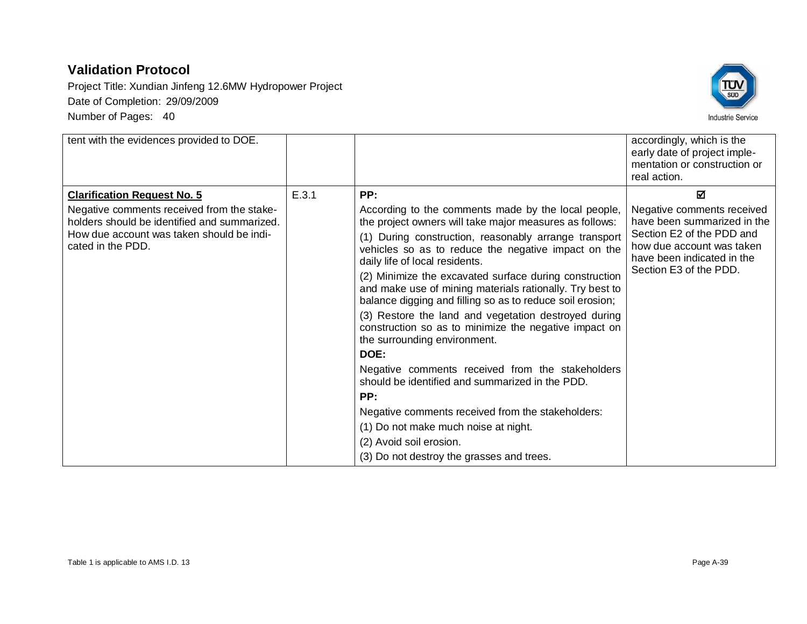

| tent with the evidences provided to DOE.                                                   |       |                                                                                                                                                                                 | accordingly, which is the<br>early date of project imple-<br>mentation or construction or<br>real action.      |
|--------------------------------------------------------------------------------------------|-------|---------------------------------------------------------------------------------------------------------------------------------------------------------------------------------|----------------------------------------------------------------------------------------------------------------|
| <b>Clarification Request No. 5</b>                                                         | E.3.1 | PP:                                                                                                                                                                             | ☑                                                                                                              |
| Negative comments received from the stake-<br>holders should be identified and summarized. |       | According to the comments made by the local people,<br>the project owners will take major measures as follows:                                                                  | Negative comments received<br>have been summarized in the                                                      |
| How due account was taken should be indi-<br>cated in the PDD.                             |       | (1) During construction, reasonably arrange transport<br>vehicles so as to reduce the negative impact on the<br>daily life of local residents.                                  | Section E2 of the PDD and<br>how due account was taken<br>have been indicated in the<br>Section E3 of the PDD. |
|                                                                                            |       | (2) Minimize the excavated surface during construction<br>and make use of mining materials rationally. Try best to<br>balance digging and filling so as to reduce soil erosion; |                                                                                                                |
|                                                                                            |       | (3) Restore the land and vegetation destroyed during<br>construction so as to minimize the negative impact on<br>the surrounding environment.                                   |                                                                                                                |
|                                                                                            |       | DOE:                                                                                                                                                                            |                                                                                                                |
|                                                                                            |       | Negative comments received from the stakeholders<br>should be identified and summarized in the PDD.                                                                             |                                                                                                                |
|                                                                                            |       | PP:                                                                                                                                                                             |                                                                                                                |
|                                                                                            |       | Negative comments received from the stakeholders:                                                                                                                               |                                                                                                                |
|                                                                                            |       | (1) Do not make much noise at night.                                                                                                                                            |                                                                                                                |
|                                                                                            |       | (2) Avoid soil erosion.                                                                                                                                                         |                                                                                                                |
|                                                                                            |       | (3) Do not destroy the grasses and trees.                                                                                                                                       |                                                                                                                |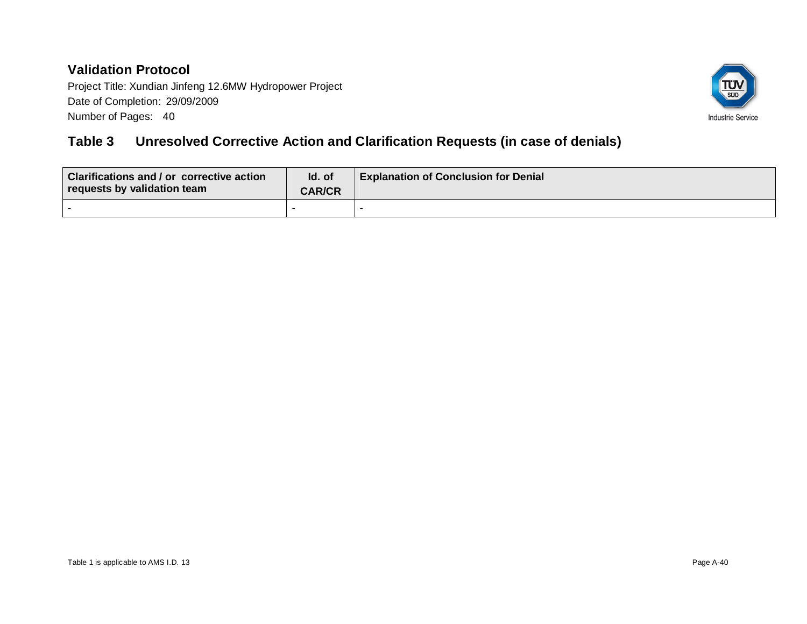Project Title: Xundian Jinfeng 12.6MW Hydropower Project Date of Completion: 29/09/2009 Number of Pages: 40



## **Table 3 Unresolved Corrective Action and Clarification Requests (in case of denials)**

| <b>Clarifications and / or corrective action</b><br>requests by validation team | Id. of<br><b>CAR/CR</b> | <b>Explanation of Conclusion for Denial</b> |
|---------------------------------------------------------------------------------|-------------------------|---------------------------------------------|
|                                                                                 |                         |                                             |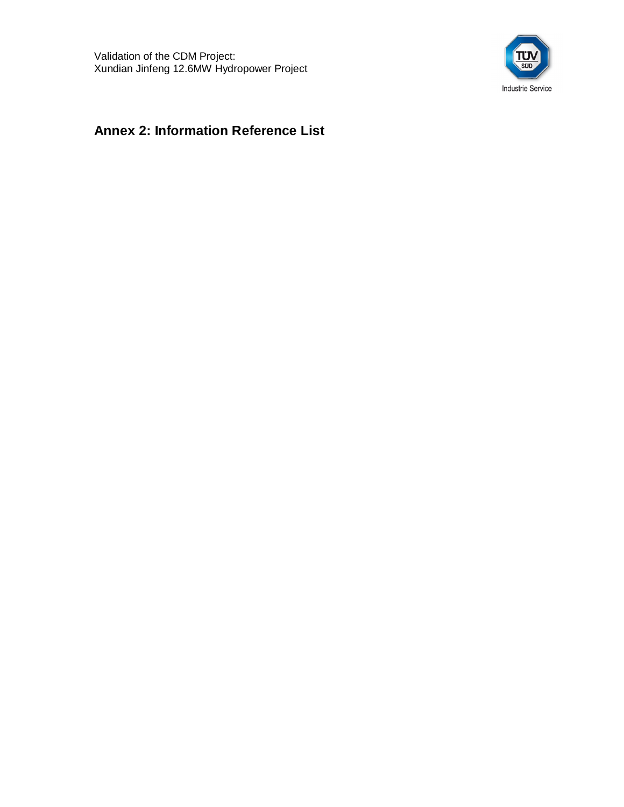

## **Annex 2: Information Reference List**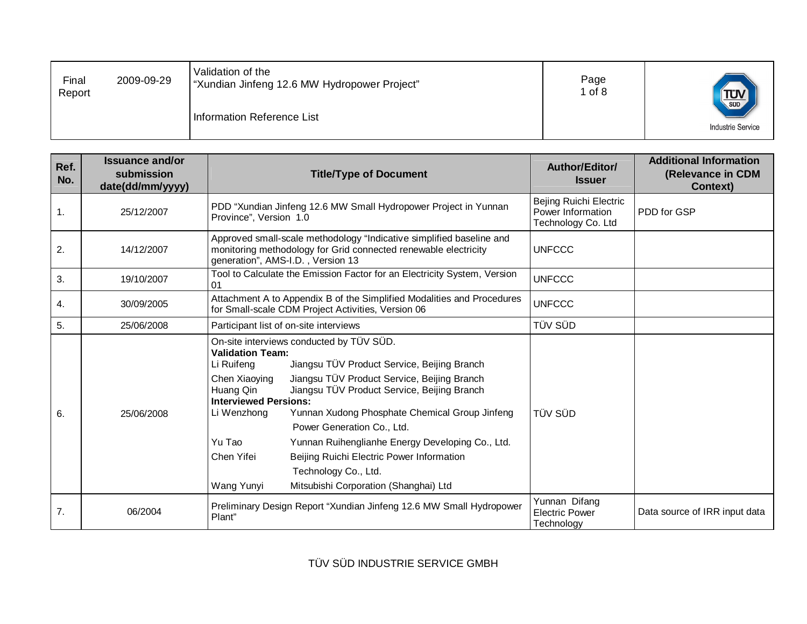| Final<br>Report | 2009-09-29 | Validation of the<br>"Xundian Jinfeng 12.6 MW Hydropower Project" | Page<br>$1$ of $8$ | $T_{\text{SUD}}$         |
|-----------------|------------|-------------------------------------------------------------------|--------------------|--------------------------|
|                 |            | Information Reference List                                        |                    | <b>Industrie Service</b> |

|                              | PDD "Xundian Jinfeng 12.6 MW Small Hydropower Project in Yunnan<br>Province", Version 1.0                                                                                                                                                                                                                                                                                                                                                                                                                                                                                                           | Bejing Ruichi Electric<br>Power Information          |                               |
|------------------------------|-----------------------------------------------------------------------------------------------------------------------------------------------------------------------------------------------------------------------------------------------------------------------------------------------------------------------------------------------------------------------------------------------------------------------------------------------------------------------------------------------------------------------------------------------------------------------------------------------------|------------------------------------------------------|-------------------------------|
| $\mathbf{1}$ .<br>25/12/2007 |                                                                                                                                                                                                                                                                                                                                                                                                                                                                                                                                                                                                     | Technology Co. Ltd                                   | PDD for GSP                   |
| 2.<br>14/12/2007             | Approved small-scale methodology "Indicative simplified baseline and<br>monitoring methodology for Grid connected renewable electricity<br>generation", AMS-I.D., Version 13                                                                                                                                                                                                                                                                                                                                                                                                                        | <b>UNFCCC</b>                                        |                               |
| 3.<br>19/10/2007<br>01       | Tool to Calculate the Emission Factor for an Electricity System, Version                                                                                                                                                                                                                                                                                                                                                                                                                                                                                                                            | <b>UNFCCC</b>                                        |                               |
| 4.<br>30/09/2005             | Attachment A to Appendix B of the Simplified Modalities and Procedures<br>for Small-scale CDM Project Activities, Version 06                                                                                                                                                                                                                                                                                                                                                                                                                                                                        | <b>UNFCCC</b>                                        |                               |
| 5.<br>25/06/2008             | Participant list of on-site interviews                                                                                                                                                                                                                                                                                                                                                                                                                                                                                                                                                              | TÜV SÜD                                              |                               |
| 6.<br>25/06/2008             | On-site interviews conducted by TÜV SÜD.<br><b>Validation Team:</b><br>Jiangsu TÜV Product Service, Beijing Branch<br>Li Ruifeng<br>Jiangsu TÜV Product Service, Beijing Branch<br>Chen Xiaoying<br>Jiangsu TÜV Product Service, Beijing Branch<br>Huang Qin<br><b>Interviewed Persions:</b><br>Yunnan Xudong Phosphate Chemical Group Jinfeng<br>Li Wenzhong<br>Power Generation Co., Ltd.<br>Yu Tao<br>Yunnan Ruihenglianhe Energy Developing Co., Ltd.<br>Chen Yifei<br>Beijing Ruichi Electric Power Information<br>Technology Co., Ltd.<br>Mitsubishi Corporation (Shanghai) Ltd<br>Wang Yunyi | <b>TÜV SÜD</b>                                       |                               |
| 7.<br>06/2004                | Preliminary Design Report "Xundian Jinfeng 12.6 MW Small Hydropower<br>Plant"                                                                                                                                                                                                                                                                                                                                                                                                                                                                                                                       | Yunnan Difang<br><b>Electric Power</b><br>Technology | Data source of IRR input data |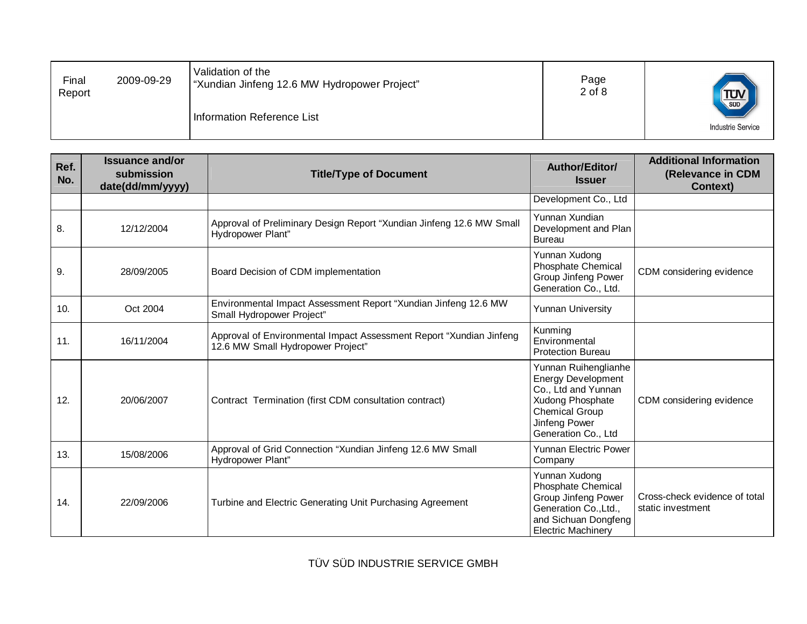| Final<br>Report | 2009-09-29 | Validation of the<br>"Xundian Jinfeng 12.6 MW Hydropower Project" | Page<br>$2$ of $8$ | TUV <sub>SUD</sub>       |
|-----------------|------------|-------------------------------------------------------------------|--------------------|--------------------------|
|                 |            | Information Reference List                                        |                    | <b>Industrie Service</b> |

| Ref.<br>No. | <b>Issuance and/or</b><br>submission<br>date(dd/mm/yyyy) | <b>Title/Type of Document</b>                                                                            | Author/Editor/<br><b>Issuer</b>                                                                                                                               | <b>Additional Information</b><br>(Relevance in CDM<br><b>Context)</b> |
|-------------|----------------------------------------------------------|----------------------------------------------------------------------------------------------------------|---------------------------------------------------------------------------------------------------------------------------------------------------------------|-----------------------------------------------------------------------|
|             |                                                          |                                                                                                          | Development Co., Ltd                                                                                                                                          |                                                                       |
| 8.          | 12/12/2004                                               | Approval of Preliminary Design Report "Xundian Jinfeng 12.6 MW Small<br>Hydropower Plant"                | Yunnan Xundian<br>Development and Plan<br><b>Bureau</b>                                                                                                       |                                                                       |
| 9.          | 28/09/2005                                               | Board Decision of CDM implementation                                                                     | Yunnan Xudong<br><b>Phosphate Chemical</b><br>Group Jinfeng Power<br>Generation Co., Ltd.                                                                     | CDM considering evidence                                              |
| 10.         | Oct 2004                                                 | Environmental Impact Assessment Report "Xundian Jinfeng 12.6 MW<br>Small Hydropower Project"             | Yunnan University                                                                                                                                             |                                                                       |
| 11.         | 16/11/2004                                               | Approval of Environmental Impact Assessment Report "Xundian Jinfeng<br>12.6 MW Small Hydropower Project" | Kunming<br>Environmental<br><b>Protection Bureau</b>                                                                                                          |                                                                       |
| 12.         | 20/06/2007                                               | Contract Termination (first CDM consultation contract)                                                   | Yunnan Ruihenglianhe<br><b>Energy Development</b><br>Co., Ltd and Yunnan<br>Xudong Phosphate<br><b>Chemical Group</b><br>Jinfeng Power<br>Generation Co., Ltd | CDM considering evidence                                              |
| 13.         | 15/08/2006                                               | Approval of Grid Connection "Xundian Jinfeng 12.6 MW Small<br>Hydropower Plant"                          | <b>Yunnan Electric Power</b><br>Company                                                                                                                       |                                                                       |
| 14.         | 22/09/2006                                               | Turbine and Electric Generating Unit Purchasing Agreement                                                | Yunnan Xudong<br><b>Phosphate Chemical</b><br><b>Group Jinfeng Power</b><br>Generation Co., Ltd.,<br>and Sichuan Dongfeng<br><b>Electric Machinery</b>        | Cross-check evidence of total<br>static investment                    |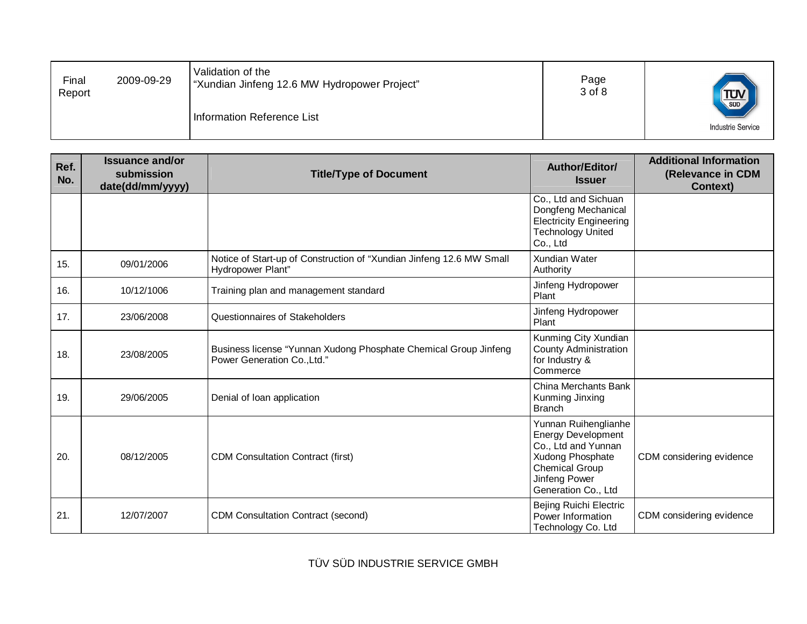| Final<br>Report | 2009-09-29 | Validation of the<br>"Xundian Jinfeng 12.6 MW Hydropower Project" | Page<br>3 of 8 | $T_{\text{sub}}$         |
|-----------------|------------|-------------------------------------------------------------------|----------------|--------------------------|
|                 |            | Information Reference List                                        |                | <b>Industrie Service</b> |

| Ref.<br>No. | <b>Issuance and/or</b><br>submission<br>date(dd/mm/yyyy) | <b>Title/Type of Document</b>                                                                   | Author/Editor/<br><b>Issuer</b>                                                                                                                        | <b>Additional Information</b><br>(Relevance in CDM<br><b>Context)</b> |
|-------------|----------------------------------------------------------|-------------------------------------------------------------------------------------------------|--------------------------------------------------------------------------------------------------------------------------------------------------------|-----------------------------------------------------------------------|
|             |                                                          |                                                                                                 | Co., Ltd and Sichuan<br>Dongfeng Mechanical<br><b>Electricity Engineering</b><br><b>Technology United</b><br>Co., Ltd                                  |                                                                       |
| 15.         | 09/01/2006                                               | Notice of Start-up of Construction of "Xundian Jinfeng 12.6 MW Small<br>Hydropower Plant"       | <b>Xundian Water</b><br>Authority                                                                                                                      |                                                                       |
| 16.         | 10/12/1006                                               | Training plan and management standard                                                           | Jinfeng Hydropower<br>Plant                                                                                                                            |                                                                       |
| 17.         | 23/06/2008                                               | Questionnaires of Stakeholders                                                                  | Jinfeng Hydropower<br>Plant                                                                                                                            |                                                                       |
| 18.         | 23/08/2005                                               | Business license "Yunnan Xudong Phosphate Chemical Group Jinfeng<br>Power Generation Co., Ltd." | Kunming City Xundian<br><b>County Administration</b><br>for Industry &<br>Commerce                                                                     |                                                                       |
| 19.         | 29/06/2005                                               | Denial of loan application                                                                      | China Merchants Bank<br>Kunming Jinxing<br><b>Branch</b>                                                                                               |                                                                       |
| 20.         | 08/12/2005                                               | <b>CDM Consultation Contract (first)</b>                                                        | Yunnan Ruihenglianhe<br>Energy Development<br>Co., Ltd and Yunnan<br>Xudong Phosphate<br><b>Chemical Group</b><br>Jinfeng Power<br>Generation Co., Ltd | CDM considering evidence                                              |
| 21.         | 12/07/2007                                               | <b>CDM Consultation Contract (second)</b>                                                       | Bejing Ruichi Electric<br>Power Information<br>Technology Co. Ltd                                                                                      | CDM considering evidence                                              |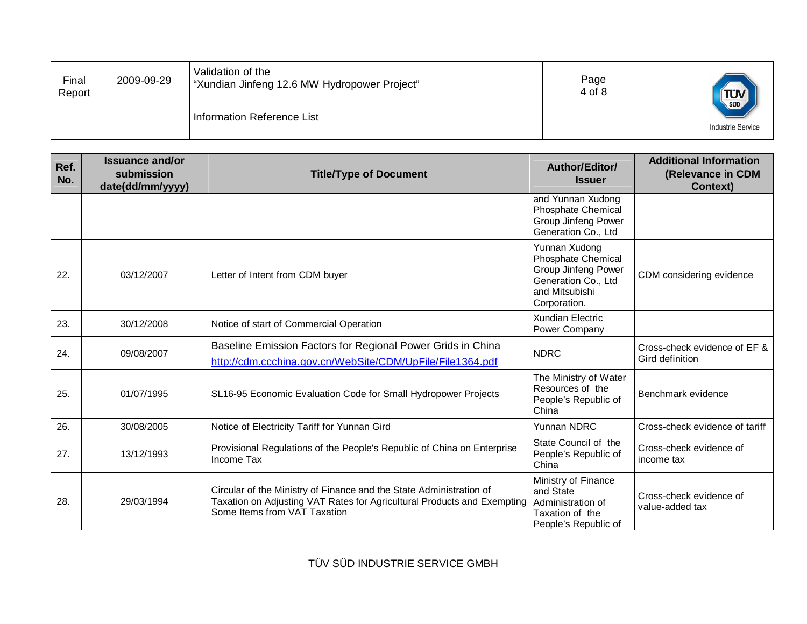| Final<br>Report | 2009-09-29 | Validation of the<br>"Xundian Jinfeng 12.6 MW Hydropower Project" | Page<br>4 of 8 | TUV <sub>SUD</sub>       |
|-----------------|------------|-------------------------------------------------------------------|----------------|--------------------------|
|                 |            | Information Reference List                                        |                | <b>Industrie Service</b> |

| Ref.<br>No. | <b>Issuance and/or</b><br>submission<br>date(dd/mm/yyyy) | <b>Title/Type of Document</b>                                                                                                                                                  | Author/Editor/<br><b>Issuer</b>                                                                                                   | <b>Additional Information</b><br>(Relevance in CDM<br><b>Context)</b> |
|-------------|----------------------------------------------------------|--------------------------------------------------------------------------------------------------------------------------------------------------------------------------------|-----------------------------------------------------------------------------------------------------------------------------------|-----------------------------------------------------------------------|
|             |                                                          |                                                                                                                                                                                | and Yunnan Xudong<br><b>Phosphate Chemical</b><br>Group Jinfeng Power<br>Generation Co., Ltd                                      |                                                                       |
| 22.         | 03/12/2007                                               | Letter of Intent from CDM buyer                                                                                                                                                | Yunnan Xudong<br><b>Phosphate Chemical</b><br><b>Group Jinfeng Power</b><br>Generation Co., Ltd<br>and Mitsubishi<br>Corporation. | CDM considering evidence                                              |
| 23.         | 30/12/2008                                               | Notice of start of Commercial Operation                                                                                                                                        | Xundian Electric<br>Power Company                                                                                                 |                                                                       |
| 24.         | 09/08/2007                                               | Baseline Emission Factors for Regional Power Grids in China<br>http://cdm.ccchina.gov.cn/WebSite/CDM/UpFile/File1364.pdf                                                       | <b>NDRC</b>                                                                                                                       | Cross-check evidence of EF &<br>Gird definition                       |
| 25.         | 01/07/1995                                               | SL16-95 Economic Evaluation Code for Small Hydropower Projects                                                                                                                 | The Ministry of Water<br>Resources of the<br>People's Republic of<br>China                                                        | Benchmark evidence                                                    |
| 26.         | 30/08/2005                                               | Notice of Electricity Tariff for Yunnan Gird                                                                                                                                   | Yunnan NDRC                                                                                                                       | Cross-check evidence of tariff                                        |
| 27.         | 13/12/1993                                               | Provisional Regulations of the People's Republic of China on Enterprise<br>Income Tax                                                                                          | State Council of the<br>People's Republic of<br>China                                                                             | Cross-check evidence of<br>income tax                                 |
| 28.         | 29/03/1994                                               | Circular of the Ministry of Finance and the State Administration of<br>Taxation on Adjusting VAT Rates for Agricultural Products and Exempting<br>Some Items from VAT Taxation | Ministry of Finance<br>and State<br>Administration of<br>Taxation of the<br>People's Republic of                                  | Cross-check evidence of<br>value-added tax                            |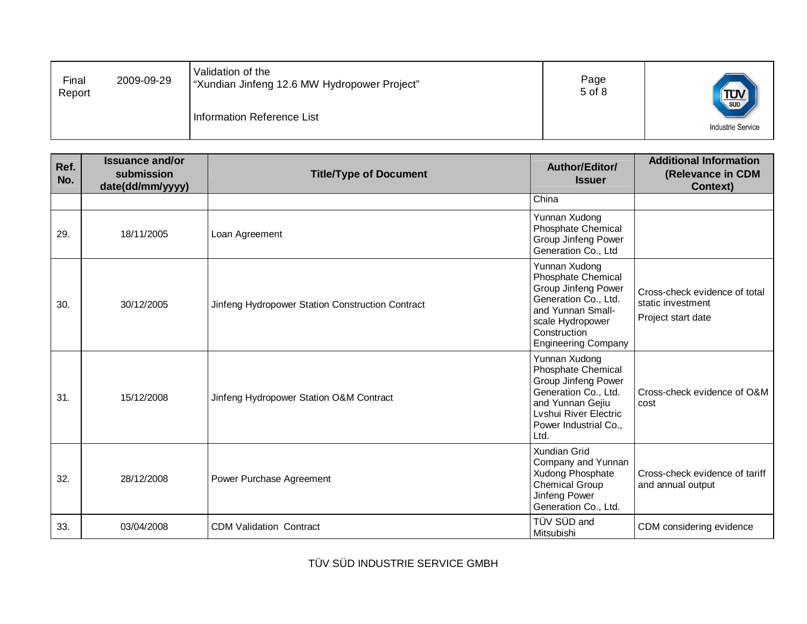| Final<br>Report | 2009-09-29 | Validation of the<br>"Xundian Jinfeng 12.6 MW Hydropower Project" | Page<br>5 of 8 | TUV <sub>SUD</sub>       |
|-----------------|------------|-------------------------------------------------------------------|----------------|--------------------------|
|                 |            | Information Reference List                                        |                | <b>Industrie Service</b> |

| Ref.<br>No. | <b>Issuance and/or</b><br>submission<br>date(dd/mm/yyyy) | <b>Title/Type of Document</b>                    | Author/Editor/<br><b>Issuer</b>                                                                                                                                                  | <b>Additional Information</b><br>(Relevance in CDM<br><b>Context)</b>    |
|-------------|----------------------------------------------------------|--------------------------------------------------|----------------------------------------------------------------------------------------------------------------------------------------------------------------------------------|--------------------------------------------------------------------------|
|             |                                                          |                                                  | China                                                                                                                                                                            |                                                                          |
| 29.         | 18/11/2005                                               | Loan Agreement                                   | Yunnan Xudong<br><b>Phosphate Chemical</b><br>Group Jinfeng Power<br>Generation Co., Ltd                                                                                         |                                                                          |
| 30.         | 30/12/2005                                               | Jinfeng Hydropower Station Construction Contract | Yunnan Xudong<br>Phosphate Chemical<br><b>Group Jinfeng Power</b><br>Generation Co., Ltd.<br>and Yunnan Small-<br>scale Hydropower<br>Construction<br><b>Engineering Company</b> | Cross-check evidence of total<br>static investment<br>Project start date |
| 31.         | 15/12/2008                                               | Jinfeng Hydropower Station O&M Contract          | Yunnan Xudong<br>Phosphate Chemical<br>Group Jinfeng Power<br>Generation Co., Ltd.<br>and Yunnan Gejiu<br>Lvshui River Electric<br>Power Industrial Co.,<br>Ltd.                 | Cross-check evidence of O&M<br>cost                                      |
| 32.         | 28/12/2008                                               | Power Purchase Agreement                         | Xundian Grid<br>Company and Yunnan<br>Xudong Phosphate<br><b>Chemical Group</b><br>Jinfeng Power<br>Generation Co., Ltd.                                                         | Cross-check evidence of tariff<br>and annual output                      |
| 33.         | 03/04/2008                                               | <b>CDM Validation Contract</b>                   | TÜV SÜD and<br>Mitsubishi                                                                                                                                                        | CDM considering evidence                                                 |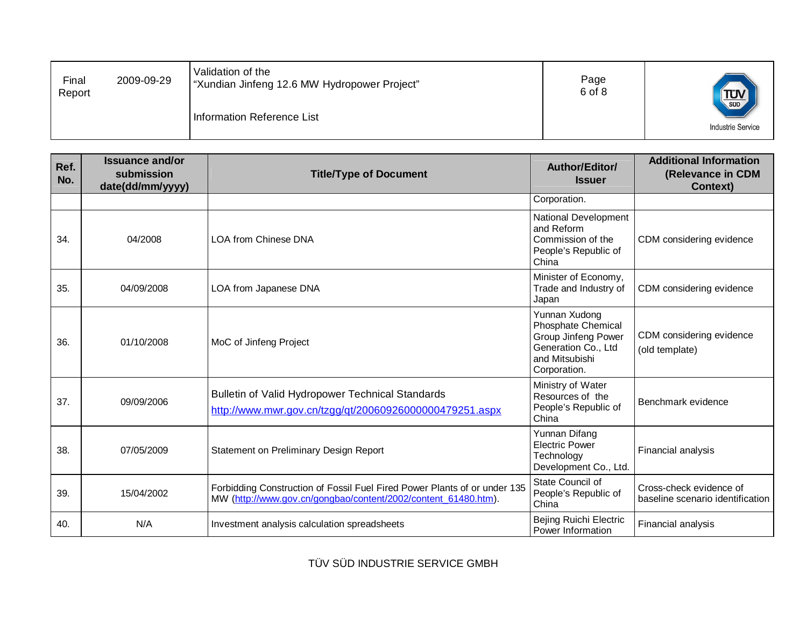| Final<br>Report | 2009-09-29 | Validation of the<br>"Xundian Jinfeng 12.6 MW Hydropower Project" | Page<br>6 of 8 | $T_{\text{sub}}$         |
|-----------------|------------|-------------------------------------------------------------------|----------------|--------------------------|
|                 |            | Information Reference List                                        |                | <b>Industrie Service</b> |

| Ref.<br>No. | <b>Issuance and/or</b><br>submission<br>date(dd/mm/yyyy) | <b>Title/Type of Document</b>                                                                                                               | Author/Editor/<br><b>Issuer</b>                                                                                            | <b>Additional Information</b><br>(Relevance in CDM<br><b>Context)</b> |
|-------------|----------------------------------------------------------|---------------------------------------------------------------------------------------------------------------------------------------------|----------------------------------------------------------------------------------------------------------------------------|-----------------------------------------------------------------------|
|             |                                                          |                                                                                                                                             | Corporation.                                                                                                               |                                                                       |
| 34.         | 04/2008                                                  | <b>LOA from Chinese DNA</b>                                                                                                                 | National Development<br>and Reform<br>Commission of the<br>People's Republic of<br>China                                   | CDM considering evidence                                              |
| 35.         | 04/09/2008                                               | LOA from Japanese DNA                                                                                                                       | Minister of Economy,<br>Trade and Industry of<br>Japan                                                                     | CDM considering evidence                                              |
| 36.         | 01/10/2008                                               | MoC of Jinfeng Project                                                                                                                      | Yunnan Xudong<br><b>Phosphate Chemical</b><br>Group Jinfeng Power<br>Generation Co., Ltd<br>and Mitsubishi<br>Corporation. | CDM considering evidence<br>(old template)                            |
| 37.         | 09/09/2006                                               | Bulletin of Valid Hydropower Technical Standards<br>http://www.mwr.gov.cn/tzgg/qt/20060926000000479251.aspx                                 | Ministry of Water<br>Resources of the<br>People's Republic of<br>China                                                     | Benchmark evidence                                                    |
| 38.         | 07/05/2009                                               | Statement on Preliminary Design Report                                                                                                      | Yunnan Difang<br><b>Electric Power</b><br>Technology<br>Development Co., Ltd.                                              | Financial analysis                                                    |
| 39.         | 15/04/2002                                               | Forbidding Construction of Fossil Fuel Fired Power Plants of or under 135<br>MW (http://www.gov.cn/gongbao/content/2002/content 61480.htm). | State Council of<br>People's Republic of<br>China                                                                          | Cross-check evidence of<br>baseline scenario identification           |
| 40.         | N/A                                                      | Investment analysis calculation spreadsheets                                                                                                | <b>Bejing Ruichi Electric</b><br>Power Information                                                                         | Financial analysis                                                    |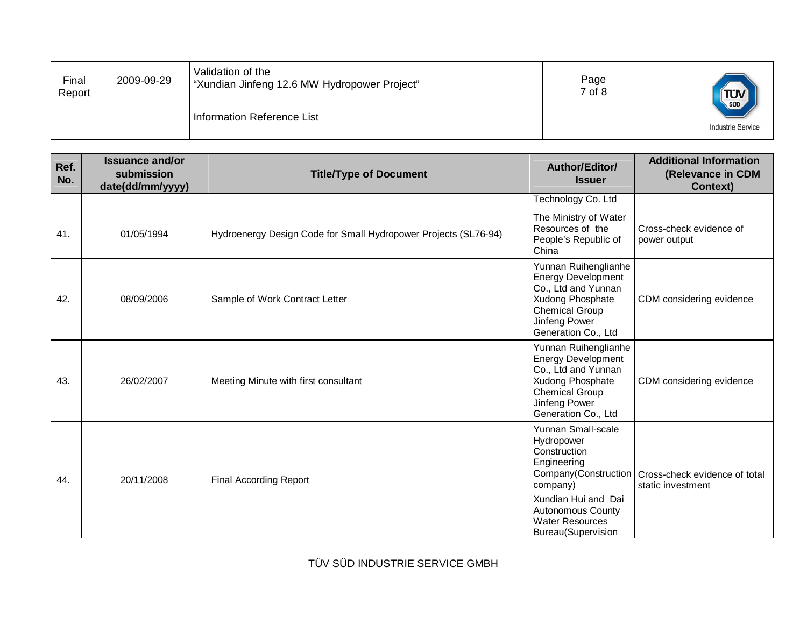| Final<br>Report | 2009-09-29 | Validation of the<br>"Xundian Jinfeng 12.6 MW Hydropower Project" | Page<br>7 of 8 | <b>TUV</b>               |
|-----------------|------------|-------------------------------------------------------------------|----------------|--------------------------|
|                 |            | Information Reference List                                        |                | <b>Industrie Service</b> |

| Ref.<br>No. | <b>Issuance and/or</b><br>submission<br>date(dd/mm/yyyy) | <b>Title/Type of Document</b>                                   | Author/Editor/<br><b>Issuer</b>                                                                                                                                                                        | <b>Additional Information</b><br>(Relevance in CDM<br><b>Context)</b> |
|-------------|----------------------------------------------------------|-----------------------------------------------------------------|--------------------------------------------------------------------------------------------------------------------------------------------------------------------------------------------------------|-----------------------------------------------------------------------|
|             |                                                          |                                                                 | Technology Co. Ltd                                                                                                                                                                                     |                                                                       |
| 41.         | 01/05/1994                                               | Hydroenergy Design Code for Small Hydropower Projects (SL76-94) | The Ministry of Water<br>Resources of the<br>People's Republic of<br>China                                                                                                                             | Cross-check evidence of<br>power output                               |
| 42.         | 08/09/2006                                               | Sample of Work Contract Letter                                  | Yunnan Ruihenglianhe<br><b>Energy Development</b><br>Co., Ltd and Yunnan<br>Xudong Phosphate<br><b>Chemical Group</b><br>Jinfeng Power<br>Generation Co., Ltd                                          | CDM considering evidence                                              |
| 43.         | 26/02/2007                                               | Meeting Minute with first consultant                            | Yunnan Ruihenglianhe<br><b>Energy Development</b><br>Co., Ltd and Yunnan<br>Xudong Phosphate<br><b>Chemical Group</b><br>Jinfeng Power<br>Generation Co., Ltd                                          | CDM considering evidence                                              |
| 44.         | 20/11/2008                                               | <b>Final According Report</b>                                   | Yunnan Small-scale<br>Hydropower<br>Construction<br>Engineering<br>Company(Construction<br>company)<br>Xundian Hui and Dai<br><b>Autonomous County</b><br><b>Water Resources</b><br>Bureau(Supervision | Cross-check evidence of total<br>static investment                    |